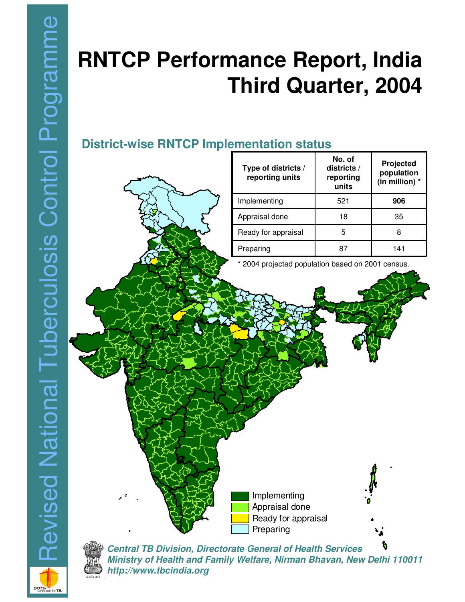# **RNTCP Performance Report, India Third Quarter, 2004**

**No. of**

# **District-wise RNTCP Implementation status**





*Central TB Division, Directorate General of Health Services Ministry of Health and Family Welfare, Nirman Bhavan, New Delhi 110011 http://www.tbcindia.org*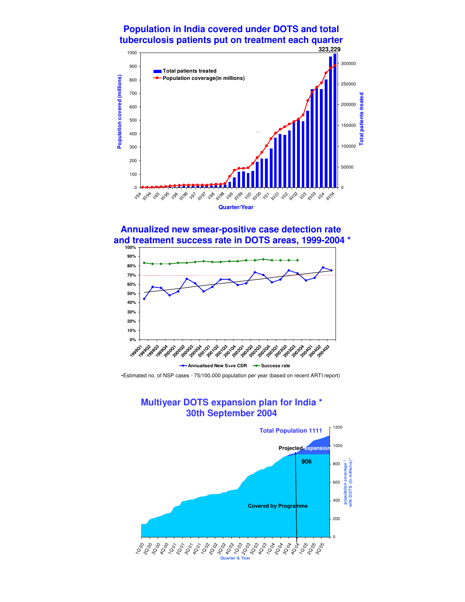#### **Population in India covered under DOTS and total tuberculosis patients put on treatment each quarter**



**Annualized new smear-positive case detection rate and treatment success rate in DOTS areas, 1999-2004 \***



•Estimated no. of NSP cases - 75/100,000 population per year (based on recent ARTI report)

#### **Multiyear DOTS expansion plan for India \* 30th September 2004**

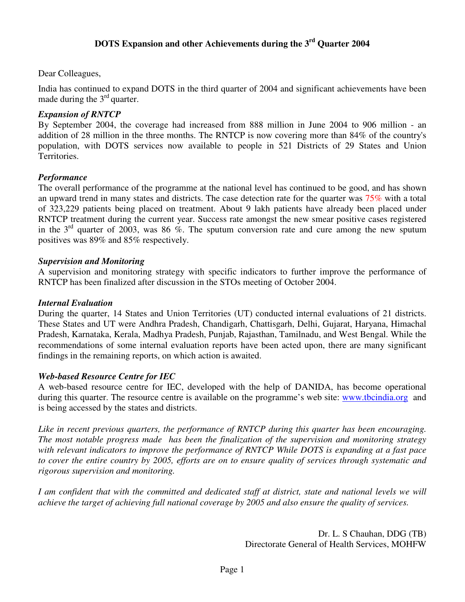#### Dear Colleagues,

India has continued to expand DOTS in the third quarter of 2004 and significant achievements have been made during the  $3<sup>rd</sup>$  quarter.

#### *Expansion of RNTCP*

By September 2004, the coverage had increased from 888 million in June 2004 to 906 million - an addition of 28 million in the three months. The RNTCP is now covering more than 84% of the country's population, with DOTS services now available to people in 521 Districts of 29 States and Union Territories.

#### *Performance*

The overall performance of the programme at the national level has continued to be good, and has shown an upward trend in many states and districts. The case detection rate for the quarter was 75% with a total of 323,229 patients being placed on treatment. About 9 lakh patients have already been placed under RNTCP treatment during the current year. Success rate amongst the new smear positive cases registered in the  $3<sup>rd</sup>$  quarter of 2003, was 86 %. The sputum conversion rate and cure among the new sputum positives was 89% and 85% respectively.

#### *Supervision and Monitoring*

A supervision and monitoring strategy with specific indicators to further improve the performance of RNTCP has been finalized after discussion in the STOs meeting of October 2004.

#### *Internal Evaluation*

During the quarter, 14 States and Union Territories (UT) conducted internal evaluations of 21 districts. These States and UT were Andhra Pradesh, Chandigarh, Chattisgarh, Delhi, Gujarat, Haryana, Himachal Pradesh, Karnataka, Kerala, Madhya Pradesh, Punjab, Rajasthan, Tamilnadu, and West Bengal. While the recommendations of some internal evaluation reports have been acted upon, there are many significant findings in the remaining reports, on which action is awaited.

#### *Web-based Resource Centre for IEC*

A web-based resource centre for IEC, developed with the help of DANIDA, has become operational during this quarter. The resource centre is available on the programme's web site: www.tbcindia.org and is being accessed by the states and districts.

*Like in recent previous quarters, the performance of RNTCP during this quarter has been encouraging. The most notable progress made has been the finalization of the supervision and monitoring strategy with relevant indicators to improve the performance of RNTCP While DOTS is expanding at a fast pace* to cover the entire country by 2005, efforts are on to ensure quality of services through systematic and *rigorous supervision and monitoring.*

I am confident that with the committed and dedicated staff at district, state and national levels we will *achieve the target of achieving full national coverage by 2005 and also ensure the quality of services.*

> Dr. L. S Chauhan, DDG (TB) Directorate General of Health Services, MOHFW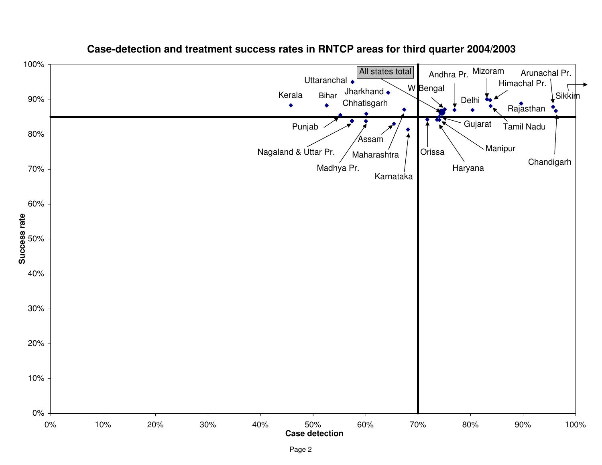

#### **Case-detection and treatment success rates in RNTCP areas for third quarter 2004/2003**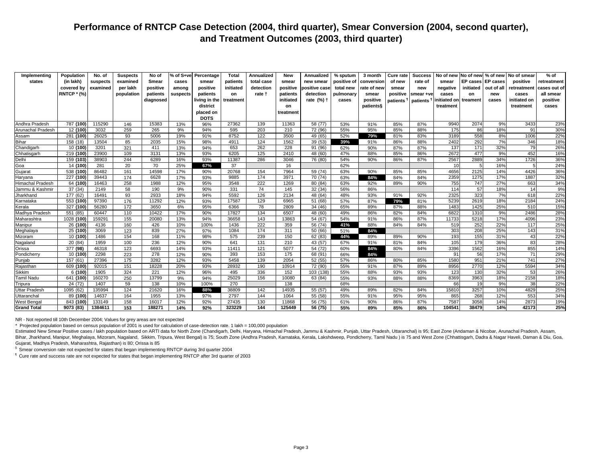| Implementing         | Population         | No. of   | <b>Suspects</b> | No of     | % of S+ve | Percentage    | Total     | Annualized | <b>New</b> | Annualized           | % sputum    | 3 month     | Cure rate             | <b>Success</b>  | No of new   | No of new % of new |                 | No of smear  | % of         |
|----------------------|--------------------|----------|-----------------|-----------|-----------|---------------|-----------|------------|------------|----------------------|-------------|-------------|-----------------------|-----------------|-------------|--------------------|-----------------|--------------|--------------|
| states               | (in lakh)          | suspects | examined        | Smear     | cases     | smear         | patients  | total case | smear      | new smear            | positive of | conversion  | of new                | rate of         | smear       | <b>EP</b> cases    | <b>EP</b> cases | positive     | retreatment  |
|                      | covered by         | examined | per lakh        | positive  | among     | positive      | initiated | detection  | positive   | positive case        | total new   | rate of new | smear                 | new             | negative    | initiated          | out of all      | retreatment  | cases out of |
|                      | <b>RNTCP * (%)</b> |          | population      | patients  | suspects  | patients      | on        | rate +     | patients   | detection            | pulmonary   | smear       | positive              | smear +ve       | cases       | on                 | new             | cases        | all smear    |
|                      |                    |          |                 | diagnosed |           | living in the | treatment |            | initiated  | rate (%) †           | cases       | positive    | patients <sup>1</sup> | <b>patients</b> | nitiated on | treament           | cases           | initiated on | positive     |
|                      |                    |          |                 |           |           | district      |           |            | on         |                      |             | patients§   |                       |                 | treatment   |                    |                 | treatment    | cases        |
|                      |                    |          |                 |           |           | placed on     |           |            | treatment  |                      |             |             |                       |                 |             |                    |                 |              |              |
|                      |                    |          |                 |           |           | <b>DOTS</b>   |           |            |            |                      |             |             |                       |                 |             |                    |                 |              |              |
| Andhra Pradesh       | 787 (100)          | 115290   | 146             | 15383     | 13%       | 96%           | 27362     | 139        | 11363      | 58 (77)              | 53%         | 91%         | 85%                   | 87%             | 9940        | 2074               | 9%              | 3433         | 23%          |
| Arunachal Pradesh    | 12 (100)           | 3032     | 259             | 265       | 9%        | 94%           | 595       | 203        | 210        | 72 (96)              | 55%         | 95%         | 85%                   | 88%             | 175         | 86                 | 18%             | 91           | 30%          |
| Assam                | 281 (100)          | 26025    | 93              | 5006      | 19%       | 91%           | 8752      | 122        | 3500       | 49 (65)              | 52%         | 79%         | 81%                   | 83%             | 3189        | 558                | 8%              | 1006         | 22%          |
| Bihar                | 158 (18)           | 13504    | 85              | 2035      | 15%       | 98%           | 4911      | 124        | 1562       | 39(53)               | 39%         | 91%         | 86%                   | 88%             | 2402        | 292                | 7%              | 346          | 18%          |
| Chandigarh           | 10 (100)           | 3201     | 321             | 411       | 13%       | 94%           | 653       | 262        | 228        | 91 (96)              | 62%         | 90%         | 87%                   | 87%             | 137         | 171                | 32%             | 79           | 26%          |
| Chhatisgarh          | 219 (100)          | 23900    | 109             | 3131      | 13%       | 93%           | 6205      | 125        | 2410       | 48 (60)              | 47%         | 88%         | 85%                   | 86%             | 2672        | 477                | 9%              | 452          | 16%          |
| Delhi                | 159 (103)          | 38903    | 244             | 6289      | 16%       | 93%           | 11387     | 286        | 3046       | 76 (80)              | 54%         | 90%         | 86%                   | 87%             | 2567        | 2889               | 34%             | 1726         | 36%          |
| Goa                  | 14 (100)           | 281      | 20              | 70        | 25%       | 67%           | 37        |            | 16         |                      | 62%         |             |                       |                 | 10          | 5                  | 16%             | 5            | 24%          |
| Gujarat              | 538 (100)          | 86482    | 161             | 14598     | 17%       | 90%           | 20768     | 154        | 7964       | 59(74)               | 63%         | 90%         | 85%                   | 85%             | 4656        | 2125               | 14%             | 4426         | 36%          |
| Haryana              | 227 (100)          | 39443    | 174             | 6628      | 17%       | 93%           | 9885      | 174        | 3971       | 70 (74)              | 63%         | 84%         | 84%                   | 84%             | 2359        | 1275               | 17%             | 1887         | 32%          |
| Himachal Pradesh     | 64 (100)           | 16463    | 258             | 1988      | 12%       | 95%           | 3548      | 222        | 1269       | 80 (84)              | 63%         | 92%         | 89%                   | 90%             | 755         | 747                | 27%             | 663          | 34%          |
| Jammu & Kashmir      | 37 (34)            | 2149     | 58              | 190       | 9%        | 90%           | 331       | 74         | 145        | 32(34)               | 56%         | 86%         |                       |                 | 114         | 57                 | 18%             | 14           | 9%           |
| Jharkhand            | 177 (62)           | 16491    | 93              | 2933      | 18%       | 94%           | 5592      | 126        | 2134       | 48 (64)              | 48%         | 93%         | 91%                   | 92%             | 2325        | 323                | 7%              | 618          | 22%          |
| Karnataka            | 553 (100)          | 97390    | 176             | 11292     | 12%       | 93%           | 17587     | 129        | 6965       | 51 (68)              | 57%         | 87%         | 79%                   | 81%             | 5239        | 2619               | 18%             | 2184         | 24%          |
| Kerala               | 327 (100)          | 56280    | 172             | 3650      | 6%        | 95%           | 6366      | 78         | 2809       | 34(46)               | 65%         | 89%         | 87%                   | 88%             | 1483        | 1425               | 25%             | 510          | 15%          |
| Madhya Pradesh       | 551 (85)           | 60447    | 110             | 10422     | 17%       | 90%           | 17827     | 134        | 6507       | 48 (60)              | 49%         | 86%         | 82%                   | 84%             | 6822        | 1310               | 9%              | 2486         | 28%          |
| Maharashtra          | 1028 (100)         | 159291   | 155             | 20080     | 13%       | 94%           | 36658     | 143        | 13863      | 54(67)               | 54%         | 91%         | 86%                   | 87%             | 11733       | 5218               | 17%             | 4096         | 23%          |
| Manipur              | 26 (100)           | 4136     | 160             | 426       | 10%       | 100%          | 1436      | 222        | 359        | 56 (74)              | 41%         | 88%         | 84%                   | 84%             | 519         | 252                | 22%             | 117          | 25%          |
| Meghalaya            | 25 (100)           | 3069     | 123             | 839       | 27%       | 97%           | 1084      | 174        | 311        | 50 (66)              | 51%         | 84%         |                       |                 | 303         | 208                | 25%             | 143          | 31%          |
| Mizoram              | 10 (100)           | 1486     | 154             | 168       | 11%       | 98%           | 575       | 239        | 150        | 62 (83)              | 44%         | 89%         | 89%                   | 90%             | 193         | 155                | 31%             | 43           | 22%          |
| Nagaland             | 20 (84)            | 1959     | 100             | 236       | 12%       | 90%           | 641       | 131        | 210        | 43 (57)              | 67%         | 91%         | 81%                   | 84%             | 105         | 179                | 36%             | 83           | 28%          |
| Orissa               | 377 (98)           | 46318    | 123             | 6693      | 14%       | 93%           | 11411     | 121        | 5077       | 54 (72)              | 60%         | 84%         | 80%                   | 84%             | 3396        | 1562               | 16%             | 855          | 14%          |
| Pondicherry          | 10 (100)           | 2298     | 223             | 278       | 12%       | 90%           | 393       | 153        | 175        | 68 (91)              | 66%         | 84%         |                       |                 | 91          | 56                 | 17%             | 71           | 29%          |
| Punjab               | 157 (61)           | 27396    | 175             | 3282      | 12%       | 93%           | 5458      | 139        | 2054       | $\overline{52}$ (55) | 57%         | 86%         | 80%                   | 85%             | 1580        | 951                | 21%             | 741          | 27%          |
| Rajasthan            | 609 (100)          | 92015    | 151             | 18228     | 20%       | 93%           | 28932     | 190        | 10914      | 72(90)               | 55%         | 91%         | 87%                   | 89%             | 8956        | 2770               | 12%             | 5594         | 34%          |
| Sikkim               | 6 (100)            | 1905     | 324             | 221       | 12%       | 96%           | 495       | 336        | 152        | 103 (138)            | 55%         | 88%         | 93%                   | 93%             | 123         | 130                | 32%             | 53           | 26%          |
| <b>Tamil Nadu</b>    | 641 (100)          | 160270   | 250             | 13799     | 9%        | 94%           | 25029     | 156        | 10080      | 63 (84)              | 55%         | 93%         | 88%                   | 88%             | 8369        | 3963               | 18%             | 2158         | 18%          |
| Tripura              | 24 (72)            | 1407     | 59              | 138       | 10%       | 100%          | 270       |            | 138        |                      | 68%         |             |                       |                 | 66          | 19                 | 9%              | 38           | 22%          |
| <b>Uttar Pradesh</b> | 1095 (62)          | 135994   | 124             | 21620     | 16%       | 88%           | 38809     | 142        | 14935      | 55 (57)              | 49%         | 89%         | 82%                   | 84%             | 15810       | 3257               | 10%             | 4829         | 25%          |
| Uttaranchal          | 89 (100)           | 14637    | 164             | 1955      | 13%       | 97%           | 2797      | 144        | 1064       | 55(58)               | 55%         | 91%         | 95%                   | 95%             | 865         | 268                | 12%             | 553          | 34%          |
| <b>West Bengal</b>   | 843 (100)          | 133149   | 158             | 16017     | 12%       | 92%           | 27435     | 130        | 11868      | 56 (75)              | 61%         | 90%         | 86%                   | 87%             | 7587        | 3058               | 14%             | 2873         | 19%          |
| <b>Grand Total</b>   | 9073 (83)          | 1384611  | 153             | 188271    | 14%       | 92%           | 323229    | 144        | 125449     | 56 (75)              | 55%         | 89%         | 85%                   | 86%             | 104541      | 38479              | 14%             | 42173        | 25%          |

NR - Not reported till 10th December 2004; Values for grey areas are not expected

\* Projected population based on census population of 2001 is used for calculation of case-detection rate. 1 lakh = 100,000 population

Estimated New Smear Positive cases / lakh population based on ARTI data for North Zone (Chandigarh, Delhi, Haryana, Himachal Pradesh, Jammu & Kashmir, Punjab, Uttar Pradesh, Uttaranchal) is 95; East Zone (Andaman & Nicobar Bihar, Jharkhand, Manipur, Meghalaya, Mizoram, Nagaland, Sikkim, Tripura, West Bengal) is 75; South Zone (Andhra Pradesh, Karnataka, Kerala, Lakshdweep, Pondicherry, Tamil Nadu ) is 75 and West Zone (Chhattisgarh, Dadra & Gujarat, Madhya Pradesh, Maharashtra, Rajasthan) is 80; Orissa is 85

§ Smear conversion rate not expected for states that began implementing RNTCP during 3rd quarter 2004

¶ Cure rate and success rate are not expected for states that began implementing RNTCP after 3rd quarter of 2003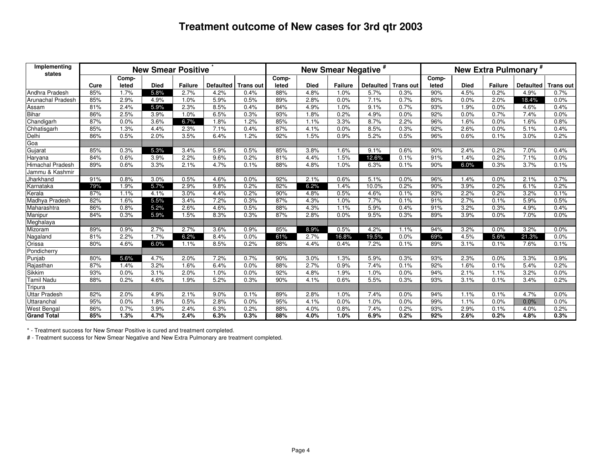| Implementing<br>states |      |       | <b>New Smear Positive</b> |                |                  |                  |       |             | New Smear Negative <sup>#</sup> |                  |                  |       |             |                | New Extra Pulmonary <sup>#</sup> |                  |
|------------------------|------|-------|---------------------------|----------------|------------------|------------------|-------|-------------|---------------------------------|------------------|------------------|-------|-------------|----------------|----------------------------------|------------------|
|                        |      | Comp- |                           |                |                  |                  | Comp- |             |                                 |                  |                  | Comp- |             |                |                                  |                  |
|                        | Cure | leted | <b>Died</b>               | <b>Failure</b> | <b>Defaulted</b> | <b>Trans out</b> | leted | <b>Died</b> | <b>Failure</b>                  | <b>Defaulted</b> | <b>Trans out</b> | leted | <b>Died</b> | <b>Failure</b> | <b>Defaulted</b>                 | <b>Trans out</b> |
| Andhra Pradesh         | 85%  | 1.7%  | 5.8%                      | 2.7%           | 4.2%             | 0.4%             | 88%   | 4.8%        | 1.0%                            | 5.7%             | 0.3%             | 90%   | 4.5%        | 0.2%           | 4.9%                             | 0.7%             |
| Arunachal Pradesh      | 85%  | 2.9%  | 4.9%                      | 1.0%           | 5.9%             | 0.5%             | 89%   | 2.8%        | 0.0%                            | 7.1%             | 0.7%             | 80%   | 0.0%        | 2.0%           | 18.4%                            | 0.0%             |
| Assam                  | 81%  | 2.4%  | 5.9%                      | 2.3%           | 8.5%             | 0.4%             | 84%   | 4.9%        | 1.0%                            | 9.1%             | 0.7%             | 93%   | 1.9%        | 0.0%           | 4.6%                             | 0.4%             |
| <b>Bihar</b>           | 86%  | 2.5%  | 3.9%                      | 1.0%           | 6.5%             | 0.3%             | 93%   | 1.8%        | 0.2%                            | 4.9%             | 0.0%             | 92%   | 0.0%        | 0.7%           | 7.4%                             | 0.0%             |
| Chandigarh             | 87%  | 0.0%  | 3.6%                      | 6.7%           | 1.8%             | 1.2%             | 85%   | 1.1%        | 3.3%                            | 8.7%             | 2.2%             | 96%   | 1.6%        | 0.0%           | 1.6%                             | 0.8%             |
| Chhatisgarh            | 85%  | 1.3%  | 4.4%                      | 2.3%           | 7.1%             | 0.4%             | 87%   | 4.1%        | 0.0%                            | 8.5%             | 0.3%             | 92%   | 2.6%        | 0.0%           | 5.1%                             | 0.4%             |
| Delhi                  | 86%  | 0.5%  | 2.0%                      | 3.5%           | 6.4%             | 1.2%             | 92%   | 1.5%        | 0.9%                            | 5.2%             | 0.5%             | 96%   | 0.6%        | 0.1%           | 3.0%                             | 0.2%             |
| Goa                    |      |       |                           |                |                  |                  |       |             |                                 |                  |                  |       |             |                |                                  |                  |
| Gujarat                | 85%  | 0.3%  | 5.3%                      | 3.4%           | 5.9%             | 0.5%             | 85%   | 3.8%        | 1.6%                            | 9.1%             | 0.6%             | 90%   | 2.4%        | 0.2%           | 7.0%                             | 0.4%             |
| Haryana                | 84%  | 0.6%  | 3.9%                      | 2.2%           | 9.6%             | 0.2%             | 81%   | 4.4%        | 1.5%                            | 12.6%            | 0.1%             | 91%   | 1.4%        | 0.2%           | 7.1%                             | 0.0%             |
| Himachal Pradesh       | 89%  | 0.6%  | 3.3%                      | 2.1%           | 4.7%             | 0.1%             | 88%   | 4.8%        | 1.0%                            | 6.3%             | 0.1%             | 90%   | 6.0%        | 0.3%           | 3.7%                             | 0.1%             |
| Jammu & Kashmir        |      |       |                           |                |                  |                  |       |             |                                 |                  |                  |       |             |                |                                  |                  |
| Jharkhand              | 91%  | 0.8%  | 3.0%                      | 0.5%           | 4.6%             | 0.0%             | 92%   | 2.1%        | 0.6%                            | 5.1%             | 0.0%             | 96%   | 1.4%        | 0.0%           | 2.1%                             | 0.7%             |
| Karnataka              | 79%  | 1.9%  | 5.7%                      | 2.9%           | 9.8%             | 0.2%             | 82%   | 6.2%        | 1.4%                            | 10.0%            | 0.2%             | 90%   | 3.9%        | 0.2%           | 6.1%                             | 0.2%             |
| Kerala                 | 87%  | 1.1%  | 4.1%                      | 3.0%           | 4.4%             | 0.2%             | 90%   | 4.8%        | 0.5%                            | 4.6%             | 0.1%             | 93%   | 2.2%        | 0.2%           | 3.2%                             | 0.1%             |
| Madhya Pradesh         | 82%  | 1.6%  | 5.5%                      | 3.4%           | 7.2%             | 0.3%             | 87%   | 4.3%        | 1.0%                            | 7.7%             | 0.1%             | 91%   | 2.7%        | 0.1%           | 5.9%                             | 0.5%             |
| Maharashtra            | 86%  | 0.8%  | 5.2%                      | 2.6%           | 4.6%             | 0.5%             | 88%   | 4.3%        | 1.1%                            | 5.9%             | 0.4%             | 91%   | 3.2%        | 0.3%           | 4.9%                             | 0.4%             |
| Manipur                | 84%  | 0.3%  | 5.9%                      | 1.5%           | 8.3%             | 0.3%             | 87%   | 2.8%        | 0.0%                            | 9.5%             | 0.3%             | 89%   | 3.9%        | 0.0%           | 7.0%                             | 0.0%             |
| Meghalaya              |      |       |                           |                |                  |                  |       |             |                                 |                  |                  |       |             |                |                                  |                  |
| Mizoram                | 89%  | 0.9%  | 2.7%                      | 2.7%           | 3.6%             | 0.9%             | 85%   | 8.9%        | 0.5%                            | 4.2%             | 1.1%             | 94%   | 3.2%        | 0.0%           | 3.2%                             | 0.0%             |
| Nagaland               | 81%  | 2.2%  | 1.7%                      | 6.2%           | 8.4%             | 0.0%             | 61%   | 2.7%        | 16.8%                           | 19.5%            | 0.0%             | 69%   | 4.5%        | 5.6%           | 21.3%                            | 0.0%             |
| Orissa                 | 80%  | 4.6%  | 6.0%                      | 1.1%           | 8.5%             | 0.2%             | 88%   | 4.4%        | 0.4%                            | 7.2%             | 0.1%             | 89%   | 3.1%        | 0.1%           | 7.6%                             | 0.1%             |
| Pondicherry            |      |       |                           |                |                  |                  |       |             |                                 |                  |                  |       |             |                |                                  |                  |
| Punjab                 | 80%  | 5.6%  | 4.7%                      | 2.0%           | 7.2%             | 0.7%             | 90%   | 3.0%        | 1.3%                            | 5.9%             | 0.3%             | 93%   | 2.3%        | 0.0%           | 3.3%                             | 0.9%             |
| Rajasthan              | 87%  | 1.4%  | 3.2%                      | 1.6%           | 6.4%             | 0.0%             | 88%   | 2.7%        | 0.9%                            | 7.4%             | 0.1%             | 92%   | 1.6%        | 0.1%           | 5.4%                             | 0.2%             |
| Sikkim                 | 93%  | 0.0%  | 3.1%                      | 2.0%           | 1.0%             | 0.0%             | 92%   | 4.8%        | 1.9%                            | 1.0%             | 0.0%             | 94%   | 2.1%        | 1.1%           | 3.2%                             | 0.0%             |
| <b>Tamil Nadu</b>      | 88%  | 0.2%  | 4.6%                      | 1.9%           | 5.2%             | 0.3%             | 90%   | 4.1%        | 0.6%                            | 5.5%             | 0.3%             | 93%   | 3.1%        | 0.1%           | 3.4%                             | 0.2%             |
| Tripura                |      |       |                           |                |                  |                  |       |             |                                 |                  |                  |       |             |                |                                  |                  |
| <b>Uttar Pradesh</b>   | 82%  | 2.0%  | 4.9%                      | 2.1%           | 9.0%             | 0.1%             | 89%   | 2.8%        | 1.0%                            | 7.4%             | 0.0%             | 94%   | 1.1%        | 0.1%           | 4.7%                             | 0.0%             |
| Uttaranchal            | 95%  | 0.0%  | 1.8%                      | 0.5%           | 2.8%             | 0.0%             | 95%   | 4.1%        | 0.0%                            | 1.0%             | 0.0%             | 99%   | 1.1%        | 0.0%           | 0.0%                             | 0.0%             |
| West Bengal            | 86%  | 0.7%  | 3.9%                      | 2.4%           | 6.3%             | 0.2%             | 88%   | 4.0%        | 0.8%                            | 7.4%             | 0.2%             | 93%   | 2.9%        | 0.1%           | 4.0%                             | 0.2%             |
| <b>Grand Total</b>     | 85%  | 1.3%  | 4.7%                      | 2.4%           | 6.3%             | 0.3%             | 88%   | 4.0%        | 1.0%                            | 6.9%             | 0.2%             | 92%   | 2.6%        | 0.2%           | 4.8%                             | 0.3%             |

\*- Treatment success for New Smear Positive is cured and treatment completed.

J.

# - Treatment success for New Smear Negative and New Extra Pulmonary are treatment completed.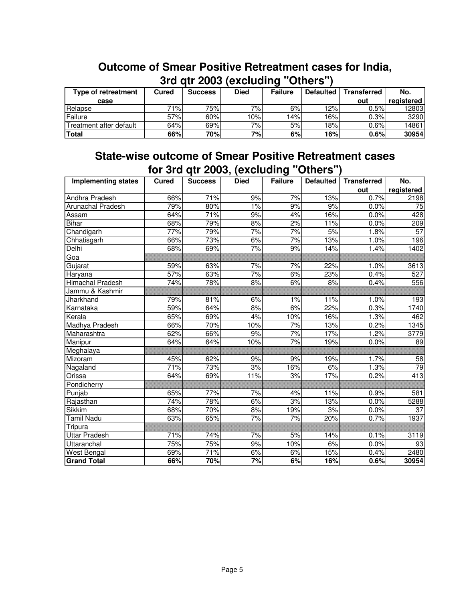|                         |            |                | <b>STU UIL ZUUS (BACIUUIIIU</b> |                | <b>UURIS</b>     |                    |            |
|-------------------------|------------|----------------|---------------------------------|----------------|------------------|--------------------|------------|
| Type of retreatment     | Cured      | <b>Success</b> | <b>Died</b>                     | <b>Failure</b> | <b>Defaulted</b> | <b>Transferred</b> | No.        |
| case                    |            |                |                                 |                |                  | out                | registered |
| Relapse                 | <b>71%</b> | 75%            | 7%                              | 6%l            | 12%              | 0.5%               | 12803      |
| Failure                 | 57%        | 60%            | 10%                             | $ 4\% $        | 16%              | 0.3%               | 3290       |
| Treatment after default | 64%        | 69%            | 7%                              | 5%             | 18%              | 0.6%               | 14861      |
| <b>Total</b>            | 66%        | 70%            | 7%I                             | 6%             | 16%              | 0.6%               | 30954      |

## **Outcome of Smear Positive Retreatment cases for India, 3rd qtr 2003 (excluding "Others")**

### **State-wise outcome of Smear Positive Retreatment cases for 3rd qtr 2003, (excluding "Others")**

| <b>Implementing states</b> | Cured | <b>Success</b> | <b>Died</b> | ≂<br><b>Failure</b> | <b>Defaulted</b> | <b>Transferred</b> | No.              |
|----------------------------|-------|----------------|-------------|---------------------|------------------|--------------------|------------------|
|                            |       |                |             |                     |                  | out                | registered       |
| Andhra Pradesh             | 66%   | 71%            | 9%          | 7%                  | 13%              | 0.7%               | 2198             |
| <b>Arunachal Pradesh</b>   | 79%   | 80%            | 1%          | 9%                  | 9%               | 0.0%               | $\overline{75}$  |
| Assam                      | 64%   | 71%            | 9%          | 4%                  | 16%              | 0.0%               | 428              |
| <b>Bihar</b>               | 68%   | 79%            | 8%          | 2%                  | 11%              | 0.0%               | 209              |
| Chandigarh                 | 77%   | 79%            | 7%          | 7%                  | 5%               | 1.8%               | $\overline{57}$  |
| Chhatisgarh                | 66%   | 73%            | 6%          | 7%                  | 13%              | 1.0%               | 196              |
| Delhi                      | 68%   | 69%            | 7%          | 9%                  | 14%              | 1.4%               | 1402             |
| Goa                        |       |                |             |                     |                  |                    |                  |
| Gujarat                    | 59%   | 63%            | 7%          | 7%                  | 22%              | 1.0%               | 3613             |
| Haryana                    | 57%   | 63%            | 7%          | 6%                  | 23%              | 0.4%               | 527              |
| <b>Himachal Pradesh</b>    | 74%   | 78%            | 8%          | 6%                  | 8%               | 0.4%               | 556              |
| Jammu & Kashmir            |       |                |             |                     |                  |                    |                  |
| Jharkhand                  | 79%   | 81%            | 6%          | $1\%$               | 11%              | 1.0%               | 193              |
| Karnataka                  | 59%   | 64%            | 8%          | 6%                  | 22%              | 0.3%               | 1740             |
| Kerala                     | 65%   | 69%            | 4%          | 10%                 | 16%              | 1.3%               | 462              |
| <b>Madhya Pradesh</b>      | 66%   | 70%            | 10%         | 7%                  | 13%              | 0.2%               | 1345             |
| Maharashtra                | 62%   | 66%            | 9%          | 7%                  | 17%              | 1.2%               | 3779             |
| Manipur                    | 64%   | 64%            | 10%         | 7%                  | 19%              | 0.0%               | 89               |
| Meghalaya                  |       |                |             |                     |                  |                    |                  |
| Mizoram                    | 45%   | 62%            | 9%          | 9%                  | 19%              | 1.7%               | 58               |
| Nagaland                   | 71%   | 73%            | 3%          | 16%                 | 6%               | 1.3%               | 79               |
| Orissa                     | 64%   | 69%            | 11%         | 3%                  | 17%              | 0.2%               | $\overline{413}$ |
| Pondicherry                |       |                |             |                     |                  |                    |                  |
| Punjab                     | 65%   | 77%            | 7%          | 4%                  | 11%              | 0.9%               | 581              |
| Rajasthan                  | 74%   | 78%            | 6%          | 3%                  | 13%              | 0.0%               | 5288             |
| Sikkim                     | 68%   | 70%            | 8%          | 19%                 | 3%               | 0.0%               | 37               |
| <b>Tamil Nadu</b>          | 63%   | 65%            | 7%          | 7%                  | 20%              | 0.7%               | 1937             |
| Tripura                    |       |                |             |                     |                  |                    |                  |
| <b>Uttar Pradesh</b>       | 71%   | 74%            | 7%          | 5%                  | 14%              | 0.1%               | 3119             |
| Uttaranchal                | 75%   | 75%            | 9%          | 10%                 | 6%               | 0.0%               | 93               |
| <b>West Bengal</b>         | 69%   | 71%            | 6%          | 6%                  | 15%              | 0.4%               | 2480             |
| <b>Grand Total</b>         | 66%   | 70%            | 7%          | 6%                  | 16%              | 0.6%               | 30954            |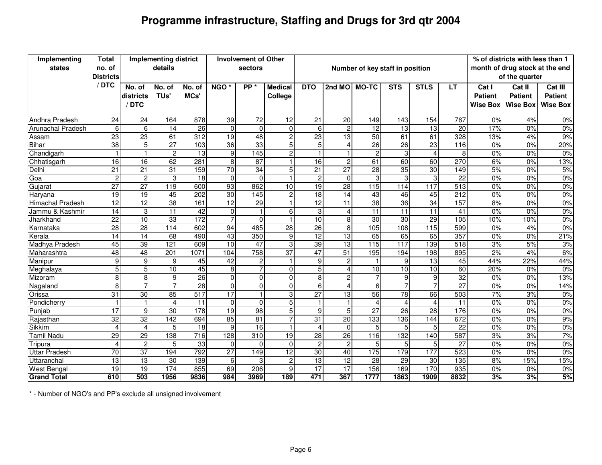# **Programme infrastructure, Staffing and Drugs for 3rd qtr 2004**

| Implementing            | <b>Total</b>              |                 | <b>Implementing district</b> |                  |                  | <b>Involvement of Other</b> |                 |                 |                         |                                 |                 |                        |                 |                 | % of districts with less than 1 |                  |
|-------------------------|---------------------------|-----------------|------------------------------|------------------|------------------|-----------------------------|-----------------|-----------------|-------------------------|---------------------------------|-----------------|------------------------|-----------------|-----------------|---------------------------------|------------------|
| states                  | no. of                    |                 | details                      |                  |                  | sectors                     |                 |                 |                         | Number of key staff in position |                 |                        |                 |                 | month of drug stock at the end  |                  |
|                         | <b>Districts</b><br>/ DTC |                 |                              |                  |                  |                             |                 |                 |                         |                                 |                 |                        |                 |                 | of the quarter                  |                  |
|                         |                           | No. of          | No. of                       | No. of           | NGO <sup>*</sup> | PP <sup>*</sup>             | <b>Medical</b>  | <b>DTO</b>      | 2nd MO MO-TC            |                                 | <b>STS</b>      | <b>STLS</b>            | LT.             | Cat I           | Cat II                          | Cat III          |
|                         |                           | districts       | TU <sub>s</sub> '            | MCs'             |                  |                             | College         |                 |                         |                                 |                 |                        |                 | <b>Patient</b>  | <b>Patient</b>                  | <b>Patient</b>   |
|                         |                           | /DTC            |                              |                  |                  |                             |                 |                 |                         |                                 |                 |                        |                 | <b>Wise Box</b> | <b>Wise Box</b>                 | Wise Box         |
| <b>Andhra Pradesh</b>   | 24                        | $\overline{24}$ | 164                          | 878              | 39               | $\overline{72}$             | $\overline{12}$ | $\overline{21}$ | 20                      | 149                             | 143             | 154                    | 767             | 0%              | 4%                              | $0\%$            |
| Arunachal Pradesh       | 6                         | 6               | 14                           | $\overline{26}$  | $\mathbf 0$      | 0                           | $\mathbf 0$     | 6               | $\overline{\mathbf{c}}$ | 12                              | 13              | 13                     | 20              | 17%             | 0%                              | $0\%$            |
| Assam                   | 23                        | $\overline{23}$ | 61                           | 312              | 19               | 48                          | $\overline{c}$  | 23              | 13                      | 50                              | 61              | 61                     | 328             | 13%             | 4%                              | 9%               |
| <b>Bihar</b>            | 38                        | 5               | $\overline{27}$              | 103              | 36               | 33                          | 5               | 5               | 4                       | 26                              | 26              | 23                     | 116             | 0%              | 0%                              | 20%              |
| Chandigarh              |                           | $\mathbf{1}$    | $\overline{c}$               | 13               | $\overline{9}$   | 145                         | $\overline{c}$  |                 | $\overline{1}$          | $\overline{2}$                  | 3               | $\boldsymbol{\Lambda}$ | 8               | 0%              | 0%                              | $0\%$            |
| Chhatisgarh             | 16                        | 16              | 62                           | 281              | $\overline{8}$   | 87                          | $\mathbf{1}$    | 16              | $\overline{c}$          | 61                              | 60              | 60                     | 270             | 6%              | 0%                              | 13%              |
| Delhi                   | $\overline{21}$           | $\overline{21}$ | 31                           | 159              | $\overline{70}$  | 34                          | 5               | 21              | $\overline{27}$         | 28                              | 35              | 30                     | 149             | 5%              | 0%                              | 5%               |
| Goa                     | $\overline{c}$            | 2               | $\mathbf{3}$                 | 18               | $\Omega$         | $\Omega$                    | $\mathbf{1}$    | $\overline{c}$  | $\Omega$                | 3                               | 3               | 3                      | $\overline{22}$ | 0%              | 0%                              | $0\%$            |
| Gujarat                 | $\overline{27}$           | $\overline{27}$ | 119                          | 600              | 93               | 862                         | 10              | 19              | $\overline{28}$         | 115                             | 114             | 117                    | 513             | 0%              | 0%                              | 0%               |
| Harvana                 | 19                        | 19              | 45                           | 202              | 30               | 145                         | <sub>2</sub>    | 18              | 14                      | 43                              | 46              | 45                     | 212             | 0%              | 0%                              | $0\%$            |
| <b>Himachal Pradesh</b> | $\overline{12}$           | $\overline{12}$ | 38                           | 161              | 12               | 29                          | $\mathbf{1}$    | $\overline{12}$ | 11                      | 38                              | 36              | 34                     | 157             | 8%              | 0%                              | 0%               |
| Jammu & Kashmir         | 14                        | 3               | $\overline{11}$              | 42               | $\mathbf 0$      |                             | 6               | 3               | 4                       | $\overline{11}$                 | $\overline{11}$ | 11                     | 41              | 0%              | 0%                              | $0\%$            |
| Jharkhand               | $\overline{22}$           | 10              | 33                           | 172              | 7                | $\Omega$                    | $\mathbf{1}$    | $\overline{10}$ | 8                       | $\overline{30}$                 | 30              | 29                     | 105             | 10%             | 10%                             | 0%               |
| Karnataka               | 28                        | $\overline{28}$ | 114                          | 602              | 94               | 485                         | 28              | 26              | 8                       | 105                             | 108             | 115                    | 599             | 0%              | 4%                              | 0%               |
| Kerala                  | 14                        | $\overline{14}$ | 68                           | 490              | 43               | 350                         | $\overline{9}$  | $\overline{12}$ | 13                      | 65                              | 65              | 65                     | 357             | 0%              | 0%                              | 21%              |
| Madhya Pradesh          | 45                        | 39              | 121                          | 609              | 10               | 47                          | 3               | 39              | $\overline{13}$         | 115                             | 117             | 139                    | 518             | 3%              | 5%                              | 3%               |
| Maharashtra             | 48                        | 48              | 201                          | 1071             | 104              | 758                         | $\overline{37}$ | 47              | 51                      | 195                             | 194             | 198                    | 895             | 2%              | 4%                              | 6%               |
| Manipur                 | 9                         | 9               | 9                            | 45               | 42               | 2                           | $\mathbf{1}$    | 9               | $\overline{2}$          |                                 | 9               | $\overline{13}$        | 45              | 44%             | 22%                             | 44%              |
| Meghalaya               | 5                         | 5               | 10                           | 45               | 8                | $\overline{7}$              | $\mathbf 0$     | 5               | 4                       | 10                              | 10 <sup>1</sup> | 10                     | 60              | 20%             | 0%                              | $0\%$            |
| Mizoram                 | 8                         | 8               | 9                            | 26               | $\mathbf 0$      | $\overline{0}$              | $\mathbf 0$     | $\overline{8}$  | Ŋ,                      |                                 | $\overline{9}$  | 9                      | 32              | 0%              | 0%                              | 13%              |
| Nagaland                | 8                         | $\overline{7}$  | $\overline{7}$               | 28               | $\overline{0}$   | $\Omega$                    | $\mathbf 0$     | 6               | 4                       | 6                               | $\overline{7}$  |                        | $\overline{27}$ | 0%              | 0%                              | 14%              |
| Orissa                  | 31                        | 30              | 85                           | 517              | 17               | $\blacktriangleleft$        | 3               | $\overline{27}$ | 13                      | 56                              | 78              | 66                     | 503             | 7%              | 3%                              | $0\%$            |
| Pondicherry             | $\overline{1}$            | $\mathbf{1}$    | $\boldsymbol{\Lambda}$       | 11               | $\overline{0}$   | $\Omega$                    | 5               |                 | $\mathbf{1}$            | 4                               |                 | $\Delta$               | 11              | 0%              | 0%                              | 0%               |
| Punjab                  | $\overline{17}$           | 9               | 30                           | $\overline{178}$ | 19               | 98                          | 5               | 9               | 5                       | $\overline{27}$                 | 26              | 28                     | 176             | 0%              | 0%                              | $\overline{0\%}$ |
| Rajasthan               | $\overline{32}$           | $\overline{32}$ | 142                          | 694              | 85               | 81                          | 7               | 31              | 20                      | 133                             | 136             | 144                    | 672             | 0%              | 0%                              | 9%               |
| Sikkim                  | $\overline{4}$            | 4               | 5                            | $\overline{18}$  | 9                | $\overline{16}$             | $\overline{1}$  | 4               | $\Omega$                | 5 <sup>1</sup>                  | 5               | 5                      | $\overline{22}$ | 0%              | 0%                              | $0\%$            |
| Tamil Nadu              | 29                        | 29              | 138                          | 716              | 128              | 310                         | 19              | $\overline{28}$ | $\overline{26}$         | 116                             | 132             | 140                    | 587             | 3%              | 3%                              | 7%               |
| Tripura                 | $\overline{4}$            | $\overline{2}$  | 5                            | 33               | $\mathbf 0$      | $\Omega$                    | $\mathbf 0$     | $\overline{2}$  | $\overline{2}$          | 5                               | 5               | 5                      | $\overline{27}$ | 0%              | 0%                              | $0\%$            |
| <b>Uttar Pradesh</b>    | 70                        | $\overline{37}$ | 194                          | 792              | $\overline{27}$  | 149                         | $\overline{12}$ | 30              | 40                      | 175                             | 179             | 177                    | 523             | 0%              | 0%                              | 0%               |
| Uttaranchal             | 13                        | 13              | 30                           | 139              | 6                | 3                           | $\overline{c}$  | 13              | 12                      | $\overline{28}$                 | 29              | $\overline{30}$        | 135             | 8%              | 15%                             | 15%              |
| <b>West Bengal</b>      | 19                        | 19              | 174                          | 855              | 69               | 206                         | $\overline{9}$  | 17              | 17                      | 156                             | 169             | 170                    | 935             | 0%              | 0%                              | 0%               |
| <b>Grand Total</b>      | 610                       | 503             | 1956                         | 9836             | 984              | 3969                        | 189             | 471             | 367                     | 1777                            | 1863            | 1909                   | 8832            | 3%              | 3%                              | 5%               |

\* - Number of NGO's and PP's exclude all unsigned involvement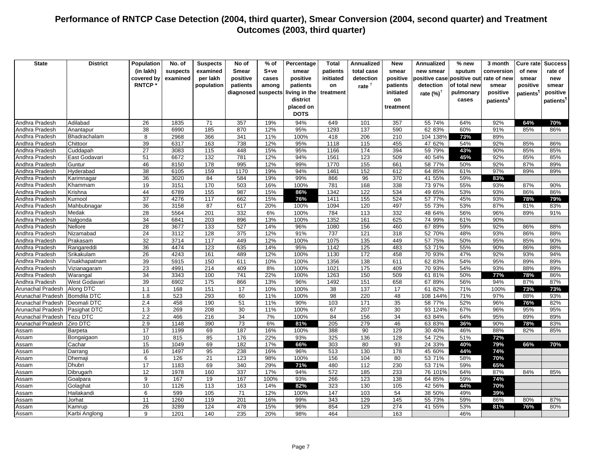| <b>State</b>                     | <b>District</b>            | Population      | No. of       | <b>Suspects</b> | No of           | % of       | Percentage    | <b>Total</b> | Annualized | New       | Annualized                 | % new        | 3 month               | Cure rate  | <b>Success</b>        |
|----------------------------------|----------------------------|-----------------|--------------|-----------------|-----------------|------------|---------------|--------------|------------|-----------|----------------------------|--------------|-----------------------|------------|-----------------------|
|                                  |                            | (in lakh)       | suspects     | examined        | <b>Smear</b>    | $S+ve$     | smear         | patients     | total case | smear     | new smear                  | sputum       | conversion            | of new     | rate of               |
|                                  |                            | covered by      | examined     | per lakh        | positive        | cases      | positive      | initiated    | detection  | positive  | positive case positive out |              | rate of new           | smear      | new                   |
|                                  |                            | <b>RNTCP*</b>   |              | population      | patients        | among      | patients      | on           | rate $†$   | patients  | detection                  | of total new | smear                 | positive   | smear                 |
|                                  |                            |                 |              |                 | diagnosed       | suspects   | living in the | treatment    |            | initiated | rate $(%)^{\dagger}$       | pulmonary    | positive              | patients'  | positive              |
|                                  |                            |                 |              |                 |                 |            | district      |              |            | on        |                            | cases        | patients <sup>§</sup> |            | patients <sup>1</sup> |
|                                  |                            |                 |              |                 |                 |            | placed on     |              |            | treatment |                            |              |                       |            |                       |
|                                  |                            |                 |              |                 |                 |            | <b>DOTS</b>   |              |            |           |                            |              |                       |            |                       |
| Andhra Pradesh                   | Adilabad                   | 26              | 1835         | 71              | 357             | 19%        | 94%           | 649          | 101        | 357       | 55 74%                     | 64%          | 92%                   | 64%        | 70%                   |
| Andhra Pradesh                   | Anantapur                  | 38              | 6990         | 185             | 870             | 12%        | 95%           | 1293         | 137        | 590       | 62 83%                     | 60%          | 91%                   | 85%        | 86%                   |
| Andhra Pradesh                   | Bhadrachalam               | 8               | 2968         | 366             | 341             | 11%        | 100%          | 418          | 206        | 210       | 104 138%                   | 73%          | 89%                   |            |                       |
| Andhra Pradesh                   | Chittoor                   | 39              | 6317         | 163             | 738             | 12%        | 95%           | 1118         | 115        | 455       | 47 62%                     | 54%          | 92%                   | 85%        | 86%                   |
| Andhra Pradesh                   | Cuddapah                   | $\overline{27}$ | 3083         | 115             | 448             | 15%        | 95%           | 1166         | 174        | 394       | 59 79%                     | 43%          | 90%                   | 85%        | 85%                   |
| Andhra Pradesh                   | East Godavari              | 51              | 6672         | 132             | 781             | 12%        | 94%           | 1561         | 123        | 509       | 40 54%                     | 45%          | 92%                   | 85%        | 85%                   |
| Andhra Pradesh                   | Guntur                     | 46              | 8150         | 178             | 995             | 12%        | 99%           | 1770         | 155        | 661       | 58 77%                     | 50%          | 92%                   | 87%        | 89%                   |
| Andhra Pradesh                   | Hyderabad                  | 38              | 6105         | 159             | 1170            | 19%        | 94%           | 1461         | 152        | 612       | 64 85%                     | 61%          | 97%                   | 89%        | 89%                   |
| Andhra Pradesh                   | Karimnagar                 | 36              | 3020         | 84              | 584             | 19%        | 99%           | 866          | 96         | 370       | 41 55%                     | 59%          | 83%                   |            |                       |
| Andhra Pradesh                   | Khammam                    | 19              | 3151         | 170             | 503             | 16%        | 100%          | 781          | 168        | 338       | 73 97%                     | 55%          | 93%                   | 87%        | 90%                   |
| Andhra Pradesh                   | Krishna                    | 44              | 6789         | 155             | 987             | 15%        | 86%           | 1342         | 122        | 534       | 49 65%                     | 53%          | 93%                   | 86%        | 86%                   |
| Andhra Pradesh                   | Kurnool                    | $\overline{37}$ | 4276         | 117             | 662             | 15%        | 76%           | 1411         | 155        | 524       | 57 77%                     | 45%          | 93%                   | 78%        | 79%                   |
| Andhra Pradesh                   | Mahbubnagar                | 36              | 3158         | 87              | 617             | 20%        | 100%          | 1094         | 120        | 497       | 55 73%                     | 53%          | 87%                   | 81%        | 83%                   |
| Andhra Pradesh                   | Medak                      | 28              | 5564         | 201             | 332             | 6%         | 100%          | 784          | 113        | 332       | 48 64%                     | 56%          | 96%                   | 89%        | 91%                   |
| Andhra Pradesh                   | Nalgonda                   | 34              | 6841         | 203             | 896             | 13%        | 100%          | 1352         | 161        | 625       | 74 99%                     | 61%          | 90%                   |            |                       |
| Andhra Pradesh                   | Nellore                    | 28              | 3677         | 133             | 527             | 14%        | 96%           | 1080         | 156        | 460       | 67 89%                     | 59%          | 92%                   | 86%        | 88%                   |
| Andhra Pradesh                   | Nizamabad                  | 24              | 3112         | 128             | 375             | 12%        | 91%           | 737          | 121        | 318       | 52 70%                     | 48%          | 93%                   | 86%        | 88%                   |
| Andhra Pradesh                   | Prakasam                   | $\overline{32}$ | 3714         | 117             | 449             | 12%        | 100%          | 1075         | 135        | 449       | 57 75%                     | 50%          | 95%                   | 85%        | 90%                   |
| Andhra Pradesh                   | Rangareddi                 | 36              | 4474         | 123             | 635             | 14%        | 95%           | 1142         | 125        | 483       | 53 71%                     | 55%          | 90%                   | 86%        | 88%                   |
| Andhra Pradesh                   | Srikakulam                 | $\overline{26}$ | 4243         | 161             | 489             | 12%        | 100%          | 1130         | 172        | 458       | 70 93%                     | 47%          | 92%                   | 93%        | 94%                   |
| Andhra Pradesh                   | Visakhapatnam              | 39              | 5915         | 150             | 611             | 10%        | 100%          | 1356         | 138        | 611       | 62 83%                     | 54%          | 95%                   | 89%        | 89%                   |
| Andhra Pradesh                   | Vizianagaram               | 23              | 4991         | 214             | 409             | 8%         | 100%          | 1021         | 175        | 409       | 70 93%                     | 54%          | 93%                   | 88%        | 89%                   |
| Andhra Pradesh<br>Andhra Pradesh | Warangal                   | 34<br>39        | 3343<br>6902 | 100<br>175      | 741<br>866      | 22%        | 100%<br>96%   | 1263<br>1492 | 150        | 509       | 61 81%                     | 50%          | 77%<br>94%            | 78%<br>87% | 86%<br>87%            |
| <b>Arunachal Pradesh</b>         | West Godavari<br>Along DTC | 1.1             | 168          | 151             | 17              | 13%<br>10% | 100%          | 38           | 151<br>137 | 658<br>17 | 67 89%<br>61 82%           | 56%<br>71%   | 100%                  | 73%        | 73%                   |
| Arunachal Pradesh                | <b>Bomdila DTC</b>         | 1.8             | 523          | 293             | 60              | 11%        | 100%          | 98           | 220        | 48        | 108 144%                   | 71%          | 97%                   | 88%        | 93%                   |
| Arunachal Pradesh                | Deomali DTC                | 2.4             | 458          | 190             | 51              | 11%        | 90%           | 103          | 171        | 35        | 58 77%                     | 52%          | 96%                   | 76%        | 82%                   |
| Arunachal Pradesh                | Pasighat DTC               | 1.3             | 269          | 208             | 30              | 11%        | 100%          | 67           | 207        | 30        | 93 124%                    | 67%          | 96%                   | 95%        | 95%                   |
| Arunachal Pradesh                | <b>Fezu DTC</b>            | 2.2             | 466          | 216             | 34              | 7%         | 100%          | 84           | 156        | 34        | 63 84%                     | 64%          | 95%                   | 89%        | 89%                   |
| Arunachal Pradesh                | Ziro DTC                   | 2.9             | 1148         | 390             | 73              | 6%         | 81%           | 205          | 279        | 46        | 63 83%                     | 36%          | 90%                   | 78%        | 83%                   |
| Assam                            | Barpeta                    | 17              | 1199         | 69              | 187             | 16%        | 100%          | 388          | 90         | 129       | 30 40%                     | 46%          | 88%                   | 82%        | 85%                   |
| Assam                            | Bongaigaon                 | 10              | 815          | 85              | 176             | 22%        | 93%           | 325          | 136        | 128       | 54 72%                     | 51%          | 72%                   |            |                       |
| Assam                            | Cachar                     | 15              | 1049         | 69              | 182             | 17%        | 66%           | 303          | 80         | 93        | 24 33%                     | 40%          | 79%                   | 66%        | 70%                   |
| Assam                            | Darrang                    | 16              | 1497         | 95              | 238             | 16%        | 96%           | 513          | 130        | 178       | 45 60%                     | 44%          | 74%                   |            |                       |
| Assam                            | Dhemaji                    | 6               | 126          | 21              | 123             | 98%        | 100%          | 156          | 104        | 80        | 53 71%                     | 58%          | 70%                   |            |                       |
| Assam                            | Dhubri                     | $\overline{17}$ | 1183         | 69              | 340             | 29%        | 71%           | 480          | 112        | 230       | 53 71%                     | 59%          | 65%                   |            |                       |
| Assam                            | Dibrugarh                  | 12              | 1978         | 160             | 337             | 17%        | 94%           | 572          | 185        | 233       | 76 101%                    | 64%          | 87%                   | 84%        | 85%                   |
| Assam                            | Goalpara                   | 9               | 167          | 19              | 167             | 100%       | 93%           | 266          | 123        | 138       | 64 85%                     | 59%          | 74%                   |            |                       |
| Assam                            | Golaghat                   | 10              | 1126         | 113             | 163             | 14%        | 82%           | 323          | 130        | 105       | 42 56%                     | 44%          | 70%                   |            |                       |
| Assam                            | Hailakandi                 | $6\overline{6}$ | 599          | 105             | $\overline{71}$ | 12%        | 100%          | 147          | 103        | 54        | 38 50%                     | 49%          | 39%                   |            |                       |
| Assam                            | Jorhat                     | 11              | 1260         | 119             | 201             | 16%        | 99%           | 343          | 129        | 145       | 55 73%                     | 59%          | 86%                   | 80%        | 87%                   |
| Assam                            | Kamrup                     | 26              | 3289         | 124             | 478             | 15%        | 96%           | 854          | 129        | 274       | 41 55%                     | 53%          | 81%                   | 76%        | 80%                   |
| Assam                            | Karbi Anglong              | 9               | 1201         | 140             | 235             | 20%        | 98%           | 464          |            | 163       |                            | 46%          |                       |            |                       |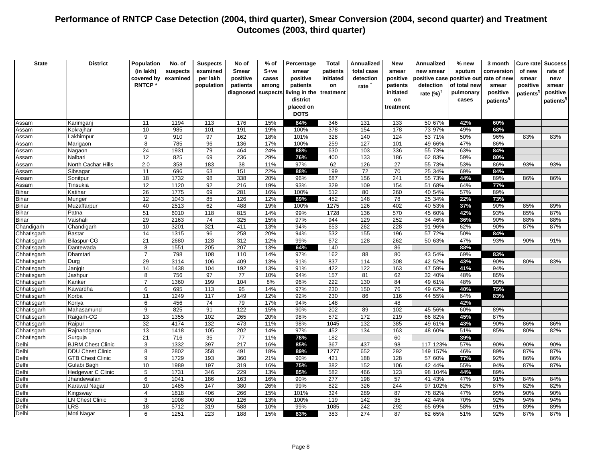| <b>State</b>               | <b>District</b>          | Population          | No. of       | <b>Suspects</b> | No of           | $%$ of     | Percentage    | <b>Total</b> | <b>Annualized</b> | <b>New</b> | <b>Annualized</b>    | % new        | 3 month               | Cure rate | <b>Success</b>        |
|----------------------------|--------------------------|---------------------|--------------|-----------------|-----------------|------------|---------------|--------------|-------------------|------------|----------------------|--------------|-----------------------|-----------|-----------------------|
|                            |                          | (in lakh)           | suspects     | examined        | <b>Smear</b>    | S+ve       | smear         | patients     | total case        | smear      | new smear            | sputum       | conversion            | of new    | rate of               |
|                            |                          | covered by          | examined     | per lakh        | positive        | cases      | positive      | initiated    | detection         | positive   | positive case        | positive out | rate of new           | smear     | new                   |
|                            |                          | <b>RNTCP</b>        |              | population      | patients        | among      | patients      | on           | rate <sup>†</sup> | patients   | detection            | of total new | smear                 | positive  | smear                 |
|                            |                          |                     |              |                 | diagnosed       | suspects   | living in the | treatment    |                   | initiated  | rate $(%)^{\dagger}$ | pulmonary    | positive              | patients' | positive              |
|                            |                          |                     |              |                 |                 |            | district      |              |                   | on         |                      | cases        | patients <sup>§</sup> |           | patients <sup>1</sup> |
|                            |                          |                     |              |                 |                 |            | placed on     |              |                   | treatment  |                      |              |                       |           |                       |
|                            |                          |                     |              |                 |                 |            | <b>DOTS</b>   |              |                   |            |                      |              |                       |           |                       |
| Assam                      | Karimganj                | 11                  | 1194         | 113             | 176             | 15%        | 84%           | 346          | 131               | 133        | 50 67%               | 42%          | 60%                   |           |                       |
| Assam                      | Kokrajhar                | 10                  | 985          | 101             | 191             | 19%        | 100%          | 378          | 154               | 178        | 73 97%               | 49%          | 68%                   |           |                       |
| Assam                      | Lakhimpur                | 9                   | 910          | $\overline{97}$ | 162             | 18%        | 101%          | 328          | 140               | 124        | 53 71%               | 50%          | 96%                   | 83%       | 83%                   |
| Assam                      | Marigaon                 | 8                   | 785          | 96              | 136             | 17%        | 100%          | 259          | 127               | 101        | 49 66%               | 47%          | 86%                   |           |                       |
| Assam                      | Nagaon                   | 24                  | 1931         | 79              | 464             | 24%        | 88%           | 630          | 103               | 336        | 55 73%               | 63%          | 84%                   |           |                       |
| Assam                      | Nalbari                  | 12                  | 825          | 69              | 236             | 29%        | 76%           | 400          | 133               | 186        | 62 83%               | 59%          | 80%                   |           |                       |
| Assam                      | North Cachar Hills       | 2.0                 | 358          | 183             | 38              | 11%        | 97%           | 62           | 126               | 27         | 55 73%               | 53%          | 86%                   | 93%       | 93%                   |
| Assam                      | Sibsagar                 | 11                  | 696          | 63              | 151             | 22%        | 88%           | 199          | 72                | 70         | 25 34%               | 69%          | 84%                   |           |                       |
| Assam                      | Sonitpur                 | 18                  | 1732         | 98              | 338             | 20%        | 96%           | 687          | 156               | 241        | 55 73%               | 44%          | 89%                   | 86%       | 86%                   |
| Assam                      | Tinsukia                 | 12                  | 1120         | 92              | 216             | 19%        | 93%           | 329          | 109               | 154        | 51 68%               | 64%          | 77%                   |           |                       |
| <b>Bihar</b>               | Katihar                  | 26                  | 1775         | 69              | 281             | 16%        | 100%          | 512          | 80                | 260        | 40 54%               | 57%          | 89%                   |           |                       |
| <b>Bihar</b>               | Munger                   | 12                  | 1043         | 85              | 126             | 12%        | 89%           | 452          | 148               | 78         | 25 34%               | 22%          | 73%                   |           |                       |
| <b>Bihar</b>               | Muzaffarpur              | 40                  | 2513         | 62              | 488             | 19%        | 100%          | 1275         | 126               | 402        | 40 53%               | 37%          | 90%                   | 85%       | 89%                   |
| <b>Bihar</b>               | Patna                    | 51                  | 6010         | 118             | 815             | 14%        | 99%           | 1728         | 136               | 570        | 45 60%               | 42%          | 93%                   | 85%       | 87%                   |
| <b>Bihar</b>               | Vaishali                 | 29                  | 2163         | 74              | 325             | 15%        | 97%           | 944          | 129               | 252        | 34 46%               | 36%          | 90%                   | 88%       | 88%                   |
| Chandigarh                 | Chandigarh               | 10                  | 3201         | 321             | 411             | 13%        | 94%           | 653          | 262               | 228        | 91 96%               | 62%          | 90%                   | 87%       | 87%                   |
| Chhatisgarh                | Bastar                   | 14                  | 1315         | 96              | 258             | 20%        | 94%           | 532          | 155               | 196        | 57 72%               | 50%          | 84%                   |           |                       |
| Chhatisgarh                | Bilaspur-CG              | 21                  | 2680         | 128             | 312             | 12%        | 99%           | 672          | 128               | 262        | 50 63%               | 47%          | 93%                   | 90%       | 91%                   |
| Chhatisgarh                | Dantewada                | 8<br>$\overline{7}$ | 1551         | 205             | 207             | 13%        | 64%           | 140          |                   | 86         |                      | 88%          |                       |           |                       |
| Chhatisgarh                | Dhamtari                 |                     | 798          | 108             | 110             | 14%        | 97%           | 162          | 88                | 80         | 43 54%               | 69%          | 83%                   |           |                       |
| Chhatisgarh                | Durg<br>Janjqir          | 29<br>14            | 3114<br>1438 | 106<br>104      | 409<br>192      | 13%<br>13% | 91%<br>91%    | 837<br>422   | 114<br>122        | 308<br>163 | 42 52%<br>47 59%     | 43%<br>41%   | 90%<br>94%            | 80%       | 83%                   |
| Chhatisgarh<br>Chhatisgarh | Jashpur                  | $\overline{8}$      | 756          | $\overline{97}$ | $\overline{77}$ | 10%        | 94%           | 157          | 81                | 62         | 32 40%               | 48%          | 85%                   |           |                       |
| Chhatisgarh                | Kanker                   | $\overline{7}$      | 1360         | 199             | 104             | 8%         | 96%           | 222          | 130               | 84         | 49 61%               | 48%          | 90%                   |           |                       |
| Chhatisgarh                | Kawardha                 | 6                   | 695          | 113             | 95              | 14%        | 97%           | 230          | 150               | 76         | 49 62%               | 40%          | 75%                   |           |                       |
| Chhatisgarh                | Korba                    | 11                  | 1249         | 117             | 149             | 12%        | 92%           | 230          | 86                | 116        | 44 55%               | 64%          | 83%                   |           |                       |
| Chhatisgarh                | Koriya                   | 6                   | 456          | 74              | 79              | 17%        | 94%           | 148          |                   | 48         |                      | 42%          |                       |           |                       |
| Chhatisgarh                | Mahasamund               | 9                   | 825          | 91              | 122             | 15%        | 90%           | 202          | 89                | 102        | 45 56%               | 60%          | 89%                   |           |                       |
| Chhatisgarh                | Raigarh-CG               | 13                  | 1355         | 102             | 265             | 20%        | 98%           | 572          | 172               | 219        | 66 82%               | 45%          | 87%                   |           |                       |
| Chhatisgarh                | Raipur                   | 32                  | 4174         | 132             | 473             | 11%        | 98%           | 1045         | 132               | 385        | 49 61%               | 43%          | 90%                   | 86%       | 86%                   |
| Chhatisgarh                | Rajnandgaon              | 13                  | 1418         | 105             | 202             | 14%        | 97%           | 452          | 134               | 163        | 48 60%               | 51%          | 85%                   | 80%       | 82%                   |
| Chhatisgarh                | Surguja                  | 21                  | 716          | 35              | $\overline{77}$ | 11%        | 78%           | 182          |                   | 60         |                      | 39%          |                       |           |                       |
| Delhi                      | <b>BJRM Chest Clinic</b> | 3                   | 1332         | 397             | 217             | 16%        | 85%           | 367          | 437               | 98         | 117 123%             | 57%          | 90%                   | 90%       | 90%                   |
| Delhi                      | <b>DDU Chest Clinic</b>  | 8                   | 2802         | 358             | 491             | 18%        | 89%           | 1277         | 652               | 292        | 149 157%             | 46%          | 89%                   | 87%       | 87%                   |
| Delhi                      | <b>GTB Chest Clinic</b>  | 9                   | 1729         | 193             | 360             | 21%        | 90%           | 421          | 188               | 128        | 57 60%               | 77%          | 92%                   | 86%       | 86%                   |
| Delhi                      | Gulabi Bagh              | 10                  | 1989         | 197             | 319             | 16%        | 75%           | 382          | 152               | 106        | 42 44%               | 55%          | 94%                   | 87%       | 87%                   |
| Delhi                      | Hedgewar C Clinic        | 5                   | 1731         | 346             | 229             | 13%        | 85%           | 582          | 466               | 123        | 98 104%              | 44%          | 89%                   |           |                       |
| Delhi                      | Jhandewalan              | 6                   | 1041         | 186             | 163             | 16%        | 90%           | 277          | 198               | 57         | 41 43%               | 47%          | 91%                   | 84%       | 84%                   |
| Delhi                      | Karawal Nagar            | 10                  | 1485         | 147             | 380             | 26%        | 99%           | 822          | 326               | 244        | 97 102%              | 62%          | 87%                   | 82%       | 82%                   |
| Delhi                      | Kingsway                 | $\overline{4}$      | 1818         | 406             | 266             | 15%        | 101%          | 324          | 289               | 87         | 78 82%               | 47%          | 95%                   | 90%       | 90%                   |
| Delhi                      | <b>LN Chest Clinic</b>   | 3                   | 1008         | 300             | 126             | 13%        | 100%          | 119          | 142               | 35         | 42 44%               | 70%          | 92%                   | 94%       | 94%                   |
| Delhi                      | $\overline{\text{LRS}}$  | 18                  | 5712         | 319             | 588             | 10%        | 99%           | 1085         | 242               | 292        | 65 69%               | 58%          | 91%                   | 89%       | 89%                   |
| Delhi                      | Moti Nagar               | 6                   | 1251         | 223             | 188             | 15%        | 83%           | 383          | 274               | 87         | 62 65%               | 51%          | 92%                   | 87%       | 87%                   |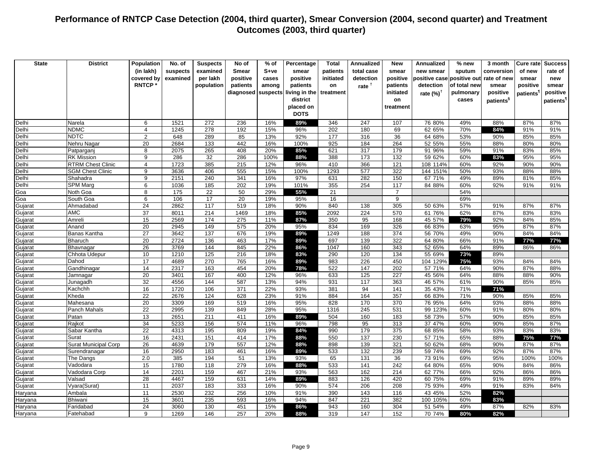| <b>State</b>       | <b>District</b>             | Population      | No. of       | <b>Suspects</b> | No of        | % of       | Percentage    | <b>Total</b> | <b>Annualized</b> | <b>New</b> | <b>Annualized</b>    | % new        | 3 month               | Cure rate  | <b>Success</b>        |
|--------------------|-----------------------------|-----------------|--------------|-----------------|--------------|------------|---------------|--------------|-------------------|------------|----------------------|--------------|-----------------------|------------|-----------------------|
|                    |                             | (in lakh)       | suspects     | examined        | <b>Smear</b> | S+ve       | smear         | patients     | total case        | smear      | new smear            | sputum       | conversion            | of new     | rate of               |
|                    |                             | covered by      | examined     | per lakh        | positive     | cases      | positive      | initiated    | detection         | positive   | positive case        | positive out | rate of new           | smear      | new                   |
|                    |                             | <b>RNTCP</b>    |              | population      | patients     | among      | patients      | on           | rate <sup>†</sup> | patients   | detection            | of total new | smear                 | positive   | smear                 |
|                    |                             |                 |              |                 | diagnosed    | suspects   | living in the | treatment    |                   | initiated  | rate $(%)^{\dagger}$ | pulmonary    | positive              | patients'  | positive              |
|                    |                             |                 |              |                 |              |            | district      |              |                   | on         |                      | cases        | patients <sup>§</sup> |            | patients <sup>1</sup> |
|                    |                             |                 |              |                 |              |            | placed on     |              |                   | treatment  |                      |              |                       |            |                       |
|                    |                             |                 |              |                 |              |            | <b>DOTS</b>   |              |                   |            |                      |              |                       |            |                       |
| Delhi              | Narela                      | 6               | 1521         | 272             | 236          | 16%        | 89%           | 346          | 247               | 107        | 76 80%               | 49%          | 88%                   | 87%        | 87%                   |
| Delhi              | <b>NDMC</b>                 | $\overline{4}$  | 1245         | 278             | 192          | 15%        | 96%           | 202          | 180               | 69         | 62 65%               | 70%          | 84%                   | 91%        | 91%                   |
| Delhi              | <b>NDTC</b>                 | $\overline{2}$  | 648          | 289             | 85           | 13%        | 92%           | 177          | 316               | 36         | 64 68%               | 53%          | 90%                   | 85%        | 85%                   |
| Delhi              | Nehru Nagar                 | 20              | 2684         | 133             | 442          | 16%        | 100%          | 925          | 184               | 264        | 52 55%               | 55%          | 88%                   | 80%        | 80%                   |
| Delhi              | Patparganj                  | 8               | 2075         | 265             | 408          | 20%        | 85%           | 621          | 317               | 179        | 91 96%               | 59%          | 91%                   | 83%        | 85%                   |
| Delhi              | <b>RK Mission</b>           | 9               | 286          | 32              | 286          | 100%       | 88%           | 388          | 173               | 132        | 59 62%               | 60%          | 83%                   | 95%        | 95%                   |
| Delhi              | <b>RTRM Chest Clinic</b>    | $\overline{4}$  | 1723         | 385             | 215          | 12%        | 96%           | 410          | 366               | 121        | 108 114%             | 60%          | 92%                   | 90%        | 90%                   |
| Delhi              | <b>SGM Chest Clinic</b>     | 9               | 3636         | 406             | 555          | 15%        | 100%          | 1293         | 577               | 322        | 144 151%             | 50%          | 93%                   | 88%        | 88%                   |
| Delhi              | Shahadra                    | 9               | 2151         | 240             | 341          | 16%        | 97%           | 631          | 282               | 150        | 67 71%               | 49%          | 89%                   | 81%        | 85%                   |
| Delhi              | <b>SPM Marg</b>             | 6               | 1036         | 185             | 202          | 19%        | 101%          | 355          | 254               | 117        | 84 88%               | 60%          | 92%                   | 91%        | 91%                   |
| Goa                | Noth Goa                    | 8               | 175          | 22              | 50           | 29%        | 55%           | 21           |                   | 7          |                      | 54%          |                       |            |                       |
| Goa                | South Goa                   | 6               | 106          | 17              | 20           | 19%        | 95%           | 16           |                   | 9          |                      | 69%          |                       |            |                       |
| Gujarat            | Ahmadabad                   | 24              | 2862         | 117             | 519          | 18%        | 90%           | 840          | 138               | 305        | 50 63%               | 57%          | 91%                   | 87%        | 87%                   |
| Gujarat            | AMC                         | $\overline{37}$ | 8011         | 214             | 1469         | 18%        | 85%           | 2092         | 224               | 570        | 61 76%               | 62%          | 87%                   | 83%        | 83%                   |
| Gujarat            | Amreli                      | 15              | 2569         | 174             | 275          | 11%        | 87%           | 350          | 95                | 168        | 45 57%               | 79%          | 92%                   | 84%        | 85%                   |
| Gujarat            | Anand                       | 20              | 2945         | 149             | 575          | 20%        | 95%           | 834          | 169               | 326        | 66 83%               | 63%          | 95%                   | 87%        | 87%                   |
| Gujarat            | Banas Kantha                | 27<br>20        | 3642<br>2724 | 137             | 676          | 19%        | 89%           | 1249<br>697  | 188<br>139        | 374<br>322 | 56 70%               | 49%          | 90%<br>91%            | 84%        | 84%                   |
| Gujarat            | <b>Bharuch</b><br>Bhavnagar | 26              | 3769         | 136<br>144      | 463<br>845   | 17%<br>22% | 89%<br>86%    | 1047         | 160               | 343        | 64 80%<br>52 65%     | 66%<br>64%   | 89%                   | 77%<br>86% | 77%<br>86%            |
| Gujarat            | Chhota Udepur               | 10              | 1210         | 125             | 216          | 18%        | 83%           | 290          | 120               | 134        | 55 69%               | 73%          | 89%                   |            |                       |
| Gujarat            | Dahod                       | 17              | 4689         | 270             | 765          | 16%        | 89%           | 983          | 226               | 450        | 104 129%             | 75%          | 93%                   | 84%        | 84%                   |
| Gujarat<br>Gujarat | Gandhinagar                 | 14              | 2317         | 163             | 454          | 20%        | 78%           | 522          | 147               | 202        | 57 71%               | 64%          | 90%                   | 87%        | 88%                   |
| Gujarat            | Jamnagar                    | 20              | 3401         | 167             | 400          | 12%        | 96%           | 633          | 125               | 227        | 45 56%               | 64%          | 88%                   | 88%        | 90%                   |
| Gujarat            | Junagadh                    | 32              | 4556         | 144             | 587          | 13%        | 94%           | 931          | 117               | 363        | 46 57%               | 61%          | 90%                   | 85%        | 85%                   |
| Gujarat            | Kachchh                     | 16              | 1720         | 106             | 371          | 22%        | 93%           | 381          | 94                | 141        | 35 43%               | 71%          | 71%                   |            |                       |
| Gujarat            | Kheda                       | $\overline{22}$ | 2676         | 124             | 628          | 23%        | 91%           | 884          | 164               | 357        | 66 83%               | 71%          | 90%                   | 85%        | 85%                   |
| Gujarat            | Mahesana                    | 20              | 3309         | 169             | 519          | 16%        | 95%           | 828          | 170               | 370        | 76 95%               | 64%          | 93%                   | 88%        | 88%                   |
| Gujarat            | Panch Mahals                | $\overline{22}$ | 2995         | 139             | 849          | 28%        | 95%           | 1316         | 245               | 531        | 99 123%              | 60%          | 91%                   | 80%        | 80%                   |
| Gujarat            | Patan                       | 13              | 2651         | 211             | 411          | 16%        | 89%           | 504          | 160               | 183        | 58 73%               | 57%          | 90%                   | 85%        | 85%                   |
| Gujarat            | Rajkot                      | 34              | 5233         | 156             | 574          | 11%        | 96%           | 798          | 95                | 313        | 37 47%               | 60%          | 90%                   | 85%        | 87%                   |
| Gujarat            | Sabar Kantha                | $\overline{22}$ | 4313         | 195             | 809          | 19%        | 84%           | 990          | 179               | 375        | 68 85%               | 58%          | 93%                   | 83%        | 83%                   |
| Gujarat            | Surat                       | 16              | 2431         | 151             | 414          | 17%        | 88%           | 550          | 137               | 230        | 57 71%               | 65%          | 88%                   | 75%        | 77%                   |
| Gujarat            | <b>Surat Municipal Corp</b> | 26              | 4639         | 179             | 557          | 12%        | 88%           | 898          | 139               | 321        | 50 62%               | 68%          | 90%                   | 87%        | 87%                   |
| Gujarat            | Surendranagar               | 16              | 2950         | 183             | 461          | 16%        | 89%           | 533          | 132               | 239        | 59 74%               | 69%          | 92%                   | 87%        | 87%                   |
| Gujarat            | The Dangs                   | 2.0             | 385          | 194             | 51           | 13%        | 93%           | 65           | 131               | 36         | 73 91%               | 69%          | 95%                   | 100%       | 100%                  |
| Gujarat            | Vadodara                    | 15              | 1780         | 118             | 279          | 16%        | 88%           | 533          | 141               | 242        | 64 80%               | 65%          | 90%                   | 84%        | 86%                   |
| Gujarat            | Vadodara Corp               | 14              | 2201         | 159             | 467          | 21%        | 93%           | 563          | 162               | 214        | 62 77%               | 66%          | 92%                   | 86%        | 86%                   |
| Gujarat            | Valsad                      | 28              | 4467         | 159             | 631          | 14%        | 89%           | 883          | 126               | 420        | 60 75%               | 69%          | 91%                   | 89%        | 89%                   |
| Gujarat            | Vyara(Surat)                | 11              | 2037         | 183             | 333          | 16%        | 90%           | 574          | 206               | 208        | 75 93%               | 49%          | 91%                   | 83%        | 84%                   |
| Haryana            | Ambala                      | 11              | 2530         | 232             | 256          | 10%        | 91%           | 390          | 143               | 116        | 43 45%               | 52%          | 82%                   |            |                       |
| Haryana            | Bhiwani                     | 15              | 3601         | 235             | 593          | 16%        | 94%           | 847          | 221               | 382        | 100 105%             | 60%          | 83%                   |            |                       |
| Haryana            | Faridabad                   | 24              | 3060         | 130             | 451          | 15%        | 86%           | 943          | 160               | 304        | 51 54%               | 49%          | 87%                   | 82%        | 83%                   |
| Haryana            | Fatehabad                   | 9               | 1269         | 146             | 257          | 20%        | 88%           | 319          | 147               | 152        | 70 74%               | 80%          | 82%                   |            |                       |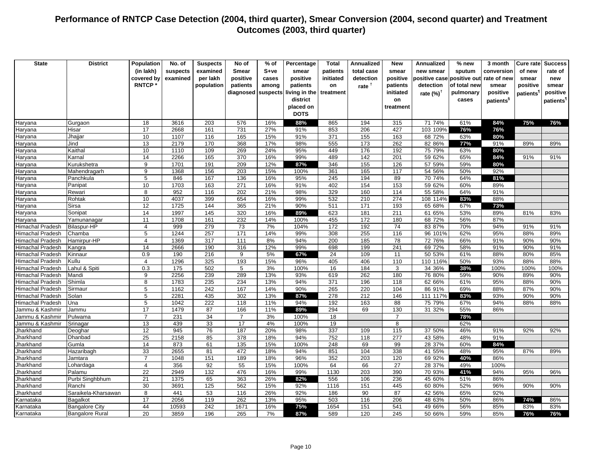| <b>State</b>            | <b>District</b>        | Population           | No. of      | <b>Suspects</b>  | No of                   | $%$ of     | Percentage    | <b>Total</b>    | <b>Annualized</b> | <b>New</b>     | <b>Annualized</b>     | % new        | 3 month               | Cure ratel            | <b>Success</b>        |
|-------------------------|------------------------|----------------------|-------------|------------------|-------------------------|------------|---------------|-----------------|-------------------|----------------|-----------------------|--------------|-----------------------|-----------------------|-----------------------|
|                         |                        | (in lakh)            | suspects    | examined         | Smear                   | $S+ve$     | smear         | patients        | total case        | smear          | new smear             | sputum       | conversion            | of new                | rate of               |
|                         |                        | covered by           | examined    | per lakh         | positive                | cases      | positive      | initiated       | detection         | positive       | positive case         | positive out | rate of new           | smear                 | new                   |
|                         |                        | <b>RNTCP</b>         |             | population       | patients                | among      | patients      | on              | rate <sup>†</sup> | patients       | detection             | of total nev | smear                 | positive              | smear                 |
|                         |                        |                      |             |                  | diagnosed               | suspects   | living in the | treatment       |                   | initiated      | rate $(\%)^{\dagger}$ | pulmonary    | positive              | patients <sup>1</sup> | positive              |
|                         |                        |                      |             |                  |                         |            | district      |                 |                   | on             |                       | cases        | patients <sup>§</sup> |                       | patients <sup>1</sup> |
|                         |                        |                      |             |                  |                         |            | placed on     |                 |                   | treatment      |                       |              |                       |                       |                       |
|                         |                        |                      |             |                  |                         |            | <b>DOTS</b>   |                 |                   |                |                       |              |                       |                       |                       |
| Haryana                 | Gurgaon                | 18                   | 3616        | 203              | 576                     | 16%        | 88%           | 865             | 194               | 315            | 71 74%                | 61%          | 84%                   | 75%                   | 76%                   |
| Haryana                 | Hisar                  | 17                   | 2668        | 161              | 731                     | 27%        | 91%           | 853             | 206               | 427            | 103 109%              | 76%          | 76%                   |                       |                       |
| Haryana                 | Jhajjar                | 10                   | 1107        | 116              | 165                     | 15%        | 91%           | 371             | 155               | 163            | 68 72%                | 63%          | 80%                   |                       |                       |
| Haryana                 | Jind                   | 13                   | 2179        | 170              | 368                     | 17%        | 98%           | 555             | 173               | 262            | 82 86%                | 77%          | 91%                   | 89%                   | 89%                   |
| Haryana                 | Kaithal                | 10                   | 1110        | 109              | 269                     | 24%        | 95%           | 449             | 176               | 192            | 75 79%                | 63%          | 80%                   |                       |                       |
| Haryana                 | Karnal                 | 14                   | 2266        | 165              | 370                     | 16%        | 99%           | 489             | 142               | 201            | 59 62%                | 65%          | 84%                   | 91%                   | 91%                   |
| Haryana                 | Kurukshetra            | 9                    | 1701        | 191              | 209                     | 12%        | 87%           | 346             | 155               | 126            | 57 59%                | 59%          | 80%                   |                       |                       |
| Haryana                 | Mahendragarh           | 9                    | 1368        | 156              | 203                     | 15%        | 100%          | 361             | 165               | 117            | 54 56%                | 50%          | 92%                   |                       |                       |
| Haryana                 | Panchkula<br>Panipat   | $\sqrt{5}$<br>10     | 846<br>1703 | 167<br>163       | 136<br>$\overline{271}$ | 16%<br>16% | 95%<br>91%    | 245<br>402      | 194<br>154        | 89<br>153      | 70 74%<br>59 62%      | 64%<br>60%   | 81%<br>89%            |                       |                       |
| Haryana                 |                        | $\overline{8}$       | 952         | 116              | 202                     | 21%        | 98%           | 329             | 160               | 114            | 55 58%                | 64%          | 91%                   |                       |                       |
| Haryana<br>Haryana      | Rewari<br>Rohtak       | 10                   | 4037        | 399              | 654                     | 16%        | 99%           | 532             | 210               | 274            | 108 114%              | 83%          | 88%                   |                       |                       |
| Haryana                 | <b>Sirsa</b>           | 12                   | 1725        | 144              | 365                     | 21%        | 90%           | 511             | 171               | 193            | 65 68%                | 67%          | 73%                   |                       |                       |
| Haryana                 | Sonipat                | 14                   | 1997        | 145              | 320                     | 16%        | 89%           | 623             | 181               | 211            | 61 65%                | 53%          | 89%                   | 81%                   | 83%                   |
| Haryana                 | Yamunanagar            | 11                   | 1708        | 161              | 232                     | 14%        | 100%          | 455             | 172               | 180            | 68 72%                | 56%          | 87%                   |                       |                       |
| Himachal Pradesh        | <b>Bilaspur-HP</b>     | $\overline{4}$       | 999         | 279              | 73                      | 7%         | 104%          | 172             | 192               | 74             | 83 87%                | 70%          | 94%                   | 91%                   | 91%                   |
| Himachal Pradesh        | Chamba                 | 5                    | 1244        | 257              | 171                     | 14%        | 99%           | 308             | 255               | 116            | 96 101%               | 62%          | 95%                   | 88%                   | 89%                   |
| Himachal Pradesh        | Hamirpur-HP            | $\overline{4}$       | 1369        | 317              | 111                     | 8%         | 94%           | 200             | 185               | 78             | 72 76%                | 66%          | 91%                   | 90%                   | 90%                   |
| <b>Himachal Pradesh</b> | Kangra                 | 14                   | 2666        | 190              | 316                     | 12%        | 99%           | 698             | 199               | 241            | 69 72%                | 58%          | 91%                   | 90%                   | 91%                   |
| <b>Himachal Pradesh</b> | Kinnaur                | 0.9                  | 190         | 216              | 9                       | 5%         | 67%           | 24              | 109               | 11             | 50 53%                | 61%          | 88%                   | 80%                   | 85%                   |
| <b>Himachal Pradesh</b> | Kullu                  | $\overline{4}$       | 1296        | 325              | 193                     | 15%        | 96%           | 405             | 406               | 110            | 110 116%              | 50%          | 93%                   | 88%                   | 88%                   |
| <b>Himachal Pradesh</b> | Lahul & Spiti          | 0.3                  | 175         | 502              | $\overline{5}$          | 3%         | 100%          | $\overline{16}$ | 184               | 3              | 34 36%                | 38%          | 100%                  | 100%                  | 100%                  |
| <b>Himachal Pradesh</b> | Mandi                  | 9                    | 2256        | 239              | 289                     | 13%        | 93%           | 619             | 262               | 180            | 76 80%                | 59%          | 90%                   | 89%                   | 90%                   |
| <b>Himachal Pradesh</b> | Shimla                 | 8                    | 1783        | 235              | 234                     | 13%        | 94%           | 371             | 196               | 118            | 62 66%                | 61%          | 95%                   | 88%                   | 90%                   |
| Himachal Pradesh        | Sirmaur                | $\sqrt{5}$           | 1162        | 242              | 167                     | 14%        | 90%           | 265             | 220               | 104            | 86 91%                | 69%          | 88%                   | 87%                   | 90%                   |
| Himachal Pradesh        | Solan                  | 5                    | 2281        | 435              | 302                     | 13%        | 87%           | 278             | 212               | 146            | 111 117%              | 83%          | 93%                   | 90%                   | 90%                   |
| <b>Himachal Pradesh</b> | Una                    | $\overline{5}$       | 1042        | 222              | 118                     | 11%        | 94%           | 192             | 163               | 88             | 75 79%                | 67%          | 94%                   | 88%                   | 88%                   |
| Jammu & Kashmir         | Jammu                  | 17                   | 1479        | 87               | 166                     | 11%        | 89%           | 294             | 69                | 130            | 31 32%                | 55%          | 86%                   |                       |                       |
| Jammu & Kashmir         | Pulwama                | $\overline{7}$       | 231         | 34               | $\overline{7}$          | 3%         | 100%          | 18              |                   | $\overline{7}$ |                       | 78%          |                       |                       |                       |
| Jammu & Kashmir         | Srinagar               | 13                   | 439         | 33               | 17                      | 4%         | 100%          | 19              |                   | 8              |                       | 62%          |                       |                       |                       |
| Jharkhand               | Deoghar                | 12                   | 945         | 76               | 187                     | 20%        | 98%           | 337             | 109               | 115            | 37 50%                | 46%          | 91%                   | 92%                   | 92%                   |
| Jharkhand               | Dhanbad                | 25                   | 2158        | 85               | 378                     | 18%        | 94%           | 752             | 118               | 277            | 43 58%                | 48%          | 91%                   |                       |                       |
| Jharkhand               | Gumla                  | 14                   | 873         | 61               | 135                     | 15%        | 100%          | 248             | 69                | 99             | 28 37%                | 60%          | 84%                   |                       |                       |
| Jharkhand               | Hazaribagh             | 33<br>$\overline{7}$ | 2655        | 81               | 472                     | 18%        | 94%           | 851             | 104               | 338            | 41 55%                | 48%          | 95%                   | 87%                   | 89%                   |
| Jharkhand               | Jamtara                | $\overline{4}$       | 1048<br>356 | 151<br>92        | 189                     | 18%<br>15% | 96%<br>100%   | 352<br>64       | 203<br>66         | 120<br>27      | 69 92%<br>28 37%      | 40%<br>49%   | 86%<br>100%           |                       |                       |
| Jharkhand               | Lohardaga<br>Palamu    | $\overline{22}$      | 2949        | $\overline{132}$ | 55<br>476               | 16%        | 99%           | 1130            | 203               | 390            | 70 93%                | 41%          | 94%                   | 95%                   | 96%                   |
| Jharkhand               | Purbi Singhbhum        | 21                   | 1375        | 65               | 363                     | 26%        | 82%           | 556             | 106               | 236            | 45 60%                | 51%          | 86%                   |                       |                       |
| Jharkhand               | Ranchi                 | 30                   | 3691        | 125              | 562                     | 15%        | 92%           | 1116            | 151               | 445            | 60 80%                | 52%          | 96%                   | 90%                   | 90%                   |
| Jharkhand<br>Jharkhand  | Saraikela-Kharsawan    | 8                    | 441         | 53               | 116                     | 26%        | 92%           | 186             | 90                | 87             | 42 56%                | 65%          | 92%                   |                       |                       |
| Karnataka               | Bagalkot               | 17                   | 2056        | 119              | 262                     | 13%        | 95%           | 503             | 116               | 206            | 48 63%                | 50%          | 86%                   | 74%                   | 86%                   |
| Karnataka               | <b>Bangalore City</b>  | 44                   | 10593       | 242              | 1671                    | 16%        | 75%           | 1654            | 151               | 541            | 49 66%                | 56%          | 85%                   | 83%                   | 83%                   |
| Karnataka               | <b>Bangalore Rural</b> | 20                   | 3859        | 196              | 265                     | 7%         | 87%           | 589             | 120               | 245            | 50 66%                | 59%          | 85%                   | 76%                   | 76%                   |
|                         |                        |                      |             |                  |                         |            |               |                 |                   |                |                       |              |                       |                       |                       |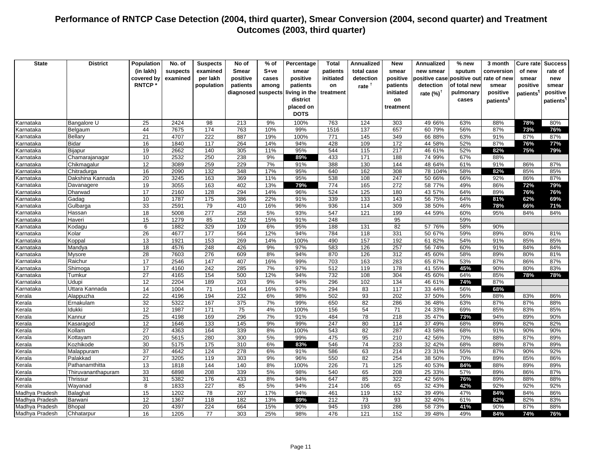| <b>State</b>     | <b>District</b>        | Population      | No. of       | <b>Suspects</b> | No of        | $%$ of   | Percentage    | <b>Total</b>     | <b>Annualized</b> | New        | Annualized       | % new        | 3 month               | Cure ratel | <b>Success</b>        |
|------------------|------------------------|-----------------|--------------|-----------------|--------------|----------|---------------|------------------|-------------------|------------|------------------|--------------|-----------------------|------------|-----------------------|
|                  |                        | (in lakh)       | suspects     | examined        | <b>Smear</b> | $S+ve$   | smear         | patients         | total case        | smear      | new smear        | sputum       | conversion            | of new     | rate of               |
|                  |                        |                 |              |                 |              |          |               |                  |                   |            |                  |              |                       |            |                       |
|                  |                        | covered by      | examined     | per lakh        | positive     | cases    | positive      | initiated        | detection         | positive   | positive casel   | positive out | rate of new           | smear      | new                   |
|                  |                        | <b>RNTCP*</b>   |              | population      | patients     | among    | patients      | on               | rate $†$          | patients   | detection        | of total new | smear                 | positive   | smear                 |
|                  |                        |                 |              |                 | diagnosed    | suspects | living in the | treatment        |                   | initiated  | rate $(\%)^T$    | pulmonary    | positive              | patients`  | positive              |
|                  |                        |                 |              |                 |              |          | district      |                  |                   | on         |                  | cases        | patients <sup>§</sup> |            | patients <sup>1</sup> |
|                  |                        |                 |              |                 |              |          | placed on     |                  |                   | treatment  |                  |              |                       |            |                       |
|                  |                        |                 |              |                 |              |          | <b>DOTS</b>   |                  |                   |            |                  |              |                       |            |                       |
| Karnataka        | Bangalore U            | 25              | 2424         | 98              | 213          | 9%       | 100%          | 763              | 124               | 303        | 49 66%           | 63%          | 88%                   | 78%        | 80%                   |
| Karnataka        | Belgaum                | 44              | 7675         | 174             | 763          | 10%      | 99%           | 1516             | 137               | 657        | 60 79%           | 56%          | 87%                   | 73%        | 76%                   |
| Karnataka        | Bellary                | 21              | 4707         | 222             | 887          | 19%      | 100%          | 771              | 145               | 349        | 66 88%           | 63%          | 91%                   | 87%        | 87%                   |
| Karnataka        | Bidar                  | 16              | 1840         | 117             | 264          | 14%      | 94%           | 428              | 109               | 172        | 44 58%           | 52%          | 87%                   | 76%        | 77%                   |
| Karnataka        | <b>Bijapur</b>         | 19              | 2662         | 140             | 305          | 11%      | 95%           | 544              | 115               | 217        | 46 61%           | 52%          | 82%                   | 75%        | 79%                   |
| Karnataka        | Chamarajanagar         | 10              | 2532         | 250             | 238          | 9%       | 89%           | 433              | 171               | 188        | 74 99%           | 67%          | 88%                   |            |                       |
| Karnataka        | Chikmagalur            | 12              | 3089         | 259             | 229          | 7%       | 91%           | 388              | 130               | 144        | 48 64%           | 61%          | 91%                   | 86%        | 87%                   |
| Karnataka        | Chitradurga            | 16              | 2090         | 132             | 348          | 17%      | 95%           | 640              | 162               | 308        | 78 104%          | 58%          | 82%                   | 85%        | 85%                   |
| Karnataka        | Dakshina Kannada       | 20              | 3245         | 163             | 369          | 11%      | 95%           | 538              | 108               | 247        | 50 66%           | 66%          | 92%                   | 86%        | 87%                   |
| Karnataka        | Davanagere             | 19              | 3055         | 163             | 402          | 13%      | 79%           | 774              | 165               | 272        | 58 77%           | 49%          | 86%                   | 72%        | 79%                   |
| Karnataka        | Dharwad                | 17              | 2160         | 128             | 294          | 14%      | 96%           | 524              | 125               | 180        | 43 57%           | 64%          | 89%                   | 76%        | 76%                   |
| Karnataka        | Gadag                  | 10              | 1787         | 175             | 386          | 22%      | 91%           | 339              | 133               | 143        | 56 75%           | 64%          | 81%                   | 62%        | 69%                   |
| Karnataka        | Gulbarga               | 33              | 2591         | 79              | 410          | 16%      | 96%           | 936              | 114               | 309        | 38 50%           | 46%          | 78%                   | 66%        | 71%                   |
| Karnataka        | Hassan                 | 18              | 5008         | 277             | 258          | 5%       | 93%           | 547              | 121               | 199        | 44 59%           | 60%          | 95%                   | 84%        | 84%                   |
| Karnataka        | Haveri                 | 15              | 1279         | 85              | 192          | 15%      | 91%           | 248              |                   | 95         |                  | 59%          |                       |            |                       |
| Karnataka        | Kodagu                 | 6               | 1882         | 329             | 109          | 6%       | 95%           | 188              | 131               | 82         | 57 76%           | 58%          | 90%                   |            |                       |
| Karnataka        | Kolar                  | 26              | 4677         | 177             | 564          | 12%      | 94%           | 784              | 118               | 331        | 50 67%           | 59%          | 89%                   | 80%        | 81%                   |
| Karnataka        | Koppal                 | 13              | 1921         | 153             | 269          | 14%      | 100%          | 490              | 157               | 192        | 61 82%           | 54%          | 91%                   | 85%        | 85%                   |
| Karnataka        | Mandya                 | 18              | 4576         | 248             | 426          | 9%       | 97%           | 583              | 126               | 257        | 56 74%           | 60%          | 91%                   | 84%        | 84%                   |
| Karnataka        | Mysore                 | 28              | 7603         | 276             | 609          | 8%       | 94%           | 870              | 126               | 312        | 45 60%           | 58%          | 89%                   | 80%        | 81%                   |
| Karnataka        | Raichur                | 17              | 2546         | 147             | 407          | 16%      | 99%           | 703              | 163               | 283        | 65 87%           | 53%          | 87%                   | 86%        | 87%                   |
| Karnataka        | Shimoga                | $\overline{17}$ | 4160         | 242             | 285          | 7%       | 97%           | $\overline{512}$ | 119               | 178        | 41 55%           | 45%          | 90%                   | 80%        | 83%                   |
| Karnataka        | Tumkur                 | 27              | 4165         | 154             | 500          | 12%      | 94%           | 732              | 108               | 304        | 45 60%           | 64%          | 85%                   | 78%        | 78%                   |
| Karnataka        | Udupi                  | 12              | 2204         | 189             | 203          | 9%       | 94%           | 296              | 102               | 134        | 46 61%           | 74%          | 87%                   |            |                       |
| Karnataka        | Uttara Kannada         | 14              | 1004         | 71              | 164          | 16%      | 97%           | 294              | 83                | 117        | 33 44%           | 56%          | 68%                   |            |                       |
| Kerala           | Alappuzha              | $\overline{22}$ | 4196         | 194             | 232          | 6%       | 98%           | 502              | 93                | 202        | 37 50%           | 56%          | 88%                   | 83%        | 86%                   |
| Kerala           | Ernakulam              | 32<br>12        | 5322         | 167<br>171      | 375          | 7%<br>4% | 99%           | 650              | 82                | 286        | 36 48%           | 63%          | 87%                   | 87%        | 88%                   |
| Kerala           | Idukki                 | 25              | 1987<br>4198 |                 | 75           |          | 100%          | 156              | 54                | 71         | 24 33%           | 69%          | 85%<br>94%            | 83%        | 85%                   |
| Kerala           | Kannur                 | $\overline{12}$ | 1646         | 169             | 296          | 7%       | 91%<br>99%    | 484<br>247       | 78                | 218<br>114 | 35 47%           | 73%          |                       | 89%<br>82% | 90%                   |
| Kerala           | Kasaragod<br>Kollam    | 27              | 4363         | 133<br>164      | 145<br>339   | 9%<br>8% | 100%          | 543              | 80<br>82          | 287        | 37 49%<br>43 58% | 68%<br>68%   | 89%<br>91%            | 90%        | 82%<br>90%            |
| Kerala<br>Kerala | Kottayam               | 20              | 5615         | 280             | 300          | 5%       | 99%           | 475              | 95                | 210        | 42 56%           | 70%          | 88%                   | 87%        | 89%                   |
|                  | Kozhikode              | 30              | 5175         | 175             | 310          | 6%       | 83%           | 546              | 74                | 233        | 32 42%           | 68%          | 88%                   | 87%        | 89%                   |
| Kerala           |                        | 37              | 4642         | 124             | 278          | 6%       | 91%           | 586              | 63                | 214        | 23 31%           | 55%          | 87%                   | 90%        | 92%                   |
| Kerala<br>Kerala | Malappuram<br>Palakkad | $\overline{27}$ | 3205         | 119             | 303          | 9%       | 96%           | 550              | 82                | 254        | 38 50%           | 70%          | 89%                   | 85%        | 86%                   |
|                  | Pathanamthitta         | 13              | 1818         | 144             | 140          | 8%       | 100%          | 226              | 71                | 125        | 40 53%           | 84%          | 88%                   | 89%        | 89%                   |
| Kerala<br>Kerala | Thiruvananthapuram     | 33              | 6898         | 208             | 339          | 5%       | 98%           | 540              | 65                | 208        | 25 33%           | 57%          | 89%                   | 86%        | 87%                   |
| Kerala           | Thrissur               | 31              | 5382         | 176             | 433          | 8%       | 94%           | 647              | 85                | 322        | 42 56%           |              | 89%                   | 88%        | 88%                   |
| Kerala           | Wayanad                | 8               | 1833         | 227             | 85           | 5%       | 94%           | 214              | 106               | 65         | 32 43%           | 76%<br>42%   | 92%                   | 92%        | 92%                   |
| Madhya Pradesh   | Balaghat               | 15              | 1202         | 78              | 207          | 17%      | 94%           | 461              | 119               | 152        | 39 49%           | 47%          | 84%                   | 84%        | 86%                   |
| Madhya Pradesh   | Barwani                | 12              | 1367         | 118             | 182          | 13%      | 89%           | 212              | 73                | 93         | 32 40%           | 61%          | 82%                   | 82%        | 83%                   |
| Madhya Pradesh   | Bhopal                 | $\overline{20}$ | 4397         | 224             | 664          | 15%      | 90%           | 945              | 193               | 286        | 58 73%           | 41%          | 90%                   | 87%        | 88%                   |
| Madhya Pradesh   | Chhatarpur             | 16              | 1205         | 77              | 303          | 25%      | 98%           | 476              | 121               | 152        | 39 48%           | 49%          | 84%                   | 74%        | 76%                   |
|                  |                        |                 |              |                 |              |          |               |                  |                   |            |                  |              |                       |            |                       |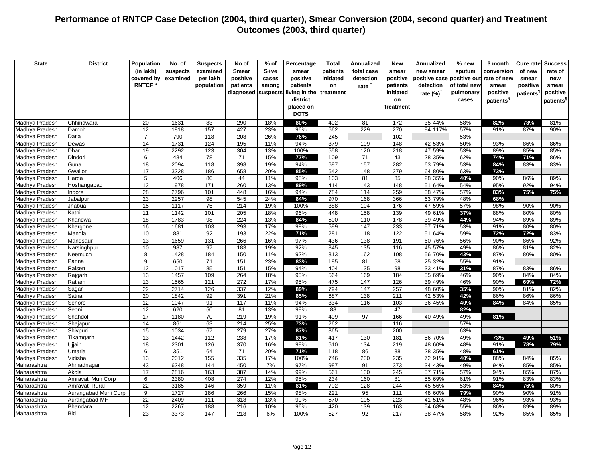| <b>State</b>                     | <b>District</b>      | Population     | No. of       | <b>Suspects</b>  | No of        | % of       | Percentage    | <b>Total</b> | <b>Annualized</b> | <b>New</b> | <b>Annualized</b>    | % new        | 3 month               | Cure rate             | <b>Success</b>        |
|----------------------------------|----------------------|----------------|--------------|------------------|--------------|------------|---------------|--------------|-------------------|------------|----------------------|--------------|-----------------------|-----------------------|-----------------------|
|                                  |                      | (in lakh)      | suspects     | examined         | <b>Smear</b> | $S+ve$     | smear         | patients     | total case        | smear      | new smear            | sputum       | conversion            | of new                | rate of               |
|                                  |                      | covered by     | examined     | per lakh         | positive     | cases      | positive      | initiated    | detection         | positive   | positive case        | positive out | rate of new           | smear                 | new                   |
|                                  |                      | <b>RNTCP*</b>  |              | population       | patients     | among      | patients      | on           | rate $†$          | patients   | detection            | of total new | smear                 | positive              | smear                 |
|                                  |                      |                |              |                  | diagnosed    | suspects   | living in the | treatment    |                   | initiated  | rate $(%)^{\dagger}$ | pulmonary    | positive              | patients <sup>1</sup> | positive              |
|                                  |                      |                |              |                  |              |            | district      |              |                   | on         |                      | cases        | patients <sup>§</sup> |                       | patients <sup>1</sup> |
|                                  |                      |                |              |                  |              |            | placed on     |              |                   | treatment  |                      |              |                       |                       |                       |
|                                  |                      |                |              |                  |              |            | <b>DOTS</b>   |              |                   |            |                      |              |                       |                       |                       |
| Madhya Pradesh                   | Chhindwara           | 20             | 1631         | 83               | 290          | 18%        | 80%           | 402          | 81                | 172        | 35 44%               | 58%          | 82%                   | 73%                   | 81%                   |
| Madhya Pradesh                   | Damoh                | 12             | 1818         | 157              | 427          | 23%        | 96%           | 662          | 229               | 270        | 94 117%              | 57%          | 91%                   | 87%                   | 90%                   |
| Madhya Pradesh                   | Datia                | $\overline{7}$ | 790          | 118              | 208          | 26%        | 76%           | 245          |                   | 102        |                      | 53%          |                       |                       |                       |
| Madhya Pradesh                   | Dewas                | 14             | 1731         | 124              | 195          | 11%        | 94%           | 379          | 109               | 148        | 42 53%               | 50%          | 93%                   | 86%                   | 86%                   |
| Madhya Pradesh                   | Dhar                 | 19             | 2292         | 123              | 304          | 13%        | 100%          | 558          | 120               | 218        | 47 59%               | 53%          | 89%                   | 85%                   | 85%                   |
| Madhya Pradesh                   | Dindori              | 6              | 484          | 78               | 71           | 15%        | 77%           | 109          | 71                | 43         | 28 35%               | 62%          | 74%                   | 71%                   | 86%                   |
| Madhya Pradesh                   | Guna                 | 18             | 2094         | 118              | 398          | 19%        | 94%           | 697          | 157               | 282        | 63 79%               | 53%          | 84%                   | 83%                   | 83%                   |
| Madhya Pradesh                   | Gwalior              | 17             | 3228         | 186              | 658          | 20%        | 85%           | 642          | 148               | 279        | 64 80%               | 63%          | 73%                   |                       |                       |
| Madhya Pradesh                   | Harda                | 5              | 406          | 80               | 44           | 11%        | 98%           | 103          | 81                | 35         | 28 35%               | 40%          | 90%                   | 86%                   | 89%                   |
| Madhya Pradesh                   | Hoshangabad          | 12             | 1978         | 171              | 260          | 13%        | 89%           | 414          | 143               | 148        | 51 64%               | 54%          | 95%                   | 92%                   | 94%                   |
| Madhya Pradesh                   | Indore               | 28             | 2796         | 101              | 448          | 16%        | 94%           | 784          | 114               | 259        | 38 47%               | 57%          | 83%                   | 75%                   | 75%                   |
| Madhya Pradesh                   | Jabalpur             | 23             | 2257         | 98               | 545          | 24%        | 84%           | 970          | 168               | 366        | 63 79%               | 48%          | 68%                   |                       |                       |
| Madhya Pradesh                   | Jhabua               | 15             | 1117         | 75               | 214          | 19%        | 100%          | 388          | 104               | 176        | 47 59%               | 57%          | 98%                   | 90%                   | 90%                   |
| Madhya Pradesh<br>Madhya Pradesh | Katni<br>Khandwa     | 11<br>18       | 1142<br>1783 | 101<br>98        | 205<br>224   | 18%<br>13% | 96%<br>84%    | 448<br>500   | 158<br>110        | 139<br>178 | 49 61%<br>39 49%     | 37%<br>44%   | 88%<br>94%            | 80%<br>89%            | 80%<br>89%            |
| Madhya Pradesh                   |                      | 16             |              | 103              | 293          |            | 98%           | 599          | 147               | 233        | 57 71%               |              |                       |                       |                       |
| Madhya Pradesh                   | Khargone<br>Mandla   | 10             | 1681<br>881  | 92               | 193          | 17%<br>22% | 71%           | 281          | 118               | 122        | 51 64%               | 53%<br>59%   | 91%<br>72%            | 80%<br>72%            | 80%<br>83%            |
| Madhya Pradesh                   | Mandsaur             | 13             | 1659         | 131              | 266          | 16%        | 97%           | 436          | 138               | 191        | 60 76%               | 56%          | 90%                   | 86%                   | 92%                   |
| Madhya Pradesh                   | Narsinghpur          | 10             | 987          | 97               | 183          | 19%        | 92%           | 345          | 135               | 116        | 45 57%               | 49%          | 86%                   | 81%                   | 82%                   |
| Madhya Pradesh                   | Neemuch              | 8              | 1428         | 184              | 150          | 11%        | 92%           | 313          | 162               | 108        | 56 70%               | 43%          | 87%                   | 80%                   | 80%                   |
| Madhya Pradesh                   | Panna                | 9              | 650          | 71               | 151          | 23%        | 83%           | 185          | 81                | 58         | 25 32%               | 55%          | 91%                   |                       |                       |
| Madhya Pradesh                   | Raisen               | 12             | 1017         | 85               | 151          | 15%        | 94%           | 404          | 135               | 98         | 33 41%               | 31%          | 87%                   | 83%                   | 86%                   |
| Madhya Pradesh                   | Rajgarh              | 13             | 1457         | 109              | 264          | 18%        | 95%           | 564          | 169               | 184        | 55 69%               | 46%          | 90%                   | 84%                   | 84%                   |
| Madhya Pradesh                   | Ratlam               | 13             | 1565         | $\overline{121}$ | 272          | 17%        | 95%           | 475          | 147               | 126        | 39 49%               | 46%          | 90%                   | 69%                   | 72%                   |
| Madhya Pradesh                   | Sagar                | 22             | 2714         | 126              | 337          | 12%        | 89%           | 794          | 147               | 257        | 48 60%               | 35%          | 90%                   | 81%                   | 82%                   |
| Madhya Pradesh                   | Satna                | 20             | 1842         | 92               | 391          | 21%        | 85%           | 687          | 138               | 211        | 42 53%               | 42%          | 86%                   | 86%                   | 86%                   |
| Madhya Pradesh                   | Sehore               | 12             | 1047         | 91               | 117          | 11%        | 94%           | 334          | 116               | 103        | 36 45%               | 40%          | 84%                   | 84%                   | 85%                   |
| Madhya Pradesh                   | Seoni                | 12             | 620          | 50               | 81           | 13%        | 99%           | 88           |                   | 47         |                      | 82%          |                       |                       |                       |
| Madhya Pradesh                   | Shahdol              | 17             | 1180         | 70               | 219          | 19%        | 91%           | 409          | 97                | 166        | 40 49%               | 49%          | 81%                   |                       |                       |
| Madhya Pradesh                   | Shajapur             | 14             | 861          | 63               | 214          | 25%        | 73%           | 262          |                   | 116        |                      | 57%          |                       |                       |                       |
| Madhya Pradesh                   | Shivpuri             | 15             | 1034         | 67               | 279          | 27%        | 87%           | 365          |                   | 200        |                      | 63%          |                       |                       |                       |
| Madhya Pradesh                   | Tikamgarh            | 13             | 1442         | 112              | 238          | 17%        | 81%           | 417          | 130               | 181        | 56 70%               | 49%          | 73%                   | 49%                   | 51%                   |
| Madhya Pradesh                   | Ujjain               | 18             | 2301         | 126              | 370          | 16%        | 99%           | 610          | 134               | 219        | 48 60%               | 48%          | 91%                   | 78%                   | 79%                   |
| Madhya Pradesh                   | Umaria               | 6              | 351          | 64               | 71           | 20%        | 71%           | 118          | 86                | 38         | 28 35%               | 48%          | 61%                   |                       |                       |
| Madhya Pradesh                   | Vidisha              | 13             | 2012         | 155              | 335          | 17%        | 100%          | 746          | 230               | 235        | 72 91%               | 40%          | 88%                   | 84%                   | 85%                   |
| Maharashtra                      | Ahmadnagar           | 43             | 6248         | 144              | 450          | 7%         | 97%           | 987          | 91                | 373        | 34 43%               | 49%          | 94%                   | 85%                   | 85%                   |
| Maharashtra                      | Akola                | 17             | 2816         | 163              | 387          | 14%        | 99%           | 561          | 130               | 245        | 57 71%               | 57%          | 94%                   | 85%                   | 87%                   |
| Maharashtra                      | Amravati Mun Corp    | 6              | 2380         | 408              | 274          | 12%        | 95%           | 234          | 160               | 81         | 55 69%               | 61%          | 91%                   | 83%                   | 83%                   |
| Maharashtra                      | Amravati Rural       | 22             | 3185         | 146              | 359          | 11%        | 81%           | 702          | 128               | 244        | 45 56%               | 53%          | 84%                   | 76%                   | 80%                   |
| Maharashtra                      | Aurangabad Muni Corp | 9              | 1727         | 186              | 266          | 15%        | 98%           | 221          | 95                | 111        | 48 60%               | 79%          | 90%                   | 90%                   | 91%                   |
| Maharashtra                      | Aurangabad-MH        | 22             | 2409         | 111              | 318          | 13%        | 99%           | 570          | 105               | 223        | 41 51%               | 48%          | 96%                   | 93%                   | 93%                   |
| Maharashtra                      | Bhandara             | 12             | 2267         | 188              | 216          | 10%        | 96%           | 420          | 139               | 163        | 54 68%               | 55%          | 86%                   | 89%                   | 89%                   |
| Maharashtra                      | Bid                  | 23             | 3373         | 147              | 218          | 6%         | 100%          | 527          | 92                | 217        | 38 47%               | 58%          | 92%                   | 85%                   | 85%                   |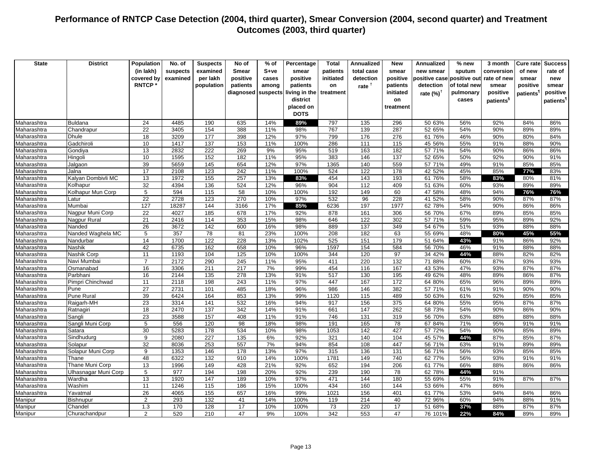| (in lakh)<br>S+ve<br>suspects<br>examined<br>Smear<br>smear<br>patients<br>total case<br>smear<br>new smear<br>sputum<br>conversion<br>of new<br>rate of<br>covered by<br>examined<br>per lakh<br>positive<br>positive<br>initiated<br>detection<br>positive<br>positive case<br>positive out<br>rate of new<br>cases<br>smear<br>new<br><b>RNTCP*</b><br>of total new<br>population<br>patients<br>among<br>patients<br>rate <sup>†</sup><br>patients<br>detection<br>positive<br>smear<br>on<br>smear<br>initiated<br>positive<br>diagnosed<br>suspects<br>living in the<br>treatment<br>pulmonary<br>positive<br>rate $(\%)^{\dagger}$<br>patients <sup>1</sup><br>district<br>on<br>cases<br>patients <sup>1</sup><br>patients <sup>s</sup><br>placed on<br>treatment<br><b>DOTS</b><br>797<br>296<br>50 63%<br>56%<br>92%<br><b>Buldana</b><br>24<br>4485<br>190<br>635<br>14%<br>89%<br>135<br>84%<br>86%<br>$\overline{22}$<br>3405<br>767<br>287<br>90%<br>154<br>388<br>11%<br>98%<br>139<br>52 65%<br>54%<br>89%<br>89%<br>Chandrapur<br>18<br>177<br>398<br>12%<br>97%<br>799<br>276<br>90%<br>3209<br>176<br>61 76%<br>46%<br>80%<br>84%<br>Maharashtra<br><b>Dhule</b><br>Gadchiroli<br>10<br>137<br>286<br>55%<br>90%<br>Maharashtra<br>1417<br>153<br>11%<br>100%<br>111<br>115<br>45 56%<br>91%<br>88%<br>13<br>222<br>9%<br>182<br>2832<br>269<br>95%<br>519<br>163<br>57 71%<br>54%<br>90%<br>86%<br>86%<br>Maharashtra<br>Gondiya<br>10<br>1595<br>152<br>182<br>11%<br>95%<br>383<br>137<br>92%<br>146<br>52 65%<br>50%<br>90%<br>91%<br>Maharashtra<br>Hingoli<br>39<br>5659<br>654<br>97%<br>559<br>91%<br>Maharashtra<br>Jalgaon<br>145<br>12%<br>1365<br>140<br>57 71%<br>49%<br>85%<br>85%<br>17<br>2108<br>123<br>242<br>11%<br>100%<br>524<br>122<br>178<br>42 52%<br>45%<br>85%<br>Jalna<br>77%<br>83%<br>Maharashtra<br>13<br>Kalyan Dombivli MC<br>1972<br>155<br>257<br>13%<br>454<br>143<br>193<br>61 76%<br>58%<br>Maharashtra<br>83%<br>83%<br>80%<br>81%<br>32<br>4394<br>524<br>904<br>136<br>12%<br>96%<br>112<br>409<br>51 63%<br>60%<br>93%<br>89%<br>89%<br>Maharashtra<br>Kolhapur<br>$\overline{5}$<br>58<br>594<br>115<br>10%<br>100%<br>192<br>149<br>60<br>47 58%<br>48%<br>94%<br>76%<br>76%<br>Kolhapur Mun Corp<br>Maharashtra<br>22<br>2728<br>123<br>270<br>10%<br>97%<br>532<br>96<br>228<br>41 52%<br>58%<br>90%<br>87%<br>87%<br>Maharashtra<br>Latur<br>Mumbai<br>127<br>18287<br>144<br>3166<br>17%<br>6236<br>197<br>1977<br>62 78%<br>90%<br>Maharashtra<br>85%<br>54%<br>86%<br>86%<br>22<br>4027<br>185<br>678<br>17%<br>92%<br>878<br>161<br>306<br>56 70%<br>67%<br>89%<br>85%<br>Maharashtra<br>Nagpur Muni Corp<br>85%<br>21<br>353<br>15%<br>646<br>302<br>59%<br>95%<br>2416<br>114<br>98%<br>122<br>57 71%<br>89%<br>92%<br>Maharashtra<br>Nagpur Rural<br>Nanded<br>26<br>3672<br>142<br>600<br>16%<br>98%<br>889<br>137<br>349<br>54 67%<br>51%<br>93%<br>88%<br>Maharashtra<br>88%<br>357<br>78<br>23%<br>182<br>63<br>55 69%<br>5<br>81<br>100%<br>208<br>48%<br>45%<br>55%<br>Maharashtra<br>Nanded Waghela MC<br>80%<br>14<br>1700<br>122<br>228<br>102%<br>525<br>151<br>43%<br>13%<br>179<br>51 64%<br>91%<br>Maharashtra<br>Nandurbar<br>86%<br>92%<br>42<br>6735<br>162<br>658<br>10%<br>96%<br>1597<br>154<br>584<br>56 70%<br>46%<br>91%<br>88%<br>88%<br>Nashik<br>11<br>1193<br>125<br>10%<br>97<br>44%<br>88%<br>Nashik Corp<br>104<br>100%<br>344<br>120<br>34 42%<br>82%<br>82%<br>2172<br>290<br>245<br>95%<br>411<br>220<br>132<br>Navi Mumbai<br>$\overline{7}$<br>11%<br>71 88%<br>60%<br>87%<br>93%<br>93%<br>16<br>3306<br>$\overline{217}$<br>7%<br>454<br>167<br>93%<br>211<br>99%<br>116<br>43 53%<br>47%<br>87%<br>87%<br>Osmanabad<br>16<br>2144<br>135<br>278<br>13%<br>91%<br>517<br>130<br>195<br>49 62%<br>48%<br>89%<br>86%<br>87%<br>Parbhani<br>11<br>2118<br>243<br>97%<br>447<br>167<br>172<br>65%<br>96%<br>Pimpri Chinchwad<br>198<br>11%<br>64 80%<br>89%<br>89%<br>$\overline{27}$<br>2731<br>986<br>485<br>18%<br>96%<br>146<br>382<br>91%<br>90%<br>101<br>57 71%<br>61%<br>90%<br>Pune<br>39<br><b>Pune Rural</b><br>6424<br>164<br>853<br>13%<br>99%<br>1120<br>489<br>92%<br>85%<br>85%<br>115<br>50 63%<br>61%<br>23<br>3314<br>532<br>16%<br>917<br>375<br>55%<br>95%<br>87%<br>Raigarh-MH<br>141<br>94%<br>156<br>64 80%<br>87%<br>Maharashtra<br>262<br>18<br>2470<br>137<br>342<br>14%<br>91%<br>661<br>147<br>58 73%<br>54%<br>90%<br>86%<br>90%<br>Maharashtra<br>Ratnagiri<br>23<br>$\frac{157}{157}$<br>3588<br>408<br>11%<br>91%<br>746<br>131<br>319<br>88%<br>88%<br>Maharashtra<br>Sangli<br>56 70%<br>63%<br>88%<br>95%<br>Sangli Muni Corp<br>5<br>556<br>120<br>98<br>18%<br>98%<br>191<br>165<br>78<br>67 84%<br>71%<br>91%<br>91%<br>Maharashtra<br>5283<br>534<br>30<br>178<br>10%<br>98%<br>1053<br>142<br>427<br>57 72%<br>54%<br>90%<br>85%<br>89%<br>Satara<br>Maharashtra<br>Sindhudurg<br>9<br>2080<br>227<br>135<br>6%<br>92%<br>321<br>45 57%<br>87%<br>85%<br>Maharashtra<br>140<br>104<br>44%<br>87%<br>32<br>253<br>557<br>854<br>447<br>8036<br>7%<br>94%<br>108<br>56 71%<br>91%<br>89%<br>89%<br>Solapur<br>63%<br>Maharashtra<br>$\boldsymbol{9}$<br>1353<br>13%<br>315<br>93%<br>146<br>178<br>97%<br>136<br>131<br>56 71%<br>56%<br>85%<br>85%<br>Maharashtra<br>Solapur Muni Corp<br>Maharashtra<br>Thane<br>48<br>6322<br>132<br>910<br>14%<br>100%<br>1781<br>740<br>62 77%<br>56%<br>93%<br>149<br>91%<br>91%<br>13<br>1996<br>149<br>428<br>21%<br>92%<br>652<br>194<br>206<br>61 77%<br>66%<br>88%<br>86%<br>86%<br>Maharashtra<br>Thane Muni Corp<br>5<br>977<br>198<br>20%<br>92%<br>239<br>190<br>78<br>91%<br>194<br>62 78%<br>44%<br>Maharashtra<br>Ulhasnagar Muni Corp<br>Wardha<br>13<br>1920<br>147<br>189<br>10%<br>97%<br>471<br>55 69%<br>55%<br>91%<br>Maharashtra<br>144<br>180<br>87%<br>87%<br>11<br>1246<br>115<br>186<br>15%<br>100%<br>434<br>160<br>53 66%<br>47%<br>86%<br>Maharashtra<br>Washim<br>144<br>26<br>4065<br>155<br>657<br>16%<br>99%<br>1021<br>156<br>401<br>61 77%<br>53%<br>94%<br>84%<br>86%<br>Maharashtra<br>Yavatmal<br>$\overline{2}$<br>293<br>132<br>214<br>40<br>60%<br>94%<br>88%<br><b>Bishnupur</b><br>41<br>14%<br>100%<br>119<br>72 96%<br>91%<br>Manipur<br>17<br>73<br>17<br>1.3<br>170<br>128<br>10%<br>100%<br>220<br>51 68%<br>37%<br>88%<br>87%<br>87%<br>Chandel<br>Manipur<br>2<br>47<br>47 | <b>State</b> | <b>District</b> | Population | No. of | <b>Suspects</b> | No of | $%$ of | Percentage | <b>Total</b> | <b>Annualized</b> | <b>New</b> | <b>Annualized</b> | % new | 3 month | Cure ratel | <b>Success</b> |
|-----------------------------------------------------------------------------------------------------------------------------------------------------------------------------------------------------------------------------------------------------------------------------------------------------------------------------------------------------------------------------------------------------------------------------------------------------------------------------------------------------------------------------------------------------------------------------------------------------------------------------------------------------------------------------------------------------------------------------------------------------------------------------------------------------------------------------------------------------------------------------------------------------------------------------------------------------------------------------------------------------------------------------------------------------------------------------------------------------------------------------------------------------------------------------------------------------------------------------------------------------------------------------------------------------------------------------------------------------------------------------------------------------------------------------------------------------------------------------------------------------------------------------------------------------------------------------------------------------------------------------------------------------------------------------------------------------------------------------------------------------------------------------------------------------------------------------------------------------------------------------------------------------------------------------------------------------------------------------------------------------------------------------------------------------------------------------------------------------------------------------------------------------------------------------------------------------------------------------------------------------------------------------------------------------------------------------------------------------------------------------------------------------------------------------------------------------------------------------------------------------------------------------------------------------------------------------------------------------------------------------------------------------------------------------------------------------------------------------------------------------------------------------------------------------------------------------------------------------------------------------------------------------------------------------------------------------------------------------------------------------------------------------------------------------------------------------------------------------------------------------------------------------------------------------------------------------------------------------------------------------------------------------------------------------------------------------------------------------------------------------------------------------------------------------------------------------------------------------------------------------------------------------------------------------------------------------------------------------------------------------------------------------------------------------------------------------------------------------------------------------------------------------------------------------------------------------------------------------------------------------------------------------------------------------------------------------------------------------------------------------------------------------------------------------------------------------------------------------------------------------------------------------------------------------------------------------------------------------------------------------------------------------------------------------------------------------------------------------------------------------------------------------------------------------------------------------------------------------------------------------------------------------------------------------------------------------------------------------------------------------------------------------------------------------------------------------------------------------------------------------------------------------------------------------------------------------------------------------------------------------------------------------------------------------------------------------------------------------------------------------------------------------------------------------------------------------------------------------------------------------------------------------------------------------------------------------------------------------------------------------------------------------------------------------------------------------------------------------------------------------------------------------------------------------------------------------------------------------------------------------------------------------------------------------------------------------------------------------------------------------------------------------------------------------------------------------------------------------------------------------------------------------------------------------------------------------------------------------------------------------------------------------------------------------------------------------------------------------------------------------------------------------------------------------------------------------------------------------------------------------------------------------------------------------------------------------------------------------------------------------------------------------------------------------------------------------------------------------------------------------------------------------------------|--------------|-----------------|------------|--------|-----------------|-------|--------|------------|--------------|-------------------|------------|-------------------|-------|---------|------------|----------------|
|                                                                                                                                                                                                                                                                                                                                                                                                                                                                                                                                                                                                                                                                                                                                                                                                                                                                                                                                                                                                                                                                                                                                                                                                                                                                                                                                                                                                                                                                                                                                                                                                                                                                                                                                                                                                                                                                                                                                                                                                                                                                                                                                                                                                                                                                                                                                                                                                                                                                                                                                                                                                                                                                                                                                                                                                                                                                                                                                                                                                                                                                                                                                                                                                                                                                                                                                                                                                                                                                                                                                                                                                                                                                                                                                                                                                                                                                                                                                                                                                                                                                                                                                                                                                                                                                                                                                                                                                                                                                                                                                                                                                                                                                                                                                                                                                                                                                                                                                                                                                                                                                                                                                                                                                                                                                                                                                                                                                                                                                                                                                                                                                                                                                                                                                                                                                                                                                                                                                                                                                                                                                                                                                                                                                                                                                                                                                                                                                                 |              |                 |            |        |                 |       |        |            |              |                   |            |                   |       |         |            |                |
|                                                                                                                                                                                                                                                                                                                                                                                                                                                                                                                                                                                                                                                                                                                                                                                                                                                                                                                                                                                                                                                                                                                                                                                                                                                                                                                                                                                                                                                                                                                                                                                                                                                                                                                                                                                                                                                                                                                                                                                                                                                                                                                                                                                                                                                                                                                                                                                                                                                                                                                                                                                                                                                                                                                                                                                                                                                                                                                                                                                                                                                                                                                                                                                                                                                                                                                                                                                                                                                                                                                                                                                                                                                                                                                                                                                                                                                                                                                                                                                                                                                                                                                                                                                                                                                                                                                                                                                                                                                                                                                                                                                                                                                                                                                                                                                                                                                                                                                                                                                                                                                                                                                                                                                                                                                                                                                                                                                                                                                                                                                                                                                                                                                                                                                                                                                                                                                                                                                                                                                                                                                                                                                                                                                                                                                                                                                                                                                                                 |              |                 |            |        |                 |       |        |            |              |                   |            |                   |       |         |            |                |
|                                                                                                                                                                                                                                                                                                                                                                                                                                                                                                                                                                                                                                                                                                                                                                                                                                                                                                                                                                                                                                                                                                                                                                                                                                                                                                                                                                                                                                                                                                                                                                                                                                                                                                                                                                                                                                                                                                                                                                                                                                                                                                                                                                                                                                                                                                                                                                                                                                                                                                                                                                                                                                                                                                                                                                                                                                                                                                                                                                                                                                                                                                                                                                                                                                                                                                                                                                                                                                                                                                                                                                                                                                                                                                                                                                                                                                                                                                                                                                                                                                                                                                                                                                                                                                                                                                                                                                                                                                                                                                                                                                                                                                                                                                                                                                                                                                                                                                                                                                                                                                                                                                                                                                                                                                                                                                                                                                                                                                                                                                                                                                                                                                                                                                                                                                                                                                                                                                                                                                                                                                                                                                                                                                                                                                                                                                                                                                                                                 |              |                 |            |        |                 |       |        |            |              |                   |            |                   |       |         |            |                |
|                                                                                                                                                                                                                                                                                                                                                                                                                                                                                                                                                                                                                                                                                                                                                                                                                                                                                                                                                                                                                                                                                                                                                                                                                                                                                                                                                                                                                                                                                                                                                                                                                                                                                                                                                                                                                                                                                                                                                                                                                                                                                                                                                                                                                                                                                                                                                                                                                                                                                                                                                                                                                                                                                                                                                                                                                                                                                                                                                                                                                                                                                                                                                                                                                                                                                                                                                                                                                                                                                                                                                                                                                                                                                                                                                                                                                                                                                                                                                                                                                                                                                                                                                                                                                                                                                                                                                                                                                                                                                                                                                                                                                                                                                                                                                                                                                                                                                                                                                                                                                                                                                                                                                                                                                                                                                                                                                                                                                                                                                                                                                                                                                                                                                                                                                                                                                                                                                                                                                                                                                                                                                                                                                                                                                                                                                                                                                                                                                 |              |                 |            |        |                 |       |        |            |              |                   |            |                   |       |         |            |                |
|                                                                                                                                                                                                                                                                                                                                                                                                                                                                                                                                                                                                                                                                                                                                                                                                                                                                                                                                                                                                                                                                                                                                                                                                                                                                                                                                                                                                                                                                                                                                                                                                                                                                                                                                                                                                                                                                                                                                                                                                                                                                                                                                                                                                                                                                                                                                                                                                                                                                                                                                                                                                                                                                                                                                                                                                                                                                                                                                                                                                                                                                                                                                                                                                                                                                                                                                                                                                                                                                                                                                                                                                                                                                                                                                                                                                                                                                                                                                                                                                                                                                                                                                                                                                                                                                                                                                                                                                                                                                                                                                                                                                                                                                                                                                                                                                                                                                                                                                                                                                                                                                                                                                                                                                                                                                                                                                                                                                                                                                                                                                                                                                                                                                                                                                                                                                                                                                                                                                                                                                                                                                                                                                                                                                                                                                                                                                                                                                                 |              |                 |            |        |                 |       |        |            |              |                   |            |                   |       |         |            |                |
|                                                                                                                                                                                                                                                                                                                                                                                                                                                                                                                                                                                                                                                                                                                                                                                                                                                                                                                                                                                                                                                                                                                                                                                                                                                                                                                                                                                                                                                                                                                                                                                                                                                                                                                                                                                                                                                                                                                                                                                                                                                                                                                                                                                                                                                                                                                                                                                                                                                                                                                                                                                                                                                                                                                                                                                                                                                                                                                                                                                                                                                                                                                                                                                                                                                                                                                                                                                                                                                                                                                                                                                                                                                                                                                                                                                                                                                                                                                                                                                                                                                                                                                                                                                                                                                                                                                                                                                                                                                                                                                                                                                                                                                                                                                                                                                                                                                                                                                                                                                                                                                                                                                                                                                                                                                                                                                                                                                                                                                                                                                                                                                                                                                                                                                                                                                                                                                                                                                                                                                                                                                                                                                                                                                                                                                                                                                                                                                                                 |              |                 |            |        |                 |       |        |            |              |                   |            |                   |       |         |            |                |
|                                                                                                                                                                                                                                                                                                                                                                                                                                                                                                                                                                                                                                                                                                                                                                                                                                                                                                                                                                                                                                                                                                                                                                                                                                                                                                                                                                                                                                                                                                                                                                                                                                                                                                                                                                                                                                                                                                                                                                                                                                                                                                                                                                                                                                                                                                                                                                                                                                                                                                                                                                                                                                                                                                                                                                                                                                                                                                                                                                                                                                                                                                                                                                                                                                                                                                                                                                                                                                                                                                                                                                                                                                                                                                                                                                                                                                                                                                                                                                                                                                                                                                                                                                                                                                                                                                                                                                                                                                                                                                                                                                                                                                                                                                                                                                                                                                                                                                                                                                                                                                                                                                                                                                                                                                                                                                                                                                                                                                                                                                                                                                                                                                                                                                                                                                                                                                                                                                                                                                                                                                                                                                                                                                                                                                                                                                                                                                                                                 |              |                 |            |        |                 |       |        |            |              |                   |            |                   |       |         |            |                |
|                                                                                                                                                                                                                                                                                                                                                                                                                                                                                                                                                                                                                                                                                                                                                                                                                                                                                                                                                                                                                                                                                                                                                                                                                                                                                                                                                                                                                                                                                                                                                                                                                                                                                                                                                                                                                                                                                                                                                                                                                                                                                                                                                                                                                                                                                                                                                                                                                                                                                                                                                                                                                                                                                                                                                                                                                                                                                                                                                                                                                                                                                                                                                                                                                                                                                                                                                                                                                                                                                                                                                                                                                                                                                                                                                                                                                                                                                                                                                                                                                                                                                                                                                                                                                                                                                                                                                                                                                                                                                                                                                                                                                                                                                                                                                                                                                                                                                                                                                                                                                                                                                                                                                                                                                                                                                                                                                                                                                                                                                                                                                                                                                                                                                                                                                                                                                                                                                                                                                                                                                                                                                                                                                                                                                                                                                                                                                                                                                 | Maharashtra  |                 |            |        |                 |       |        |            |              |                   |            |                   |       |         |            |                |
|                                                                                                                                                                                                                                                                                                                                                                                                                                                                                                                                                                                                                                                                                                                                                                                                                                                                                                                                                                                                                                                                                                                                                                                                                                                                                                                                                                                                                                                                                                                                                                                                                                                                                                                                                                                                                                                                                                                                                                                                                                                                                                                                                                                                                                                                                                                                                                                                                                                                                                                                                                                                                                                                                                                                                                                                                                                                                                                                                                                                                                                                                                                                                                                                                                                                                                                                                                                                                                                                                                                                                                                                                                                                                                                                                                                                                                                                                                                                                                                                                                                                                                                                                                                                                                                                                                                                                                                                                                                                                                                                                                                                                                                                                                                                                                                                                                                                                                                                                                                                                                                                                                                                                                                                                                                                                                                                                                                                                                                                                                                                                                                                                                                                                                                                                                                                                                                                                                                                                                                                                                                                                                                                                                                                                                                                                                                                                                                                                 | Maharashtra  |                 |            |        |                 |       |        |            |              |                   |            |                   |       |         |            |                |
|                                                                                                                                                                                                                                                                                                                                                                                                                                                                                                                                                                                                                                                                                                                                                                                                                                                                                                                                                                                                                                                                                                                                                                                                                                                                                                                                                                                                                                                                                                                                                                                                                                                                                                                                                                                                                                                                                                                                                                                                                                                                                                                                                                                                                                                                                                                                                                                                                                                                                                                                                                                                                                                                                                                                                                                                                                                                                                                                                                                                                                                                                                                                                                                                                                                                                                                                                                                                                                                                                                                                                                                                                                                                                                                                                                                                                                                                                                                                                                                                                                                                                                                                                                                                                                                                                                                                                                                                                                                                                                                                                                                                                                                                                                                                                                                                                                                                                                                                                                                                                                                                                                                                                                                                                                                                                                                                                                                                                                                                                                                                                                                                                                                                                                                                                                                                                                                                                                                                                                                                                                                                                                                                                                                                                                                                                                                                                                                                                 |              |                 |            |        |                 |       |        |            |              |                   |            |                   |       |         |            |                |
|                                                                                                                                                                                                                                                                                                                                                                                                                                                                                                                                                                                                                                                                                                                                                                                                                                                                                                                                                                                                                                                                                                                                                                                                                                                                                                                                                                                                                                                                                                                                                                                                                                                                                                                                                                                                                                                                                                                                                                                                                                                                                                                                                                                                                                                                                                                                                                                                                                                                                                                                                                                                                                                                                                                                                                                                                                                                                                                                                                                                                                                                                                                                                                                                                                                                                                                                                                                                                                                                                                                                                                                                                                                                                                                                                                                                                                                                                                                                                                                                                                                                                                                                                                                                                                                                                                                                                                                                                                                                                                                                                                                                                                                                                                                                                                                                                                                                                                                                                                                                                                                                                                                                                                                                                                                                                                                                                                                                                                                                                                                                                                                                                                                                                                                                                                                                                                                                                                                                                                                                                                                                                                                                                                                                                                                                                                                                                                                                                 |              |                 |            |        |                 |       |        |            |              |                   |            |                   |       |         |            |                |
|                                                                                                                                                                                                                                                                                                                                                                                                                                                                                                                                                                                                                                                                                                                                                                                                                                                                                                                                                                                                                                                                                                                                                                                                                                                                                                                                                                                                                                                                                                                                                                                                                                                                                                                                                                                                                                                                                                                                                                                                                                                                                                                                                                                                                                                                                                                                                                                                                                                                                                                                                                                                                                                                                                                                                                                                                                                                                                                                                                                                                                                                                                                                                                                                                                                                                                                                                                                                                                                                                                                                                                                                                                                                                                                                                                                                                                                                                                                                                                                                                                                                                                                                                                                                                                                                                                                                                                                                                                                                                                                                                                                                                                                                                                                                                                                                                                                                                                                                                                                                                                                                                                                                                                                                                                                                                                                                                                                                                                                                                                                                                                                                                                                                                                                                                                                                                                                                                                                                                                                                                                                                                                                                                                                                                                                                                                                                                                                                                 |              |                 |            |        |                 |       |        |            |              |                   |            |                   |       |         |            |                |
|                                                                                                                                                                                                                                                                                                                                                                                                                                                                                                                                                                                                                                                                                                                                                                                                                                                                                                                                                                                                                                                                                                                                                                                                                                                                                                                                                                                                                                                                                                                                                                                                                                                                                                                                                                                                                                                                                                                                                                                                                                                                                                                                                                                                                                                                                                                                                                                                                                                                                                                                                                                                                                                                                                                                                                                                                                                                                                                                                                                                                                                                                                                                                                                                                                                                                                                                                                                                                                                                                                                                                                                                                                                                                                                                                                                                                                                                                                                                                                                                                                                                                                                                                                                                                                                                                                                                                                                                                                                                                                                                                                                                                                                                                                                                                                                                                                                                                                                                                                                                                                                                                                                                                                                                                                                                                                                                                                                                                                                                                                                                                                                                                                                                                                                                                                                                                                                                                                                                                                                                                                                                                                                                                                                                                                                                                                                                                                                                                 |              |                 |            |        |                 |       |        |            |              |                   |            |                   |       |         |            |                |
|                                                                                                                                                                                                                                                                                                                                                                                                                                                                                                                                                                                                                                                                                                                                                                                                                                                                                                                                                                                                                                                                                                                                                                                                                                                                                                                                                                                                                                                                                                                                                                                                                                                                                                                                                                                                                                                                                                                                                                                                                                                                                                                                                                                                                                                                                                                                                                                                                                                                                                                                                                                                                                                                                                                                                                                                                                                                                                                                                                                                                                                                                                                                                                                                                                                                                                                                                                                                                                                                                                                                                                                                                                                                                                                                                                                                                                                                                                                                                                                                                                                                                                                                                                                                                                                                                                                                                                                                                                                                                                                                                                                                                                                                                                                                                                                                                                                                                                                                                                                                                                                                                                                                                                                                                                                                                                                                                                                                                                                                                                                                                                                                                                                                                                                                                                                                                                                                                                                                                                                                                                                                                                                                                                                                                                                                                                                                                                                                                 |              |                 |            |        |                 |       |        |            |              |                   |            |                   |       |         |            |                |
|                                                                                                                                                                                                                                                                                                                                                                                                                                                                                                                                                                                                                                                                                                                                                                                                                                                                                                                                                                                                                                                                                                                                                                                                                                                                                                                                                                                                                                                                                                                                                                                                                                                                                                                                                                                                                                                                                                                                                                                                                                                                                                                                                                                                                                                                                                                                                                                                                                                                                                                                                                                                                                                                                                                                                                                                                                                                                                                                                                                                                                                                                                                                                                                                                                                                                                                                                                                                                                                                                                                                                                                                                                                                                                                                                                                                                                                                                                                                                                                                                                                                                                                                                                                                                                                                                                                                                                                                                                                                                                                                                                                                                                                                                                                                                                                                                                                                                                                                                                                                                                                                                                                                                                                                                                                                                                                                                                                                                                                                                                                                                                                                                                                                                                                                                                                                                                                                                                                                                                                                                                                                                                                                                                                                                                                                                                                                                                                                                 |              |                 |            |        |                 |       |        |            |              |                   |            |                   |       |         |            |                |
|                                                                                                                                                                                                                                                                                                                                                                                                                                                                                                                                                                                                                                                                                                                                                                                                                                                                                                                                                                                                                                                                                                                                                                                                                                                                                                                                                                                                                                                                                                                                                                                                                                                                                                                                                                                                                                                                                                                                                                                                                                                                                                                                                                                                                                                                                                                                                                                                                                                                                                                                                                                                                                                                                                                                                                                                                                                                                                                                                                                                                                                                                                                                                                                                                                                                                                                                                                                                                                                                                                                                                                                                                                                                                                                                                                                                                                                                                                                                                                                                                                                                                                                                                                                                                                                                                                                                                                                                                                                                                                                                                                                                                                                                                                                                                                                                                                                                                                                                                                                                                                                                                                                                                                                                                                                                                                                                                                                                                                                                                                                                                                                                                                                                                                                                                                                                                                                                                                                                                                                                                                                                                                                                                                                                                                                                                                                                                                                                                 |              |                 |            |        |                 |       |        |            |              |                   |            |                   |       |         |            |                |
|                                                                                                                                                                                                                                                                                                                                                                                                                                                                                                                                                                                                                                                                                                                                                                                                                                                                                                                                                                                                                                                                                                                                                                                                                                                                                                                                                                                                                                                                                                                                                                                                                                                                                                                                                                                                                                                                                                                                                                                                                                                                                                                                                                                                                                                                                                                                                                                                                                                                                                                                                                                                                                                                                                                                                                                                                                                                                                                                                                                                                                                                                                                                                                                                                                                                                                                                                                                                                                                                                                                                                                                                                                                                                                                                                                                                                                                                                                                                                                                                                                                                                                                                                                                                                                                                                                                                                                                                                                                                                                                                                                                                                                                                                                                                                                                                                                                                                                                                                                                                                                                                                                                                                                                                                                                                                                                                                                                                                                                                                                                                                                                                                                                                                                                                                                                                                                                                                                                                                                                                                                                                                                                                                                                                                                                                                                                                                                                                                 |              |                 |            |        |                 |       |        |            |              |                   |            |                   |       |         |            |                |
|                                                                                                                                                                                                                                                                                                                                                                                                                                                                                                                                                                                                                                                                                                                                                                                                                                                                                                                                                                                                                                                                                                                                                                                                                                                                                                                                                                                                                                                                                                                                                                                                                                                                                                                                                                                                                                                                                                                                                                                                                                                                                                                                                                                                                                                                                                                                                                                                                                                                                                                                                                                                                                                                                                                                                                                                                                                                                                                                                                                                                                                                                                                                                                                                                                                                                                                                                                                                                                                                                                                                                                                                                                                                                                                                                                                                                                                                                                                                                                                                                                                                                                                                                                                                                                                                                                                                                                                                                                                                                                                                                                                                                                                                                                                                                                                                                                                                                                                                                                                                                                                                                                                                                                                                                                                                                                                                                                                                                                                                                                                                                                                                                                                                                                                                                                                                                                                                                                                                                                                                                                                                                                                                                                                                                                                                                                                                                                                                                 |              |                 |            |        |                 |       |        |            |              |                   |            |                   |       |         |            |                |
|                                                                                                                                                                                                                                                                                                                                                                                                                                                                                                                                                                                                                                                                                                                                                                                                                                                                                                                                                                                                                                                                                                                                                                                                                                                                                                                                                                                                                                                                                                                                                                                                                                                                                                                                                                                                                                                                                                                                                                                                                                                                                                                                                                                                                                                                                                                                                                                                                                                                                                                                                                                                                                                                                                                                                                                                                                                                                                                                                                                                                                                                                                                                                                                                                                                                                                                                                                                                                                                                                                                                                                                                                                                                                                                                                                                                                                                                                                                                                                                                                                                                                                                                                                                                                                                                                                                                                                                                                                                                                                                                                                                                                                                                                                                                                                                                                                                                                                                                                                                                                                                                                                                                                                                                                                                                                                                                                                                                                                                                                                                                                                                                                                                                                                                                                                                                                                                                                                                                                                                                                                                                                                                                                                                                                                                                                                                                                                                                                 |              |                 |            |        |                 |       |        |            |              |                   |            |                   |       |         |            |                |
|                                                                                                                                                                                                                                                                                                                                                                                                                                                                                                                                                                                                                                                                                                                                                                                                                                                                                                                                                                                                                                                                                                                                                                                                                                                                                                                                                                                                                                                                                                                                                                                                                                                                                                                                                                                                                                                                                                                                                                                                                                                                                                                                                                                                                                                                                                                                                                                                                                                                                                                                                                                                                                                                                                                                                                                                                                                                                                                                                                                                                                                                                                                                                                                                                                                                                                                                                                                                                                                                                                                                                                                                                                                                                                                                                                                                                                                                                                                                                                                                                                                                                                                                                                                                                                                                                                                                                                                                                                                                                                                                                                                                                                                                                                                                                                                                                                                                                                                                                                                                                                                                                                                                                                                                                                                                                                                                                                                                                                                                                                                                                                                                                                                                                                                                                                                                                                                                                                                                                                                                                                                                                                                                                                                                                                                                                                                                                                                                                 |              |                 |            |        |                 |       |        |            |              |                   |            |                   |       |         |            |                |
|                                                                                                                                                                                                                                                                                                                                                                                                                                                                                                                                                                                                                                                                                                                                                                                                                                                                                                                                                                                                                                                                                                                                                                                                                                                                                                                                                                                                                                                                                                                                                                                                                                                                                                                                                                                                                                                                                                                                                                                                                                                                                                                                                                                                                                                                                                                                                                                                                                                                                                                                                                                                                                                                                                                                                                                                                                                                                                                                                                                                                                                                                                                                                                                                                                                                                                                                                                                                                                                                                                                                                                                                                                                                                                                                                                                                                                                                                                                                                                                                                                                                                                                                                                                                                                                                                                                                                                                                                                                                                                                                                                                                                                                                                                                                                                                                                                                                                                                                                                                                                                                                                                                                                                                                                                                                                                                                                                                                                                                                                                                                                                                                                                                                                                                                                                                                                                                                                                                                                                                                                                                                                                                                                                                                                                                                                                                                                                                                                 |              |                 |            |        |                 |       |        |            |              |                   |            |                   |       |         |            |                |
|                                                                                                                                                                                                                                                                                                                                                                                                                                                                                                                                                                                                                                                                                                                                                                                                                                                                                                                                                                                                                                                                                                                                                                                                                                                                                                                                                                                                                                                                                                                                                                                                                                                                                                                                                                                                                                                                                                                                                                                                                                                                                                                                                                                                                                                                                                                                                                                                                                                                                                                                                                                                                                                                                                                                                                                                                                                                                                                                                                                                                                                                                                                                                                                                                                                                                                                                                                                                                                                                                                                                                                                                                                                                                                                                                                                                                                                                                                                                                                                                                                                                                                                                                                                                                                                                                                                                                                                                                                                                                                                                                                                                                                                                                                                                                                                                                                                                                                                                                                                                                                                                                                                                                                                                                                                                                                                                                                                                                                                                                                                                                                                                                                                                                                                                                                                                                                                                                                                                                                                                                                                                                                                                                                                                                                                                                                                                                                                                                 |              |                 |            |        |                 |       |        |            |              |                   |            |                   |       |         |            |                |
|                                                                                                                                                                                                                                                                                                                                                                                                                                                                                                                                                                                                                                                                                                                                                                                                                                                                                                                                                                                                                                                                                                                                                                                                                                                                                                                                                                                                                                                                                                                                                                                                                                                                                                                                                                                                                                                                                                                                                                                                                                                                                                                                                                                                                                                                                                                                                                                                                                                                                                                                                                                                                                                                                                                                                                                                                                                                                                                                                                                                                                                                                                                                                                                                                                                                                                                                                                                                                                                                                                                                                                                                                                                                                                                                                                                                                                                                                                                                                                                                                                                                                                                                                                                                                                                                                                                                                                                                                                                                                                                                                                                                                                                                                                                                                                                                                                                                                                                                                                                                                                                                                                                                                                                                                                                                                                                                                                                                                                                                                                                                                                                                                                                                                                                                                                                                                                                                                                                                                                                                                                                                                                                                                                                                                                                                                                                                                                                                                 |              |                 |            |        |                 |       |        |            |              |                   |            |                   |       |         |            |                |
|                                                                                                                                                                                                                                                                                                                                                                                                                                                                                                                                                                                                                                                                                                                                                                                                                                                                                                                                                                                                                                                                                                                                                                                                                                                                                                                                                                                                                                                                                                                                                                                                                                                                                                                                                                                                                                                                                                                                                                                                                                                                                                                                                                                                                                                                                                                                                                                                                                                                                                                                                                                                                                                                                                                                                                                                                                                                                                                                                                                                                                                                                                                                                                                                                                                                                                                                                                                                                                                                                                                                                                                                                                                                                                                                                                                                                                                                                                                                                                                                                                                                                                                                                                                                                                                                                                                                                                                                                                                                                                                                                                                                                                                                                                                                                                                                                                                                                                                                                                                                                                                                                                                                                                                                                                                                                                                                                                                                                                                                                                                                                                                                                                                                                                                                                                                                                                                                                                                                                                                                                                                                                                                                                                                                                                                                                                                                                                                                                 |              |                 |            |        |                 |       |        |            |              |                   |            |                   |       |         |            |                |
|                                                                                                                                                                                                                                                                                                                                                                                                                                                                                                                                                                                                                                                                                                                                                                                                                                                                                                                                                                                                                                                                                                                                                                                                                                                                                                                                                                                                                                                                                                                                                                                                                                                                                                                                                                                                                                                                                                                                                                                                                                                                                                                                                                                                                                                                                                                                                                                                                                                                                                                                                                                                                                                                                                                                                                                                                                                                                                                                                                                                                                                                                                                                                                                                                                                                                                                                                                                                                                                                                                                                                                                                                                                                                                                                                                                                                                                                                                                                                                                                                                                                                                                                                                                                                                                                                                                                                                                                                                                                                                                                                                                                                                                                                                                                                                                                                                                                                                                                                                                                                                                                                                                                                                                                                                                                                                                                                                                                                                                                                                                                                                                                                                                                                                                                                                                                                                                                                                                                                                                                                                                                                                                                                                                                                                                                                                                                                                                                                 | Maharashtra  |                 |            |        |                 |       |        |            |              |                   |            |                   |       |         |            |                |
|                                                                                                                                                                                                                                                                                                                                                                                                                                                                                                                                                                                                                                                                                                                                                                                                                                                                                                                                                                                                                                                                                                                                                                                                                                                                                                                                                                                                                                                                                                                                                                                                                                                                                                                                                                                                                                                                                                                                                                                                                                                                                                                                                                                                                                                                                                                                                                                                                                                                                                                                                                                                                                                                                                                                                                                                                                                                                                                                                                                                                                                                                                                                                                                                                                                                                                                                                                                                                                                                                                                                                                                                                                                                                                                                                                                                                                                                                                                                                                                                                                                                                                                                                                                                                                                                                                                                                                                                                                                                                                                                                                                                                                                                                                                                                                                                                                                                                                                                                                                                                                                                                                                                                                                                                                                                                                                                                                                                                                                                                                                                                                                                                                                                                                                                                                                                                                                                                                                                                                                                                                                                                                                                                                                                                                                                                                                                                                                                                 | Maharashtra  |                 |            |        |                 |       |        |            |              |                   |            |                   |       |         |            |                |
|                                                                                                                                                                                                                                                                                                                                                                                                                                                                                                                                                                                                                                                                                                                                                                                                                                                                                                                                                                                                                                                                                                                                                                                                                                                                                                                                                                                                                                                                                                                                                                                                                                                                                                                                                                                                                                                                                                                                                                                                                                                                                                                                                                                                                                                                                                                                                                                                                                                                                                                                                                                                                                                                                                                                                                                                                                                                                                                                                                                                                                                                                                                                                                                                                                                                                                                                                                                                                                                                                                                                                                                                                                                                                                                                                                                                                                                                                                                                                                                                                                                                                                                                                                                                                                                                                                                                                                                                                                                                                                                                                                                                                                                                                                                                                                                                                                                                                                                                                                                                                                                                                                                                                                                                                                                                                                                                                                                                                                                                                                                                                                                                                                                                                                                                                                                                                                                                                                                                                                                                                                                                                                                                                                                                                                                                                                                                                                                                                 | Maharashtra  |                 |            |        |                 |       |        |            |              |                   |            |                   |       |         |            |                |
|                                                                                                                                                                                                                                                                                                                                                                                                                                                                                                                                                                                                                                                                                                                                                                                                                                                                                                                                                                                                                                                                                                                                                                                                                                                                                                                                                                                                                                                                                                                                                                                                                                                                                                                                                                                                                                                                                                                                                                                                                                                                                                                                                                                                                                                                                                                                                                                                                                                                                                                                                                                                                                                                                                                                                                                                                                                                                                                                                                                                                                                                                                                                                                                                                                                                                                                                                                                                                                                                                                                                                                                                                                                                                                                                                                                                                                                                                                                                                                                                                                                                                                                                                                                                                                                                                                                                                                                                                                                                                                                                                                                                                                                                                                                                                                                                                                                                                                                                                                                                                                                                                                                                                                                                                                                                                                                                                                                                                                                                                                                                                                                                                                                                                                                                                                                                                                                                                                                                                                                                                                                                                                                                                                                                                                                                                                                                                                                                                 | Maharashtra  |                 |            |        |                 |       |        |            |              |                   |            |                   |       |         |            |                |
|                                                                                                                                                                                                                                                                                                                                                                                                                                                                                                                                                                                                                                                                                                                                                                                                                                                                                                                                                                                                                                                                                                                                                                                                                                                                                                                                                                                                                                                                                                                                                                                                                                                                                                                                                                                                                                                                                                                                                                                                                                                                                                                                                                                                                                                                                                                                                                                                                                                                                                                                                                                                                                                                                                                                                                                                                                                                                                                                                                                                                                                                                                                                                                                                                                                                                                                                                                                                                                                                                                                                                                                                                                                                                                                                                                                                                                                                                                                                                                                                                                                                                                                                                                                                                                                                                                                                                                                                                                                                                                                                                                                                                                                                                                                                                                                                                                                                                                                                                                                                                                                                                                                                                                                                                                                                                                                                                                                                                                                                                                                                                                                                                                                                                                                                                                                                                                                                                                                                                                                                                                                                                                                                                                                                                                                                                                                                                                                                                 | Maharashtra  |                 |            |        |                 |       |        |            |              |                   |            |                   |       |         |            |                |
|                                                                                                                                                                                                                                                                                                                                                                                                                                                                                                                                                                                                                                                                                                                                                                                                                                                                                                                                                                                                                                                                                                                                                                                                                                                                                                                                                                                                                                                                                                                                                                                                                                                                                                                                                                                                                                                                                                                                                                                                                                                                                                                                                                                                                                                                                                                                                                                                                                                                                                                                                                                                                                                                                                                                                                                                                                                                                                                                                                                                                                                                                                                                                                                                                                                                                                                                                                                                                                                                                                                                                                                                                                                                                                                                                                                                                                                                                                                                                                                                                                                                                                                                                                                                                                                                                                                                                                                                                                                                                                                                                                                                                                                                                                                                                                                                                                                                                                                                                                                                                                                                                                                                                                                                                                                                                                                                                                                                                                                                                                                                                                                                                                                                                                                                                                                                                                                                                                                                                                                                                                                                                                                                                                                                                                                                                                                                                                                                                 | Maharashtra  |                 |            |        |                 |       |        |            |              |                   |            |                   |       |         |            |                |
|                                                                                                                                                                                                                                                                                                                                                                                                                                                                                                                                                                                                                                                                                                                                                                                                                                                                                                                                                                                                                                                                                                                                                                                                                                                                                                                                                                                                                                                                                                                                                                                                                                                                                                                                                                                                                                                                                                                                                                                                                                                                                                                                                                                                                                                                                                                                                                                                                                                                                                                                                                                                                                                                                                                                                                                                                                                                                                                                                                                                                                                                                                                                                                                                                                                                                                                                                                                                                                                                                                                                                                                                                                                                                                                                                                                                                                                                                                                                                                                                                                                                                                                                                                                                                                                                                                                                                                                                                                                                                                                                                                                                                                                                                                                                                                                                                                                                                                                                                                                                                                                                                                                                                                                                                                                                                                                                                                                                                                                                                                                                                                                                                                                                                                                                                                                                                                                                                                                                                                                                                                                                                                                                                                                                                                                                                                                                                                                                                 | Maharashtra  |                 |            |        |                 |       |        |            |              |                   |            |                   |       |         |            |                |
|                                                                                                                                                                                                                                                                                                                                                                                                                                                                                                                                                                                                                                                                                                                                                                                                                                                                                                                                                                                                                                                                                                                                                                                                                                                                                                                                                                                                                                                                                                                                                                                                                                                                                                                                                                                                                                                                                                                                                                                                                                                                                                                                                                                                                                                                                                                                                                                                                                                                                                                                                                                                                                                                                                                                                                                                                                                                                                                                                                                                                                                                                                                                                                                                                                                                                                                                                                                                                                                                                                                                                                                                                                                                                                                                                                                                                                                                                                                                                                                                                                                                                                                                                                                                                                                                                                                                                                                                                                                                                                                                                                                                                                                                                                                                                                                                                                                                                                                                                                                                                                                                                                                                                                                                                                                                                                                                                                                                                                                                                                                                                                                                                                                                                                                                                                                                                                                                                                                                                                                                                                                                                                                                                                                                                                                                                                                                                                                                                 | Maharashtra  |                 |            |        |                 |       |        |            |              |                   |            |                   |       |         |            |                |
|                                                                                                                                                                                                                                                                                                                                                                                                                                                                                                                                                                                                                                                                                                                                                                                                                                                                                                                                                                                                                                                                                                                                                                                                                                                                                                                                                                                                                                                                                                                                                                                                                                                                                                                                                                                                                                                                                                                                                                                                                                                                                                                                                                                                                                                                                                                                                                                                                                                                                                                                                                                                                                                                                                                                                                                                                                                                                                                                                                                                                                                                                                                                                                                                                                                                                                                                                                                                                                                                                                                                                                                                                                                                                                                                                                                                                                                                                                                                                                                                                                                                                                                                                                                                                                                                                                                                                                                                                                                                                                                                                                                                                                                                                                                                                                                                                                                                                                                                                                                                                                                                                                                                                                                                                                                                                                                                                                                                                                                                                                                                                                                                                                                                                                                                                                                                                                                                                                                                                                                                                                                                                                                                                                                                                                                                                                                                                                                                                 |              |                 |            |        |                 |       |        |            |              |                   |            |                   |       |         |            |                |
|                                                                                                                                                                                                                                                                                                                                                                                                                                                                                                                                                                                                                                                                                                                                                                                                                                                                                                                                                                                                                                                                                                                                                                                                                                                                                                                                                                                                                                                                                                                                                                                                                                                                                                                                                                                                                                                                                                                                                                                                                                                                                                                                                                                                                                                                                                                                                                                                                                                                                                                                                                                                                                                                                                                                                                                                                                                                                                                                                                                                                                                                                                                                                                                                                                                                                                                                                                                                                                                                                                                                                                                                                                                                                                                                                                                                                                                                                                                                                                                                                                                                                                                                                                                                                                                                                                                                                                                                                                                                                                                                                                                                                                                                                                                                                                                                                                                                                                                                                                                                                                                                                                                                                                                                                                                                                                                                                                                                                                                                                                                                                                                                                                                                                                                                                                                                                                                                                                                                                                                                                                                                                                                                                                                                                                                                                                                                                                                                                 |              |                 |            |        |                 |       |        |            |              |                   |            |                   |       |         |            |                |
|                                                                                                                                                                                                                                                                                                                                                                                                                                                                                                                                                                                                                                                                                                                                                                                                                                                                                                                                                                                                                                                                                                                                                                                                                                                                                                                                                                                                                                                                                                                                                                                                                                                                                                                                                                                                                                                                                                                                                                                                                                                                                                                                                                                                                                                                                                                                                                                                                                                                                                                                                                                                                                                                                                                                                                                                                                                                                                                                                                                                                                                                                                                                                                                                                                                                                                                                                                                                                                                                                                                                                                                                                                                                                                                                                                                                                                                                                                                                                                                                                                                                                                                                                                                                                                                                                                                                                                                                                                                                                                                                                                                                                                                                                                                                                                                                                                                                                                                                                                                                                                                                                                                                                                                                                                                                                                                                                                                                                                                                                                                                                                                                                                                                                                                                                                                                                                                                                                                                                                                                                                                                                                                                                                                                                                                                                                                                                                                                                 |              |                 |            |        |                 |       |        |            |              |                   |            |                   |       |         |            |                |
|                                                                                                                                                                                                                                                                                                                                                                                                                                                                                                                                                                                                                                                                                                                                                                                                                                                                                                                                                                                                                                                                                                                                                                                                                                                                                                                                                                                                                                                                                                                                                                                                                                                                                                                                                                                                                                                                                                                                                                                                                                                                                                                                                                                                                                                                                                                                                                                                                                                                                                                                                                                                                                                                                                                                                                                                                                                                                                                                                                                                                                                                                                                                                                                                                                                                                                                                                                                                                                                                                                                                                                                                                                                                                                                                                                                                                                                                                                                                                                                                                                                                                                                                                                                                                                                                                                                                                                                                                                                                                                                                                                                                                                                                                                                                                                                                                                                                                                                                                                                                                                                                                                                                                                                                                                                                                                                                                                                                                                                                                                                                                                                                                                                                                                                                                                                                                                                                                                                                                                                                                                                                                                                                                                                                                                                                                                                                                                                                                 |              |                 |            |        |                 |       |        |            |              |                   |            |                   |       |         |            |                |
|                                                                                                                                                                                                                                                                                                                                                                                                                                                                                                                                                                                                                                                                                                                                                                                                                                                                                                                                                                                                                                                                                                                                                                                                                                                                                                                                                                                                                                                                                                                                                                                                                                                                                                                                                                                                                                                                                                                                                                                                                                                                                                                                                                                                                                                                                                                                                                                                                                                                                                                                                                                                                                                                                                                                                                                                                                                                                                                                                                                                                                                                                                                                                                                                                                                                                                                                                                                                                                                                                                                                                                                                                                                                                                                                                                                                                                                                                                                                                                                                                                                                                                                                                                                                                                                                                                                                                                                                                                                                                                                                                                                                                                                                                                                                                                                                                                                                                                                                                                                                                                                                                                                                                                                                                                                                                                                                                                                                                                                                                                                                                                                                                                                                                                                                                                                                                                                                                                                                                                                                                                                                                                                                                                                                                                                                                                                                                                                                                 |              |                 |            |        |                 |       |        |            |              |                   |            |                   |       |         |            |                |
|                                                                                                                                                                                                                                                                                                                                                                                                                                                                                                                                                                                                                                                                                                                                                                                                                                                                                                                                                                                                                                                                                                                                                                                                                                                                                                                                                                                                                                                                                                                                                                                                                                                                                                                                                                                                                                                                                                                                                                                                                                                                                                                                                                                                                                                                                                                                                                                                                                                                                                                                                                                                                                                                                                                                                                                                                                                                                                                                                                                                                                                                                                                                                                                                                                                                                                                                                                                                                                                                                                                                                                                                                                                                                                                                                                                                                                                                                                                                                                                                                                                                                                                                                                                                                                                                                                                                                                                                                                                                                                                                                                                                                                                                                                                                                                                                                                                                                                                                                                                                                                                                                                                                                                                                                                                                                                                                                                                                                                                                                                                                                                                                                                                                                                                                                                                                                                                                                                                                                                                                                                                                                                                                                                                                                                                                                                                                                                                                                 |              |                 |            |        |                 |       |        |            |              |                   |            |                   |       |         |            |                |
|                                                                                                                                                                                                                                                                                                                                                                                                                                                                                                                                                                                                                                                                                                                                                                                                                                                                                                                                                                                                                                                                                                                                                                                                                                                                                                                                                                                                                                                                                                                                                                                                                                                                                                                                                                                                                                                                                                                                                                                                                                                                                                                                                                                                                                                                                                                                                                                                                                                                                                                                                                                                                                                                                                                                                                                                                                                                                                                                                                                                                                                                                                                                                                                                                                                                                                                                                                                                                                                                                                                                                                                                                                                                                                                                                                                                                                                                                                                                                                                                                                                                                                                                                                                                                                                                                                                                                                                                                                                                                                                                                                                                                                                                                                                                                                                                                                                                                                                                                                                                                                                                                                                                                                                                                                                                                                                                                                                                                                                                                                                                                                                                                                                                                                                                                                                                                                                                                                                                                                                                                                                                                                                                                                                                                                                                                                                                                                                                                 |              |                 |            |        |                 |       |        |            |              |                   |            |                   |       |         |            |                |
|                                                                                                                                                                                                                                                                                                                                                                                                                                                                                                                                                                                                                                                                                                                                                                                                                                                                                                                                                                                                                                                                                                                                                                                                                                                                                                                                                                                                                                                                                                                                                                                                                                                                                                                                                                                                                                                                                                                                                                                                                                                                                                                                                                                                                                                                                                                                                                                                                                                                                                                                                                                                                                                                                                                                                                                                                                                                                                                                                                                                                                                                                                                                                                                                                                                                                                                                                                                                                                                                                                                                                                                                                                                                                                                                                                                                                                                                                                                                                                                                                                                                                                                                                                                                                                                                                                                                                                                                                                                                                                                                                                                                                                                                                                                                                                                                                                                                                                                                                                                                                                                                                                                                                                                                                                                                                                                                                                                                                                                                                                                                                                                                                                                                                                                                                                                                                                                                                                                                                                                                                                                                                                                                                                                                                                                                                                                                                                                                                 |              |                 |            |        |                 |       |        |            |              |                   |            |                   |       |         |            |                |
|                                                                                                                                                                                                                                                                                                                                                                                                                                                                                                                                                                                                                                                                                                                                                                                                                                                                                                                                                                                                                                                                                                                                                                                                                                                                                                                                                                                                                                                                                                                                                                                                                                                                                                                                                                                                                                                                                                                                                                                                                                                                                                                                                                                                                                                                                                                                                                                                                                                                                                                                                                                                                                                                                                                                                                                                                                                                                                                                                                                                                                                                                                                                                                                                                                                                                                                                                                                                                                                                                                                                                                                                                                                                                                                                                                                                                                                                                                                                                                                                                                                                                                                                                                                                                                                                                                                                                                                                                                                                                                                                                                                                                                                                                                                                                                                                                                                                                                                                                                                                                                                                                                                                                                                                                                                                                                                                                                                                                                                                                                                                                                                                                                                                                                                                                                                                                                                                                                                                                                                                                                                                                                                                                                                                                                                                                                                                                                                                                 |              |                 |            |        |                 |       |        |            |              |                   |            |                   |       |         |            |                |
|                                                                                                                                                                                                                                                                                                                                                                                                                                                                                                                                                                                                                                                                                                                                                                                                                                                                                                                                                                                                                                                                                                                                                                                                                                                                                                                                                                                                                                                                                                                                                                                                                                                                                                                                                                                                                                                                                                                                                                                                                                                                                                                                                                                                                                                                                                                                                                                                                                                                                                                                                                                                                                                                                                                                                                                                                                                                                                                                                                                                                                                                                                                                                                                                                                                                                                                                                                                                                                                                                                                                                                                                                                                                                                                                                                                                                                                                                                                                                                                                                                                                                                                                                                                                                                                                                                                                                                                                                                                                                                                                                                                                                                                                                                                                                                                                                                                                                                                                                                                                                                                                                                                                                                                                                                                                                                                                                                                                                                                                                                                                                                                                                                                                                                                                                                                                                                                                                                                                                                                                                                                                                                                                                                                                                                                                                                                                                                                                                 |              |                 |            |        |                 |       |        |            |              |                   |            |                   |       |         |            |                |
|                                                                                                                                                                                                                                                                                                                                                                                                                                                                                                                                                                                                                                                                                                                                                                                                                                                                                                                                                                                                                                                                                                                                                                                                                                                                                                                                                                                                                                                                                                                                                                                                                                                                                                                                                                                                                                                                                                                                                                                                                                                                                                                                                                                                                                                                                                                                                                                                                                                                                                                                                                                                                                                                                                                                                                                                                                                                                                                                                                                                                                                                                                                                                                                                                                                                                                                                                                                                                                                                                                                                                                                                                                                                                                                                                                                                                                                                                                                                                                                                                                                                                                                                                                                                                                                                                                                                                                                                                                                                                                                                                                                                                                                                                                                                                                                                                                                                                                                                                                                                                                                                                                                                                                                                                                                                                                                                                                                                                                                                                                                                                                                                                                                                                                                                                                                                                                                                                                                                                                                                                                                                                                                                                                                                                                                                                                                                                                                                                 |              |                 |            |        |                 |       |        |            |              |                   |            |                   |       |         |            |                |
|                                                                                                                                                                                                                                                                                                                                                                                                                                                                                                                                                                                                                                                                                                                                                                                                                                                                                                                                                                                                                                                                                                                                                                                                                                                                                                                                                                                                                                                                                                                                                                                                                                                                                                                                                                                                                                                                                                                                                                                                                                                                                                                                                                                                                                                                                                                                                                                                                                                                                                                                                                                                                                                                                                                                                                                                                                                                                                                                                                                                                                                                                                                                                                                                                                                                                                                                                                                                                                                                                                                                                                                                                                                                                                                                                                                                                                                                                                                                                                                                                                                                                                                                                                                                                                                                                                                                                                                                                                                                                                                                                                                                                                                                                                                                                                                                                                                                                                                                                                                                                                                                                                                                                                                                                                                                                                                                                                                                                                                                                                                                                                                                                                                                                                                                                                                                                                                                                                                                                                                                                                                                                                                                                                                                                                                                                                                                                                                                                 |              |                 |            |        |                 |       |        |            |              |                   |            |                   |       |         |            |                |
|                                                                                                                                                                                                                                                                                                                                                                                                                                                                                                                                                                                                                                                                                                                                                                                                                                                                                                                                                                                                                                                                                                                                                                                                                                                                                                                                                                                                                                                                                                                                                                                                                                                                                                                                                                                                                                                                                                                                                                                                                                                                                                                                                                                                                                                                                                                                                                                                                                                                                                                                                                                                                                                                                                                                                                                                                                                                                                                                                                                                                                                                                                                                                                                                                                                                                                                                                                                                                                                                                                                                                                                                                                                                                                                                                                                                                                                                                                                                                                                                                                                                                                                                                                                                                                                                                                                                                                                                                                                                                                                                                                                                                                                                                                                                                                                                                                                                                                                                                                                                                                                                                                                                                                                                                                                                                                                                                                                                                                                                                                                                                                                                                                                                                                                                                                                                                                                                                                                                                                                                                                                                                                                                                                                                                                                                                                                                                                                                                 |              |                 |            |        |                 |       |        |            |              |                   |            |                   |       |         |            |                |
|                                                                                                                                                                                                                                                                                                                                                                                                                                                                                                                                                                                                                                                                                                                                                                                                                                                                                                                                                                                                                                                                                                                                                                                                                                                                                                                                                                                                                                                                                                                                                                                                                                                                                                                                                                                                                                                                                                                                                                                                                                                                                                                                                                                                                                                                                                                                                                                                                                                                                                                                                                                                                                                                                                                                                                                                                                                                                                                                                                                                                                                                                                                                                                                                                                                                                                                                                                                                                                                                                                                                                                                                                                                                                                                                                                                                                                                                                                                                                                                                                                                                                                                                                                                                                                                                                                                                                                                                                                                                                                                                                                                                                                                                                                                                                                                                                                                                                                                                                                                                                                                                                                                                                                                                                                                                                                                                                                                                                                                                                                                                                                                                                                                                                                                                                                                                                                                                                                                                                                                                                                                                                                                                                                                                                                                                                                                                                                                                                 |              |                 |            |        |                 |       |        |            |              |                   |            |                   |       |         |            |                |
|                                                                                                                                                                                                                                                                                                                                                                                                                                                                                                                                                                                                                                                                                                                                                                                                                                                                                                                                                                                                                                                                                                                                                                                                                                                                                                                                                                                                                                                                                                                                                                                                                                                                                                                                                                                                                                                                                                                                                                                                                                                                                                                                                                                                                                                                                                                                                                                                                                                                                                                                                                                                                                                                                                                                                                                                                                                                                                                                                                                                                                                                                                                                                                                                                                                                                                                                                                                                                                                                                                                                                                                                                                                                                                                                                                                                                                                                                                                                                                                                                                                                                                                                                                                                                                                                                                                                                                                                                                                                                                                                                                                                                                                                                                                                                                                                                                                                                                                                                                                                                                                                                                                                                                                                                                                                                                                                                                                                                                                                                                                                                                                                                                                                                                                                                                                                                                                                                                                                                                                                                                                                                                                                                                                                                                                                                                                                                                                                                 |              |                 |            |        |                 |       |        |            |              |                   |            |                   |       |         |            |                |
|                                                                                                                                                                                                                                                                                                                                                                                                                                                                                                                                                                                                                                                                                                                                                                                                                                                                                                                                                                                                                                                                                                                                                                                                                                                                                                                                                                                                                                                                                                                                                                                                                                                                                                                                                                                                                                                                                                                                                                                                                                                                                                                                                                                                                                                                                                                                                                                                                                                                                                                                                                                                                                                                                                                                                                                                                                                                                                                                                                                                                                                                                                                                                                                                                                                                                                                                                                                                                                                                                                                                                                                                                                                                                                                                                                                                                                                                                                                                                                                                                                                                                                                                                                                                                                                                                                                                                                                                                                                                                                                                                                                                                                                                                                                                                                                                                                                                                                                                                                                                                                                                                                                                                                                                                                                                                                                                                                                                                                                                                                                                                                                                                                                                                                                                                                                                                                                                                                                                                                                                                                                                                                                                                                                                                                                                                                                                                                                                                 | Manipur      | Churachandpur   |            | 520    | 210             |       | 9%     | 100%       | 342          | 553               |            | 76 101%           | 22%   | 84%     | 89%        | 89%            |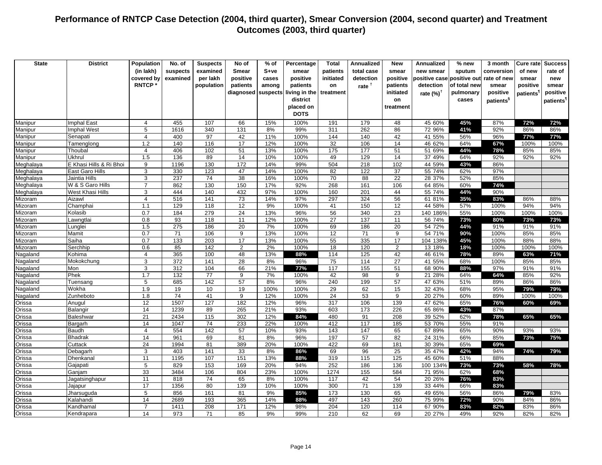| <b>State</b>       | <b>District</b>           | Population      | No. of                  | <b>Suspects</b> | No of            | $%$ of     | Percentage    | <b>Total</b>    | <b>Annualized</b> | New            | Annualized                 | % new        | 3 month               | Cure ratel | <b>Success</b>        |
|--------------------|---------------------------|-----------------|-------------------------|-----------------|------------------|------------|---------------|-----------------|-------------------|----------------|----------------------------|--------------|-----------------------|------------|-----------------------|
|                    |                           | (in lakh)       | suspects                | examined        | <b>Smear</b>     | $S+ve$     | smear         | patients        | total case        | smear          | new smear                  | sputum       | conversion            | of new     | rate of               |
|                    |                           | covered by      | examined                | per lakh        | positive         | cases      | positive      | initiated       | detection         | positive       | positive case positive out |              | rate of new           | smear      | new                   |
|                    |                           | <b>RNTCP*</b>   |                         | population      | patients         | among      | patients      | on              | rate $†$          | patients       | detection                  | of total new | smear                 | positive   | smear                 |
|                    |                           |                 |                         |                 | diagnosed        | suspects   | living in the | treatment       |                   | initiated      | rate $(%)^{\dagger}$       | pulmonary    | positive              |            | positive              |
|                    |                           |                 |                         |                 |                  |            | district      |                 |                   | on             |                            | cases        | patients <sup>§</sup> | patients`  | patients <sup>1</sup> |
|                    |                           |                 |                         |                 |                  |            | placed on     |                 |                   | treatment      |                            |              |                       |            |                       |
|                    |                           |                 |                         |                 |                  |            | <b>DOTS</b>   |                 |                   |                |                            |              |                       |            |                       |
|                    |                           |                 |                         |                 |                  |            |               |                 |                   |                |                            |              |                       |            |                       |
| Manipur            | Imphal East<br>mphal West | 4<br>5          | 455<br>1616             | 107<br>340      | 66<br>131        | 15%<br>8%  | 100%<br>99%   | 191<br>311      | 179<br>262        | 48<br>86       | 45 60%<br>72 96%           | 45%<br>41%   | 87%<br>92%            | 72%<br>86% | 72%<br>86%            |
| Manipur<br>Manipur | Senapati                  | $\overline{4}$  | 400                     | 97              | 42               | 11%        | 100%          | 144             | 140               | 42             | 41 55%                     | 56%          | 96%                   | 77%        | 77%                   |
| Manipur            | Tamenglong                | 1.2             | 140                     | 116             | 17               | 12%        | 100%          | 32              | 106               | 14             | 46 62%                     | 64%          | 67%                   | 100%       | 100%                  |
| Manipur            | Thoubal                   | $\overline{4}$  | 406                     | 102             | 51               | 13%        | 100%          | 175             | 177               | 51             | 51 69%                     | 44%          | 78%                   | 85%        | 85%                   |
| Manipur            | Ukhrul                    | 1.5             | 136                     | 89              | 14               | 10%        | 100%          | 49              | 129               | 14             | 37 49%                     | 64%          | 92%                   | 92%        | 92%                   |
| Meghalaya          | E Khasi Hills & Ri Bhoi   | 9               | 1196                    | 130             | 172              | 14%        | 99%           | 504             | 218               | 102            | 44 59%                     | 43%          | 86%                   |            |                       |
| Meghalaya          | East Garo Hills           | 3               | 330                     | 123             | 47               | 14%        | 100%          | 82              | 122               | 37             | 55 74%                     | 62%          | 97%                   |            |                       |
| Meghalaya          | Jaintia Hills             | 3               | 237                     | 74              | 38               | 16%        | 100%          | 70              | 88                | 22             | 28 37%                     | 52%          | 85%                   |            |                       |
| Meghalaya          | W & S Garo Hills          | $\overline{7}$  | 862                     | 130             | 150              | 17%        | 92%           | 268             | 161               | 106            | 64 85%                     | 60%          | 74%                   |            |                       |
| Meghalaya          | West Khasi Hills          | 3               | 444                     | 140             | 432              | 97%        | 100%          | 160             | 201               | 44             | 55 74%                     | 44%          | 90%                   |            |                       |
| Mizoram            | Aizawl                    | $\overline{4}$  | 516                     | 141             | 73               | 14%        | 97%           | 297             | 324               | 56             | 61 81%                     | 35%          | 83%                   | 86%        | 88%                   |
| Mizoram            | Champhai                  | 1.1             | 129                     | 118             | 12               | 9%         | 100%          | 41              | 150               | 12             | 44 58%                     | 57%          | 100%                  | 94%        | 94%                   |
| Mizoram            | Kolasib                   | 0.7             | 184                     | 279             | 24               | 13%        | 96%           | 56              | 340               | 23             | 140 186%                   | 55%          | 100%                  | 100%       | 100%                  |
| Mizoram            | awngtlai                  | 0.8             | 93                      | 118             | 11               | 12%        | 100%          | $\overline{27}$ | 137               | 11             | 56 74%                     | 73%          | 80%                   | 73%        | 73%                   |
| Mizoram            | unglei                    | 1.5             | 275                     | 186             | 20               | 7%         | 100%          | 69              | 186               | 20             | 54 72%                     | 44%          | 91%                   | 91%        | 91%                   |
| Mizoram            | Mamit                     | 0.7             | 71                      | 106             | 9                | 13%        | 100%          | 12              | 71                | 9              | 54 71%                     | 90%          | 100%                  | 85%        | 85%                   |
| Mizoram            | Saiha                     | 0.7             | 133                     | 203             | 17               | 13%        | 100%          | 55              | 335               | 17             | 104 138%                   | 45%          | 100%                  | 88%        | 88%                   |
| Mizoram            | Serchhip                  | 0.6             | 85                      | 142             | $\overline{2}$   | 2%         | 100%          | 18              | 120               | $\overline{2}$ | 13 18%                     | 18%          | 100%                  | 100%       | 100%                  |
| Nagaland           | Kohima                    | $\overline{4}$  | 365                     | 100             | 48               | 13%        | 88%           | 114             | 125               | 42             | 46 61%                     | 78%          | 89%                   | 63%        | 71%                   |
| Nagaland           | Mokokchung                | 3               | 372                     | 141             | 28               | 8%         | 96%           | 75              | 114               | 27             | 41 55%                     | 68%          | 100%                  | 85%        | 85%                   |
| Nagaland           | Mon                       | 3               | $\overline{312}$        | 104             | 66               | 21%        | 77%           | 117             | 155               | 51             | 68 90%                     | 88%          | 97%                   | 91%        | 91%                   |
| Nagaland           | Phek                      | 1.7             | $\overline{132}$        | $\overline{77}$ | $\boldsymbol{9}$ | 7%         | 100%          | 42              | 98                | 9              | 21 28%                     | 64%          | 64%                   | 85%        | 92%                   |
| Nagaland           | Tuensang                  | 5               | 685                     | 142             | 57               | 8%         | 96%           | 240             | 199               | 57             | 47 63%                     | 51%          | 89%                   | 86%        | 86%                   |
| Nagaland           | Wokha                     | 1.9             | 19                      | 10              | 19               | 100%       | 100%          | 29              | 62                | 15             | 32 43%                     | 68%          | 95%                   | 79%        | 79%                   |
| Nagaland           | Zunheboto                 | 1.8             | $\overline{74}$<br>1507 | 41<br>127       | 9                | 12%        | 100%          | 24              | 53                | 9<br>139       | 20 27%                     | 60%          | 89%                   | 100%       | 100%                  |
| Orissa             | Anugul<br>Balangir        | 12<br>14        | 1239                    | 89              | 182<br>265       | 12%<br>21% | 96%<br>93%    | 317<br>603      | 106<br>173        | 226            | 47 62%<br>65 86%           | 65%<br>43%   | 76%<br>87%            | 60%        | 69%                   |
| Orissa<br>Orissa   | Baleshwar                 | 21              | 2434                    | 115             | 302              | 12%        | 84%           | 480             | 91                | 208            | 39 52%                     | 62%          | 78%                   | 65%        | 65%                   |
| Orissa             | Bargarh                   | 14              | 1047                    | $\overline{74}$ | 233              | 22%        | 100%          | 412             | 117               | 185            | 53 70%                     | 55%          | 91%                   |            |                       |
| Orissa             | Baudh                     | $\overline{4}$  | 554                     | 142             | 57               | 10%        | 93%           | 143             | 147               | 65             | 67 89%                     | 65%          | 90%                   | 93%        | 93%                   |
| Orissa             | <b>Bhadrak</b>            | 14              | 961                     | 69              | 81               | 8%         | 96%           | 197             | 57                | 82             | 24 31%                     | 66%          | 85%                   | 73%        | 75%                   |
| Orissa             | Cuttack                   | 24              | 1994                    | 81              | 389              | 20%        | 100%          | 422             | 69                | 181            | 30 39%                     | 65%          | 69%                   |            |                       |
| Orissa             | Debagarh                  | 3               | 403                     | 141             | 33               | 8%         | 86%           | 69              | 96                | 25             | 35 47%                     | 42%          | 94%                   | 74%        | 79%                   |
| Orissa             | Dhenkanal                 | 11              | 1195                    | 107             | 151              | 13%        | 88%           | 319             | 115               | 125            | 45 60%                     | 51%          | 88%                   |            |                       |
| Orissa             | Gajapati                  | $5\phantom{.0}$ | 829                     | 153             | 169              | 20%        | 94%           | 252             | 186               | 136            | 100 134%                   | 73%          | 73%                   | 58%        | 78%                   |
| Orissa             | Ganjam                    | 33              | 3484                    | 106             | 804              | 23%        | 100%          | 1274            | 155               | 584            | 71 95%                     | 62%          | 68%                   |            |                       |
| Orissa             | Jagatsinghapur            | 11              | 818                     | 74              | 65               | 8%         | 100%          | 117             | 42                | 54             | 20 26%                     | 76%          | 83%                   |            |                       |
| Orissa             | Jajapur                   | 17              | 1356                    | 80              | 139              | 10%        | 100%          | 300             | 71                | 139            | 33 44%                     | 66%          | 83%                   |            |                       |
| Orissa             | Jharsuguda                | 5               | 856                     | 161             | 81               | 9%         | 85%           | 173             | 130               | 65             | 49 65%                     | 56%          | 86%                   | 79%        | 83%                   |
| Orissa             | Kalahandi                 | 14              | 2689                    | 193             | 365              | 14%        | 88%           | 497             | 143               | 260            | 75 99%                     | 72%          | 90%                   | 84%        | 86%                   |
| Orissa             | Kandhamal                 | $\overline{7}$  | 1411                    | 208             | 171              | 12%        | 98%           | 204             | 120               | 114            | 67 90%                     | 83%          | 82%                   | 83%        | 86%                   |
| Orissa             | Kendrapara                | 14              | 973                     | 71              | 85               | 9%         | 99%           | 210             | 62                | 69             | 20 27%                     | 49%          | 92%                   | 82%        | 82%                   |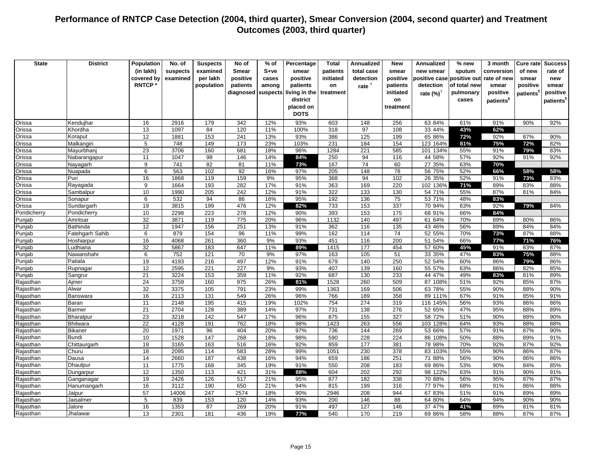| <b>State</b>           | <b>District</b>   | Population      | No. of           | <b>Suspects</b> | No of        | $%$ of     | Percentage    | <b>Total</b> | <b>Annualized</b> | <b>New</b>      | Annualized           | % new        | 3 month               | Cure ratel            | <b>Success</b>        |
|------------------------|-------------------|-----------------|------------------|-----------------|--------------|------------|---------------|--------------|-------------------|-----------------|----------------------|--------------|-----------------------|-----------------------|-----------------------|
|                        |                   | (in lakh)       |                  |                 | <b>Smear</b> | S+ve       | smear         |              | total case        | smear           | new smear            |              | conversion            | of new                | rate of               |
|                        |                   |                 | suspects         | examined        |              |            |               | patients     |                   |                 |                      | sputum       |                       |                       |                       |
|                        |                   | covered by      | examined         | per lakh        | positive     | cases      | positive      | initiated    | detection         | positive        | positive case        | positive out | rate of new           | smear                 | new                   |
|                        |                   | <b>RNTCP</b>    |                  | population      | patients     | among      | patients      | on           | rate <sup>†</sup> | patients        | detection            | of total new | smear                 | positive              | smear                 |
|                        |                   |                 |                  |                 | diagnosed    | suspects   | living in the | treatment    |                   | initiated       | rate $(%)^{\dagger}$ | pulmonary    | positive              | patients <sup>'</sup> | positive              |
|                        |                   |                 |                  |                 |              |            | district      |              |                   | on              |                      | cases        | patients <sup>§</sup> |                       | patients <sup>1</sup> |
|                        |                   |                 |                  |                 |              |            | placed on     |              |                   | treatment       |                      |              |                       |                       |                       |
|                        |                   |                 |                  |                 |              |            | <b>DOTS</b>   |              |                   |                 |                      |              |                       |                       |                       |
| Orissa                 | Kendujhar         | 16              | 2916             | 179             | 342          | 12%        | 93%           | 603          | 148               | 256             | 63 84%               | 61%          | 91%                   | 90%                   | 92%                   |
| Orissa                 | Khordha           | 13              | 1097             | 84              | 120          | 11%        | 100%          | 318          | 97                | 108             | 33 44%               | 43%          | 62%                   |                       |                       |
| Orissa                 | Koraput           | 12              | 1881             | 153             | 241          | 13%        | 93%           | 386          | 125               | 199             | 65 86%               | 72%          | 92%                   | 87%                   | 90%                   |
| Orissa                 | Malkangiri        | 5               | 748              | 149             | 173          | 23%        | 103%          | 231          | 184               | 154             | 123 164%             | 81%          | 75%                   | 72%                   | 82%                   |
| Orissa                 | Mayurbhanj        | 23              | 3706             | 160             | 681          | 18%        | 96%           | 1284         | 221               | 585             | 101 134%             | 55%          | 91%                   | 79%                   | 83%                   |
| Orissa                 | Nabarangapur      | 11              | 1047             | 98              | 146          | 14%        | 84%           | 250          | 94                | 116             | 44 58%               | 57%          | 92%                   | 91%                   | 92%                   |
| Orissa                 | Nayagarh          | 9               | 741              | 82              | 81           | 11%        | 73%           | 167          | 74                | 60              | 27 35%               | 63%          | 70%                   |                       |                       |
| Orissa                 | Nuapada           | $6\phantom{1}6$ | 563              | 102             | 92           | 16%        | 97%           | 205          | 148               | 78              | 56 75%               | 52%          | 66%                   | 58%                   | 58%                   |
| Orissa                 | Puri              | 16              | 1868             | 119             | 159          | 9%         | 95%           | 368          | 94                | 102             | 26 35%               | 52%          | 91%                   | 73%                   | 83%                   |
| Orissa                 | Rayagada          | 9               | 1664             | 193             | 282          | 17%        | 91%           | 363          | 169               | 220             | 102 136%             | 71%          | 89%                   | 83%                   | 88%                   |
| Orissa                 | Sambalpur         | 10              | 1990             | 205             | 242          | 12%        | 91%           | 322          | 133               | 130             | 54 71%               | 55%          | 87%                   | 81%                   | 84%                   |
| Orissa                 | Sonapur           | $6\phantom{1}6$ | 532              | 94              | 86           | 16%        | 95%           | 192          | 136               | $\overline{75}$ | 53 71%               | 48%          | 83%                   |                       |                       |
| Orissa                 | Sundargarh        | 19              | 3815             | 199             | 476          | 12%        | 82%           | 733          | 153               | 337             | 70 94%               | 63%          | 92%                   | 79%                   | 84%                   |
| Pondicherry            | Pondicherry       | 10              | 2298             | 223             | 278          | 12%        | 90%           | 393          | 153               | 175             | 68 91%               | 66%          | 84%                   |                       |                       |
| Punjab                 | Amritsar          | $\overline{32}$ | 3871             | 119             | 775          | 20%        | 96%           | 1132         | 140               | 497             | 61 64%               | 70%          | 89%                   | 80%                   | 86%                   |
| Punjab                 | Bathinda          | 12              | 1947             | 156             | 251          | 13%        | 91%           | 362          | 116               | 135             | 43 46%               | 56%          | 89%                   | 84%                   | 84%                   |
| Punjab                 | Fatehgarh Sahib   | 6               | 879              | 154             | 96           | 11%        | 99%           | 162          | 114               | 74              | 52 55%               | 70%          | 73%                   | 87%                   | 88%                   |
| Punjab                 | Hoshiarpur        | 16              | 4068             | 261             | 360          | 9%         | 93%           | 451          | 116               | 200             | 51 54%               | 66%          | 77%                   | 71%                   | 76%                   |
| Punjab                 | Ludhiana          | 32              | 5867             | 183             | 647          | 11%        | 89%           | 1415         | 177               | 454             | 57 60%               | 45%          | 91%                   | 83%                   | 87%                   |
| Punjab                 | Nawanshahr        | $\overline{6}$  | $\overline{752}$ | 121             | 70           | 9%         | 97%           | 163          | 105               | 51              | 33 35%               | 47%          | 83%                   | 75%                   | 88%                   |
| Punjab                 | Patiala           | 19              | 4193             | 216             | 497          | 12%        | 91%           | 679          | 140               | 250             | 52 54%               | 60%          | 86%                   | 79%                   | 86%                   |
| Punjab                 | Rupnagar          | 12              | 2595             | 221             | 227          | 9%         | 93%           | 407          | 139               | 160             | 55 57%               | 63%          | 86%                   | 82%                   | 85%                   |
| Punjab                 | Sangrur           | $\overline{21}$ | 3224             | 153             | 359          | 11%        | 92%           | 687          | 130               | 233             | 44 47%               | 49%          | 83%                   | 81%                   | 89%                   |
| Rajasthan              | Ajmer<br>Alwar    | 24<br>32        | 3759<br>3375     | 160<br>105      | 975<br>791   | 26%<br>23% | 81%<br>99%    | 1528<br>1363 | 260<br>169        | 509<br>506      | 87 108%<br>63 78%    | 51%<br>55%   | 92%<br>90%            | 85%<br>88%            | 87%<br>90%            |
| Rajasthan              |                   |                 |                  |                 |              |            |               |              |                   |                 |                      |              |                       |                       |                       |
| Rajasthan              | Banswara<br>Baran | 16<br>11        | 2113<br>2148     | 131<br>195      | 549<br>415   | 26%<br>19% | 96%<br>102%   | 766<br>754   | 189<br>274        | 358<br>319      | 89 111%<br>116 145%  | 67%<br>56%   | 91%<br>93%            | 85%<br>86%            | 91%<br>86%            |
| Rajasthan              | <b>Barmer</b>     | $\overline{21}$ | 2704             | 128             | 389          | 14%        | 97%           | 731          | 138               | 276             | 52 65%               | 47%          | 95%                   | 88%                   | 89%                   |
| Rajasthan<br>Rajasthan | Bharatpur         | 23              | 3218             | 142             | 547          | 17%        | 96%           | 875          | 155               | 327             | 58 72%               | 51%          | 90%                   | 88%                   | 90%                   |
| Rajasthan              | <b>Bhilwara</b>   | 22              | 4128             | 191             | 762          | 18%        | 98%           | 1423         | 263               | 556             | 103 128%             | 64%          | 93%                   | 88%                   | 88%                   |
| Rajasthan              | <b>Bikaner</b>    | 20              | 1971             | 96              | 404          | 20%        | 97%           | 736          | 144               | 269             | 53 66%               | 57%          | 91%                   | 87%                   | 90%                   |
| Rajasthan              | <b>Bundi</b>      | 10              | 1528             | 147             | 268          | 18%        | 98%           | 590          | 228               | 224             | 86 108%              | 50%          | 88%                   | 89%                   | 91%                   |
| Rajasthan              | Chittaurgarh      | 19              | 3165             | 163             | 516          | 16%        | 92%           | 859          | 177               | 381             | 78 98%               | 70%          | 92%                   | 87%                   | 92%                   |
| Rajasthan              | Churu             | 18              | 2095             | 114             | 583          | 28%        | 99%           | 1051         | 230               | 378             | 83 103%              | 55%          | 90%                   | 86%                   | 87%                   |
| Rajasthan              | Dausa             | 14              | 2660             | 187             | 438          | 16%        | 94%           | 659          | 186               | 251             | 71 88%               | 56%          | 90%                   | 86%                   | 86%                   |
| Rajasthan              | Dhaulpur          | 11              | 1775             | 168             | 345          | 19%        | 91%           | 550          | 208               | 183             | 69 86%               | 53%          | 90%                   | 84%                   | 85%                   |
| Rajasthan              | Dungarpur         | 12              | 1350             | 113             | 421          | 31%        | 88%           | 604          | 202               | 292             | 98 122%              | 63%          | 91%                   | 90%                   | 91%                   |
| Rajasthan              | Ganganagar        | 19              | 2426             | 126             | 517          | 21%        | 95%           | 877          | 182               | 338             | 70 88%               | 56%          | 95%                   | 87%                   | 87%                   |
| Rajasthan              | Hanumangarh       | 16              | 3112             | 190             | 650          | 21%        | 94%           | 815          | 199               | 316             | 77 97%               | 68%          | 91%                   | 86%                   | 88%                   |
| Rajasthan              | Jaipur            | 57              | 14006            | 247             | 2574         | 18%        | 90%           | 2946         | 208               | 944             | 67 83%               | 51%          | 91%                   | 89%                   | 89%                   |
| Rajasthan              | Jaisalmer         | 5               | 839              | 153             | 120          | 14%        | 93%           | 200          | 146               | 88              | 64 80%               | 64%          | 94%                   | 90%                   | 90%                   |
| Rajasthan              | Jalore            | 16              | 1353             | 87              | 269          | 20%        | 91%           | 497          | 127               | 146             | 37 47%               | 41%          | 89%                   | 81%                   | 81%                   |
| Rajasthan              | Jhalawar          | 13              | 2301             | 181             | 436          | 19%        | 77%           | 540          | 170               | 219             | 69 86%               | 58%          | 88%                   | 87%                   | 87%                   |
|                        |                   |                 |                  |                 |              |            |               |              |                   |                 |                      |              |                       |                       |                       |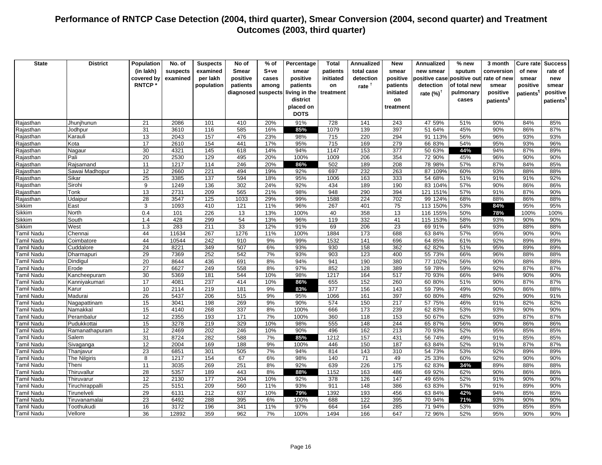| <b>State</b>        | <b>District</b> | Population                  | No. of       | <b>Suspects</b> | No of        | $%$ of     | Percentage    | <b>Total</b> | <b>Annualized</b> | New        | Annualized            | % new        | 3 month               | Cure ratel            | <b>Success</b>         |
|---------------------|-----------------|-----------------------------|--------------|-----------------|--------------|------------|---------------|--------------|-------------------|------------|-----------------------|--------------|-----------------------|-----------------------|------------------------|
|                     |                 | (in lakh)                   |              |                 | <b>Smear</b> | S+ve       | smear         | patients     | total case        | smear      | new smear             |              | conversion            | of new                | rate of                |
|                     |                 |                             | suspects     | examined        |              |            |               |              |                   |            |                       | sputum       |                       |                       |                        |
|                     |                 | covered by<br><b>RNTCP*</b> | examined     | per lakh        | positive     | cases      | positive      | initiated    | detection         | positive   | positive case         | positive out | rate of new           | smear                 | new                    |
|                     |                 |                             |              | population      | patients     | among      | patients      | on           | rate <sup>†</sup> | patients   | detection             | of total new | smear                 | positive              | smear                  |
|                     |                 |                             |              |                 | diagnosed    | suspects   | living in the | treatment    |                   | initiated  | rate $(\%)^{\dagger}$ | pulmonary    | positive              | patients <sup>1</sup> | positive               |
|                     |                 |                             |              |                 |              |            | district      |              |                   | on         |                       | cases        | patients <sup>§</sup> |                       | patients <sup>11</sup> |
|                     |                 |                             |              |                 |              |            | placed on     |              |                   | treatment  |                       |              |                       |                       |                        |
|                     |                 |                             |              |                 |              |            | <b>DOTS</b>   |              |                   |            |                       |              |                       |                       |                        |
| Rajasthan           | Jhunjhunun      | 21                          | 2086         | 101             | 410          | 20%        | 91%           | 728          | 141               | 243        | 47 59%                | 51%          | 90%                   | 84%                   | 85%                    |
| Rajasthan           | Jodhpur         | 31                          | 3610         | 116             | 585          | 16%        | 85%           | 1079         | 139               | 397        | 51 64%                | 45%          | 90%                   | 86%                   | 87%                    |
| Rajasthan           | Karauli         | 13                          | 2043         | 157             | 476          | 23%        | 98%           | 715          | 220               | 294        | 91 113%               | 56%          | 96%                   | 93%                   | 93%                    |
| Rajasthan           | Kota            | 17                          | 2610         | 154             | 441          | 17%        | 95%           | 715          | 169               | 279        | 66 83%                | 54%          | 95%                   | 93%                   | 96%                    |
| Rajasthan           | Nagaur          | 30                          | 4321         | 145             | 618          | 14%        | 94%           | 1147         | 153               | 377        | 50 63%                | 44%          | 94%                   | 87%                   | 89%                    |
| Rajasthan           | Pali            | $\overline{20}$             | 2530         | 129             | 495          | 20%        | 100%          | 1009         | 206               | 354        | 72 90%                | 45%          | 96%                   | 90%                   | 90%                    |
| Rajasthan           | Rajsamand       | 11                          | 1217         | 114             | 246          | 20%        | 86%           | 502          | 189               | 208        | 78 98%                | 57%          | 87%                   | 84%                   | 85%                    |
| Rajasthan           | Sawai Madhopur  | 12                          | 2660         | 221             | 494          | 19%        | 92%           | 697          | 232               | 263        | 87 109%               | 60%          | 93%                   | 88%                   | 88%                    |
| Rajasthan           | Sikar           | 25                          | 3385         | 137             | 594          | 18%        | 95%           | 1006         | 163               | 333        | 54 68%                | 51%          | 91%                   | 91%                   | 92%                    |
| Rajasthan           | Sirohi          | 9                           | 1249         | 136             | 302          | 24%        | 92%           | 434          | 189               | 190        | 83 104%               | 57%          | 90%                   | 86%                   | 86%                    |
| Rajasthan           | Tonk            | 13<br>28                    | 2731<br>3547 | 209             | 565<br>1033  | 21%        | 98%           | 948<br>1588  | 290<br>224        | 394<br>702 | 121 151%              | 57%          | 91%<br>88%            | 87%<br>86%            | 90%                    |
| Rajasthan<br>Sikkim | Udaipur<br>East | 3                           | 1093         | 125<br>410      | 121          | 29%<br>11% | 99%<br>96%    | 267          | 401               | 75         | 99 124%<br>113 150%   | 68%          | 84%                   | 95%                   | 88%                    |
| Sikkim              | North           | 0.4                         | 101          | 226             | 13           | 13%        | 100%          | 40           | 358               | 13         | 116 155%              | 53%<br>50%   | 78%                   | 100%                  | 95%<br>100%            |
| Sikkim              | South           | 1.4                         | 428          | 299             | 54           | 13%        | 96%           | 119          | 332               | 41         | 115 153%              | 58%          | 93%                   | 90%                   | 90%                    |
| Sikkim              | West            | 1.3                         | 283          | 211             | 33           | 12%        | 91%           | 69           | 206               | 23         | 69 91%                | 64%          | 93%                   | 88%                   | 88%                    |
| Tamil Nadu          | Chennai         | 44                          | 11634        | 267             | 1276         | 11%        | 100%          | 1884         | 173               | 688        | 63 84%                | 57%          | 95%                   | 90%                   | 90%                    |
| Tamil Nadu          | Coimbatore      | 44                          | 10544        | 242             | 910          | 9%         | 99%           | 1532         | 141               | 696        | 64 85%                | 61%          | 92%                   | 89%                   | 89%                    |
| Tamil Nadu          | Cuddalore       | $\overline{24}$             | 8221         | 349             | 507          | 6%         | 93%           | 930          | 158               | 362        | 62 82%                | 51%          | 95%                   | 89%                   | 89%                    |
| Tamil Nadu          | Dharmapuri      | 29                          | 7369         | 252             | 542          | 7%         | 93%           | 903          | 123               | 400        | 55 73%                | 66%          | 96%                   | 88%                   | 88%                    |
| Tamil Nadu          | Dindigul        | 20                          | 8644         | 436             | 691          | 8%         | 94%           | 941          | 190               | 380        | 77 102%               | 56%          | 90%                   | 88%                   | 88%                    |
| Tamil Nadu          | Erode           | 27                          | 6627         | 249             | 558          | 8%         | 97%           | 852          | 128               | 389        | 59 78%                | 59%          | 92%                   | 87%                   | 87%                    |
| Tamil Nadu          | Kancheepuram    | 30                          | 5369         | 181             | 544          | 10%        | 98%           | 1217         | 164               | 517        | 70 93%                | 66%          | 94%                   | 90%                   | 90%                    |
| Tamil Nadu          | Kanniyakumari   | 17                          | 4081         | 237             | 414          | 10%        | 86%           | 655          | 152               | 260        | 60 80%                | 51%          | 90%                   | 87%                   | 87%                    |
| Tamil Nadu          | Karur           | 10                          | 2114         | 219             | 181          | 9%         | 83%           | 377          | 156               | 143        | 59 79%                | 49%          | 90%                   | 86%                   | 88%                    |
| Tamil Nadu          | Madurai         | $\overline{26}$             | 5437         | 206             | 515          | 9%         | 95%           | 1066         | 161               | 397        | 60 80%                | 48%          | 92%                   | 90%                   | 91%                    |
| Tamil Nadu          | Nagapattinam    | 15                          | 3041         | 198             | 269          | 9%         | 90%           | 574          | 150               | 217        | 57 75%                | 46%          | 91%                   | 82%                   | 82%                    |
| Tamil Nadu          | Namakkal        | 15                          | 4140         | 268             | 337          | 8%         | 100%          | 666          | 173               | 239        | 62 83%                | 53%          | 93%                   | 90%                   | 90%                    |
| Tamil Nadu          | Perambalur      | 12                          | 2355         | 193             | 171          | 7%         | 100%          | 360          | 118               | 153        | 50 67%                | 62%          | 93%                   | 87%                   | 87%                    |
| Tamil Nadu          | Pudukkottai     | 15                          | 3278         | 219             | 329          | 10%        | 98%           | 555          | 148               | 244        | 65 87%                | 56%          | 90%                   | 86%                   | 86%                    |
| Tamil Nadu          | Ramanathapuram  | 12                          | 2469         | 202             | 246          | 10%        | 90%           | 496          | 162               | 213        | 70 93%                | 52%          | 95%                   | 85%                   | 85%                    |
| Tamil Nadu          | Salem           | 31                          | 8724         | 282             | 588          | 7%         | 85%           | 1212         | 157               | 431        | 56 74%                | 49%          | 91%                   | 85%                   | 85%                    |
| Tamil Nadu          | Sivaganga       | 12                          | 2004         | 169             | 188          | 9%         | 100%          | 446          | 150               | 187        | 63 84%                | 52%          | 91%                   | 87%                   | 87%                    |
| Tamil Nadu          | Thanjavur       | 23                          | 6851         | 301             | 505          | 7%         | 94%           | 814          | 143               | 310        | 54 73%                | 53%          | 92%                   | 89%                   | 89%                    |
| Tamil Nadu          | The Nilgiris    | 8                           | 1217         | 154             | 67           | 6%         | 98%           | 140          | 71                | 49         | 25 33%                | 60%          | 92%                   | 90%                   | 90%                    |
| Tamil Nadu          | Theni           | 11                          | 3035         | 269             | 251          | 8%         | 92%           | 639          | 226               | 175        | 62 83%                | 34%          | 89%                   | 88%                   | 88%                    |
| Tamil Nadu          | Thiruvallur     | 28                          | 5357         | 189             | 443          | 8%         | 88%           | 1152         | 163               | 486        | 69 92%                | 62%          | 90%                   | 86%                   | 86%                    |
| Tamil Nadu          | Thiruvarur      | 12                          | 2130         | 177             | 204          | 10%        | 92%           | 378          | 126               | 147        | 49 65%                | 52%          | 91%                   | 90%                   | 90%                    |
| Tamil Nadu          | Tiruchirappalli | 25                          | 5151         | 209             | 560          | 11%        | 93%           | 911          | 148               | 386        | 63 83%                | 57%          | 91%                   | 89%                   | 90%                    |
| Tamil Nadu          | Tirunelveli     | 29                          | 6131         | 212             | 637          | 10%        | 79%           | 1392         | 193               | 456        | 63 84%                | 42%          | 94%                   | 85%                   | 85%                    |
| Tamil Nadu          | Tiruvanamalai   | 23                          | 6492         | 288             | 395          | 6%         | 100%          | 688          | 122               | 395        | 70 94%                | 71%          | 93%                   | 90%                   | 90%                    |
| Tamil Nadu          | Toothukudi      | 16                          | 3172         | 196             | 341          | 11%        | 97%           | 664          | 164               | 285        | 71 94%                | 53%          | 93%                   | 85%                   | 85%                    |
| <b>Tamil Nadu</b>   | Vellore         | 36                          | 12892        | 359             | 962          | 7%         | 100%          | 1494         | 166               | 647        | 72 96%                | 52%          | 95%                   | 90%                   | 90%                    |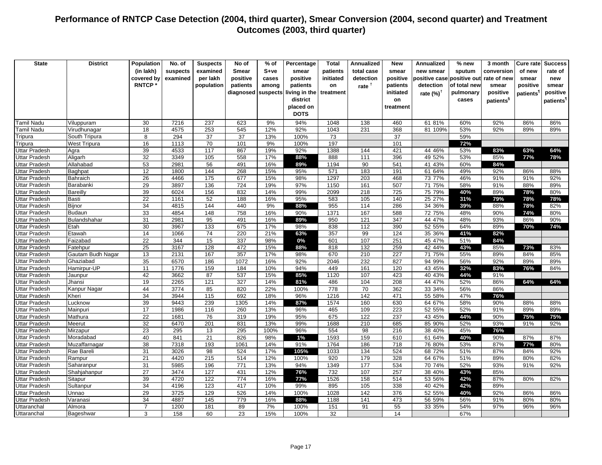| <b>State</b>                                 | <b>District</b>   | Population      | No. of                     | <b>Suspects</b>   | No of        | $%$ of     | Percentage    | Total       | Annualized        | New              | Annualized                 | % new        | 3 month               | Cure rate             | <b>Success</b>        |
|----------------------------------------------|-------------------|-----------------|----------------------------|-------------------|--------------|------------|---------------|-------------|-------------------|------------------|----------------------------|--------------|-----------------------|-----------------------|-----------------------|
|                                              |                   | (in lakh)       | suspects                   | examined          | <b>Smear</b> | $S+ve$     | smear         | patients    | total case        | smear            | new smear                  | sputum       | conversion            | of new                | rate of               |
|                                              |                   | covered by      | examined                   | per lakh          | positive     | cases      | positive      | initiated   | detection         | positive         | positive case positive out |              | rate of new           | smear                 | new                   |
|                                              |                   | <b>RNTCP*</b>   |                            | population        | patients     | among      | patients      | on          | rate <sup>t</sup> | patients         | detection                  | of total new | smear                 | positive              | smear                 |
|                                              |                   |                 |                            |                   | diagnosed    | suspects   | living in the | treatment   |                   | initiated        | rate $(\%)^{\dagger}$      | pulmonary    | positive              | patients <sup>1</sup> | positive              |
|                                              |                   |                 |                            |                   |              |            | district      |             |                   | on               |                            | cases        | patients <sup>§</sup> |                       | patients <sup>1</sup> |
|                                              |                   |                 |                            |                   |              |            | placed on     |             |                   | treatment        |                            |              |                       |                       |                       |
|                                              |                   |                 |                            |                   |              |            | <b>DOTS</b>   |             |                   |                  |                            |              |                       |                       |                       |
| <b>Tamil Nadu</b>                            | Viluppuram        |                 | 7216                       |                   |              | 9%         | 94%           | 1048        | 138               | 460              | 61 81%                     | 60%          | 92%                   | 86%                   | 86%                   |
| Tamil Nadu                                   | Virudhunagar      | 30<br>18        | 4575                       | 237<br>253        | 623<br>545   | 12%        | 92%           | 1043        | 231               | 368              | 81 109%                    | 53%          | 92%                   | 89%                   | 89%                   |
| Tripura                                      | South Tripura     | 8               | 294                        | 37                | 37           | 13%        | 100%          | 73          |                   | 37               |                            | 59%          |                       |                       |                       |
| Tripura                                      | West Tripura      | 16              | 1113                       | 70                | 101          | 9%         | 100%          | 197         |                   | 101              |                            | 72%          |                       |                       |                       |
| <b>Uttar Pradesh</b>                         | Agra              | 39              | 4533                       | 117               | 867          | 19%        | 92%           | 1388        | 144               | 421              | 44 46%                     | 53%          | 83%                   | 63%                   | 64%                   |
| <b>Uttar Pradesh</b>                         | Aligarh           | 32              | 3349                       | 105               | 558          | 17%        | 88%           | 888         | 111               | 396              | 49 52%                     | 53%          | 85%                   | 77%                   | 78%                   |
| <b>Uttar Pradesh</b>                         | Allahabad         | 53              | 2981                       | 56                | 491          | 16%        | 89%           | 1194        | 90                | 541              | 41 43%                     | 60%          | 84%                   |                       |                       |
| <b>Uttar Pradesh</b>                         | Baghpat           | 12              | 1800                       | 144               | 268          | 15%        | 95%           | 571         | 183               | 191              | 61 64%                     | 49%          | 92%                   | 86%                   | 88%                   |
| <b>Uttar Pradesh</b>                         | Bahraich          | 26              | 4466                       | 175               | 677          | 15%        | 98%           | 1297        | 203               | 468              | 73 77%                     | 46%          | 91%                   | 91%                   | 92%                   |
| Uttar Pradesh                                | Barabanki         | 29              | 3897                       | 136               | 724          | 19%        | 97%           | 1150        | 161               | 507              | 71 75%                     | 58%          | 91%                   | 88%                   | 89%                   |
| Uttar Pradesh                                | Bareilly          | 39              | 6024                       | 156               | 832          | 14%        | 99%           | 2099        | 218               | 725              | 75 79%                     | 40%          | 89%                   | 78%                   | 80%                   |
| <b>Uttar Pradesh</b>                         | Basti             | $\overline{22}$ | 1161                       | 52                | 188          | 16%        | 95%           | 583         | 105               | 140              | 25 27%                     | 31%          | 79%                   | 78%                   | 78%                   |
| <b>Uttar Pradesh</b>                         | Bijnor            | 34              | 4815                       | 144               | 440          | 9%         | 88%           | 955         | 114               | 286              | 34 36%                     | 39%          | 88%                   | 78%                   | 82%                   |
| <b>Uttar Pradesh</b>                         | <b>Budaun</b>     | 33              | 4854                       | 148               | 758          | 16%        | 90%           | 1371        | 167               | 588              | 72 75%                     | 48%          | 90%                   | 74%                   | 80%                   |
| <b>Uttar Pradesh</b>                         | Bulandshahar      | 31              | 2981                       | 95                | 491          | 16%        | 89%           | 950         | 121               | 347              | 44 47%                     | 48%          | 93%                   | 86%                   | 90%                   |
| <b>Uttar Pradesh</b>                         | Etah              | 30              | 3967                       | 133               | 675          | 17%        | 98%           | 838         | 112               | 390              | 52 55%                     | 64%          | 89%                   | 70%                   | 74%                   |
| <b>Uttar Pradesh</b>                         | Etawah            | 14              | 1066                       | 74                | 220          | 21%        | 63%           | 357         | 99                | 124              | 35 36%                     | 41%          | 82%                   |                       |                       |
| Uttar Pradesh                                | Faizabad          | $\overline{22}$ | 344                        | 15                | 337          | 98%        | $0\%$         | 601         | 107               | 251              | 45 47%                     | 51%          | 84%                   |                       |                       |
| <b>Uttar Pradesh</b>                         | Fatehpur          | $\overline{25}$ | 3167                       | 128               | 472          | 15%        | 88%           | 818         | 132               | 259              | 42 44%                     | 43%          | 85%                   | 73%                   | 83%                   |
| <b>Uttar Pradesh</b>                         | Gautam Budh Nagar | 13              | 2131                       | 167               | 357          | 17%        | 98%           | 670         | 210               | 227              | 71 75%                     | 55%          | 89%                   | 84%                   | 85%                   |
| <b>Uttar Pradesh</b>                         | Ghaziabad         | 35              | 6570<br>$\overline{17}$ 76 | 186               | 1072         | 16%        | 92%           | 2046        | 232               | 827              | 94 99%                     | 56%          | 92%                   | 89%                   | 89%                   |
| <b>Uttar Pradesh</b><br><b>Uttar Pradesh</b> | Hamirpur-UP       | 11<br>42        | 3662                       | 159<br>87         | 184          | 10%<br>15% | 94%<br>85%    | 449<br>1120 | 161<br>107        | 120<br>423       | 43 45%<br>40 43%           | 32%<br>44%   | 83%                   | 76%                   | 84%                   |
| <b>Uttar Pradesh</b>                         | Jaunpur<br>Jhansi | 19              | 2265                       | $\overline{121}$  | 537<br>327   | 14%        | 81%           | 486         | 104               | 208              | 44 47%                     | 52%          | 91%<br>86%            | 64%                   | 64%                   |
| <b>Uttar Pradesh</b>                         | Kanpur Nagar      | 44              | 3774                       | 85                | 820          | 22%        | 100%          | 778         | 70                | 362              | 33 34%                     | 56%          | 86%                   |                       |                       |
| <b>Uttar Pradesh</b>                         | Kheri             | 34              | 3944                       | $\frac{115}{115}$ | 692          | 18%        | 96%           | 1216        | 142               | 471              | 55 58%                     | 47%          | 76%                   |                       |                       |
| <b>Uttar Pradesh</b>                         | _ucknow           | 39              | 9443                       | 239               | 1305         | 14%        | 87%           | 1574        | 160               | 630              | 64 67%                     | 58%          | 90%                   | 88%                   | 88%                   |
| <b>Uttar Pradesh</b>                         | Mainpuri          | $\overline{17}$ | 1986                       | 116               | 260          | 13%        | 96%           | 465         | 109               | 223              | 52 55%                     | 52%          | 91%                   | 89%                   | 89%                   |
| <b>Uttar Pradesh</b>                         | Mathura           | 22              | 1681                       | 76                | 319          | 19%        | 95%           | 675         | 122               | 237              | 43 45%                     | 44%          | 90%                   | 75%                   | 75%                   |
| <b>Uttar Pradesh</b>                         | Meerut            | 32              | 6470                       | 201               | 831          | 13%        | 99%           | 1688        | 210               | 685              | 85 90%                     | 52%          | 93%                   | 91%                   | 92%                   |
| <b>Uttar Pradesh</b>                         | Mirzapur          | 23              | 295                        | 13                | 295          | 100%       | 96%           | 554         | 98                | 216              | 38 40%                     | 45%          | 76%                   |                       |                       |
| <b>Uttar Pradesh</b>                         | Moradabad         | 40              | 841                        | 21                | 826          | 98%        | $1\%$         | 1593        | 159               | 610              | 61 64%                     | 40%          | 90%                   | 87%                   | 87%                   |
| <b>Uttar Pradesh</b>                         | Muzaffarnagar     | $\overline{38}$ | 7318                       | 193               | 1061         | 14%        | 91%           | 1764        | 186               | $\overline{718}$ | 76 80%                     | 53%          | 87%                   | 77%                   | 80%                   |
| <b>Uttar Pradesh</b>                         | Rae Bareli        | 31              | 3026                       | 98                | 524          | 17%        | 105%          | 1033        | 134               | 524              | 68 72%                     | 51%          | 87%                   | 84%                   | 92%                   |
| <b>Uttar Pradesh</b>                         | Rampur            | 21              | 4420                       | $\overline{215}$  | 514          | 12%        | 100%          | 920         | 179               | 328              | 64 67%                     | 51%          | 89%                   | 80%                   | 82%                   |
| <b>Uttar Pradesh</b>                         | Saharanpur        | 31              | 5985                       | 196               | 771          | 13%        | 94%           | 1349        | 177               | 534              | 70 74%                     | 52%          | 93%                   | 91%                   | 92%                   |
| <b>Uttar Pradesh</b>                         | Shahjahanpur      | 27              | 3474                       | 127               | 431          | 12%        | 76%           | 732         | 107               | 257              | 38 40%                     | 43%          | 85%                   |                       |                       |
| <b>Uttar Pradesh</b>                         | Sitapur           | 39              | 4720                       | 122               | 774          | 16%        | 77%           | 1526        | 158               | 514              | 53 56%                     | 42%          | 87%                   | 80%                   | 82%                   |
| <b>Uttar Pradesh</b>                         | Sultanpur         | 34              | 4196                       | 123               | 417          | 10%        | 99%           | 895         | 105               | 338              | 40 42%                     | 42%          | 89%                   |                       |                       |
| Uttar Pradesh                                | Unnao             | 29              | 3725                       | 129               | 526          | 14%        | 100%          | 1028        | 142               | 376              | 52 55%                     | 40%          | 92%                   | 86%                   | 86%                   |
| <b>Uttar Pradesh</b>                         | Varanasi          | 34              | 4887                       | 145               | 779          | 16%        | 88%           | 1188        | 141               | 473              | 56 59%                     | 56%          | 91%                   | 80%                   | 80%                   |
| Uttaranchal                                  | Almora            | $\overline{7}$  | 1200                       | 181               | 89           | 7%         | 100%          | 151         | 91                | 55               | 33 35%                     | 54%          | 97%                   | 96%                   | 96%                   |
| Uttaranchal                                  | Bageshwar         | 3               | 158                        | 60                | 23           | 15%        | 100%          | 32          |                   | 14               |                            | 67%          |                       |                       |                       |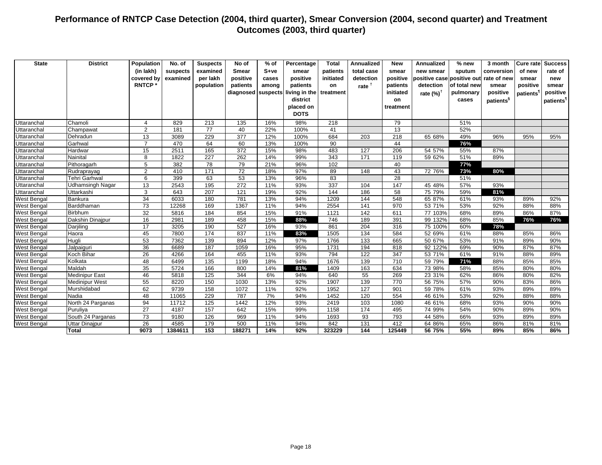| <b>State</b>       | <b>District</b>       | Population<br>(in lakh)<br>covered by<br><b>RNTCP*</b> | No. of<br>suspects<br>examined | <b>Suspects</b><br>examined<br>per lakh<br>population | No of<br><b>Smear</b><br>positive<br>patients<br>diagnosed | $%$ of<br>$S+ve$<br>cases<br>among<br>suspects | Percentage<br>smear<br>positive<br>patients<br>living in the<br>district<br>placed on | <b>Total</b><br>patients<br>initiated<br>on<br>treatment | <b>Annualized</b><br>total case<br>detection<br>rate $†$ | <b>New</b><br>smear<br>positive<br>patients<br>initiated<br>on<br>treatment | <b>Annualized</b><br>new smear<br>positive case positive out<br>detection<br>rate $(\%)^{\dagger}$ | % new<br>sputum<br>of total new<br>pulmonary<br>cases | 3 month<br>conversion<br>rate of new<br>smear<br>positive<br>patients <sup>§</sup> | of new<br>smear<br>positive<br>patients <sup>1</sup> | <b>Cure rate Success</b><br>rate of<br>new<br>smear<br>positive<br>patients <sup>1</sup> |
|--------------------|-----------------------|--------------------------------------------------------|--------------------------------|-------------------------------------------------------|------------------------------------------------------------|------------------------------------------------|---------------------------------------------------------------------------------------|----------------------------------------------------------|----------------------------------------------------------|-----------------------------------------------------------------------------|----------------------------------------------------------------------------------------------------|-------------------------------------------------------|------------------------------------------------------------------------------------|------------------------------------------------------|------------------------------------------------------------------------------------------|
|                    |                       |                                                        |                                |                                                       |                                                            |                                                | <b>DOTS</b>                                                                           |                                                          |                                                          |                                                                             |                                                                                                    |                                                       |                                                                                    |                                                      |                                                                                          |
| Uttaranchal        | Chamoli               | $\boldsymbol{\Delta}$                                  | 829                            | 213                                                   | 135                                                        | 16%                                            | 98%                                                                                   | 218                                                      |                                                          | 79                                                                          |                                                                                                    | 51%                                                   |                                                                                    |                                                      |                                                                                          |
| Uttaranchal        | Champawat             | 2                                                      | 181                            | 77                                                    | 40                                                         | 22%                                            | 100%                                                                                  | 41                                                       |                                                          | 13                                                                          |                                                                                                    | 52%                                                   |                                                                                    |                                                      |                                                                                          |
| Uttaranchal        | Dehradun              | 13                                                     | 3089                           | 229                                                   | $\overline{377}$                                           | 12%                                            | 100%                                                                                  | 684                                                      | 203                                                      | 218                                                                         | 65 68%                                                                                             | 49%                                                   | 96%                                                                                | 95%                                                  | 95%                                                                                      |
| Uttaranchal        | Garhwal               | $\overline{7}$                                         | 470                            | 64                                                    | 60                                                         | 13%                                            | 100%                                                                                  | 90                                                       |                                                          | 44                                                                          |                                                                                                    | 76%                                                   |                                                                                    |                                                      |                                                                                          |
| Uttaranchal        | Hardwar               | 15                                                     | 2511                           | 165                                                   | $\overline{372}$                                           | 15%                                            | 98%                                                                                   | 483                                                      | 127                                                      | 206                                                                         | 54 57%                                                                                             | 55%                                                   | 87%                                                                                |                                                      |                                                                                          |
| Uttaranchal        | Nainital              | 8                                                      | 1822                           | 227                                                   | 262                                                        | 14%                                            | 99%                                                                                   | 343                                                      | 171                                                      | 119                                                                         | 59 62%                                                                                             | 51%                                                   | 89%                                                                                |                                                      |                                                                                          |
| Uttaranchal        | Pithoragarh           | 5                                                      | 382                            | 78                                                    | 79                                                         | 21%                                            | 96%                                                                                   | 102                                                      |                                                          | 40                                                                          |                                                                                                    | 77%                                                   |                                                                                    |                                                      |                                                                                          |
| Uttaranchal        | Rudraprayag           | 2                                                      | 410                            | 171                                                   | 72                                                         | 18%                                            | 97%                                                                                   | 89                                                       | 148                                                      | 43                                                                          | 72 76%                                                                                             | 73%                                                   | 80%                                                                                |                                                      |                                                                                          |
| Uttaranchal        | Tehri Garhwal         | 6                                                      | 399                            | 63                                                    | 53                                                         | 13%                                            | 96%                                                                                   | 83                                                       |                                                          | 28                                                                          |                                                                                                    | 51%                                                   |                                                                                    |                                                      |                                                                                          |
| Uttaranchal        | Udhamsingh Nagar      | 13                                                     | 2543                           | 195                                                   | 272                                                        | 11%                                            | 93%                                                                                   | 337                                                      | 104                                                      | 147                                                                         | 45 48%                                                                                             | 57%                                                   | 93%                                                                                |                                                      |                                                                                          |
| Uttaranchal        | Uttarkashi            | 3                                                      | 643                            | 207                                                   | 121                                                        | 19%                                            | 92%                                                                                   | 144                                                      | 186                                                      | 58                                                                          | 75 79%                                                                                             | 59%                                                   | 81%                                                                                |                                                      |                                                                                          |
| West Bengal        | Bankura               | 34                                                     | 6033                           | 180                                                   | 781                                                        | 13%                                            | 94%                                                                                   | 1209                                                     | 144                                                      | 548                                                                         | 65 87%                                                                                             | 61%                                                   | 93%                                                                                | 89%                                                  | 92%                                                                                      |
| <b>West Bengal</b> | Barddhaman            | 73                                                     | 12268                          | 169                                                   | 1367                                                       | 11%                                            | 94%                                                                                   | 2554                                                     | 141                                                      | 970                                                                         | 53 71%                                                                                             | 53%                                                   | 92%                                                                                | 88%                                                  | 88%                                                                                      |
| <b>West Bengal</b> | <b>Birbhum</b>        | $\overline{32}$                                        | 5816                           | 184                                                   | 854                                                        | 15%                                            | 91%                                                                                   | 1121                                                     | 142                                                      | 611                                                                         | 77 103%                                                                                            | 68%                                                   | 89%                                                                                | 86%                                                  | 87%                                                                                      |
| <b>West Bengal</b> | Dakshin Dinajpur      | 16                                                     | 2981                           | 189                                                   | 458                                                        | 15%                                            | 88%                                                                                   | 746                                                      | 189                                                      | 391                                                                         | 99 132%                                                                                            | 68%                                                   | 85%                                                                                | 76%                                                  | 76%                                                                                      |
| <b>West Bengal</b> | Darjiling             | 17                                                     | 3205                           | 190                                                   | 527                                                        | 16%                                            | 93%                                                                                   | 861                                                      | 204                                                      | 316                                                                         | 75 100%                                                                                            | 60%                                                   | 78%                                                                                |                                                      |                                                                                          |
| <b>West Bengal</b> | Haora                 | 45                                                     | 7800                           | 174                                                   | 837                                                        | 11%                                            | 83%                                                                                   | 1505                                                     | 134                                                      | 584                                                                         | 52 69%                                                                                             | 61%                                                   | 88%                                                                                | 85%                                                  | 86%                                                                                      |
| <b>West Bengal</b> | Hugli                 | 53                                                     | 7362                           | 139                                                   | 894                                                        | 12%                                            | 97%                                                                                   | 1766                                                     | 133                                                      | 665                                                                         | 50 67%                                                                                             | 53%                                                   | 91%                                                                                | 89%                                                  | 90%                                                                                      |
| <b>West Bengal</b> | Jalpaiguri            | 36                                                     | 6689                           | 187                                                   | 1059                                                       | 16%                                            | 95%                                                                                   | 1731                                                     | 194                                                      | 818                                                                         | 92 122%                                                                                            | 69%                                                   | 90%                                                                                | 87%                                                  | 87%                                                                                      |
| <b>West Bengal</b> | Koch Bihar            | 26                                                     | 4266                           | 164                                                   | 455                                                        | 11%                                            | 93%                                                                                   | 794                                                      | 122                                                      | 347                                                                         | 53 71%                                                                                             | 61%                                                   | 91%                                                                                | 88%                                                  | 89%                                                                                      |
| <b>West Bengal</b> | Kolkata               | 48                                                     | 6499                           | 135                                                   | 1199                                                       | 18%                                            | 94%                                                                                   | 1676                                                     | 139                                                      | $\overline{710}$                                                            | 59 79%                                                                                             | 71%                                                   | 88%                                                                                | 85%                                                  | 85%                                                                                      |
| <b>West Bengal</b> | Maldah                | 35                                                     | 5724                           | 166                                                   | 800                                                        | 14%                                            | 81%                                                                                   | 1409                                                     | 163                                                      | 634                                                                         | 73 98%                                                                                             | 58%                                                   | 85%                                                                                | 80%                                                  | 80%                                                                                      |
| <b>West Bengal</b> | <b>Medinipur East</b> | 46                                                     | 5818                           | 125                                                   | 344                                                        | 6%                                             | 94%                                                                                   | 640                                                      | $\overline{55}$                                          | 269                                                                         | 23 31%                                                                                             | 62%                                                   | 86%                                                                                | 80%                                                  | 82%                                                                                      |
| <b>West Bengal</b> | <b>Medinipur West</b> | 55                                                     | 8220                           | 150                                                   | 1030                                                       | 13%                                            | 92%                                                                                   | 1907                                                     | 139                                                      | 770                                                                         | 56 75%                                                                                             | 57%                                                   | 90%                                                                                | 83%                                                  | 86%                                                                                      |
| <b>West Bengal</b> | Murshidabad           | 62                                                     | 9739                           | 158                                                   | 1072                                                       | 11%                                            | 92%                                                                                   | 1952                                                     | $\overline{127}$                                         | 901                                                                         | 59 78%                                                                                             | 61%                                                   | 93%                                                                                | 89%                                                  | 89%                                                                                      |
| <b>West Bengal</b> | Nadia                 | 48                                                     | 11065                          | 229                                                   | 787                                                        | 7%                                             | 94%                                                                                   | 1452                                                     | 120                                                      | 554                                                                         | 46 61%                                                                                             | 53%                                                   | 92%                                                                                | 88%                                                  | 88%                                                                                      |
| <b>West Bengal</b> | North 24 Parganas     | 94                                                     | 11712                          | 125                                                   | 1442                                                       | 12%                                            | 93%                                                                                   | 2419                                                     | 103                                                      | 1080                                                                        | 46 61%                                                                                             | 68%                                                   | 93%                                                                                | 90%                                                  | 90%                                                                                      |
| <b>West Bengal</b> | Puruliya              | 27                                                     | 4187                           | 157                                                   | 642                                                        | 15%                                            | 99%                                                                                   | 1158                                                     | 174                                                      | 495                                                                         | 74 99%                                                                                             | 54%                                                   | 90%                                                                                | 89%                                                  | 90%                                                                                      |
| <b>West Bengal</b> | South 24 Parganas     | 73                                                     | 9180                           | 126                                                   | 969                                                        | 11%                                            | 94%                                                                                   | 1693                                                     | 93                                                       | 793                                                                         | 44 58%                                                                                             | 66%                                                   | 93%                                                                                | 89%                                                  | 89%                                                                                      |
| <b>West Bengal</b> | Uttar Dinajpur        | $\overline{26}$                                        | 4585                           | 179                                                   | 500                                                        | 11%                                            | 94%                                                                                   | 842                                                      | 131                                                      | 412                                                                         | 64 86%                                                                                             | 65%                                                   | 86%                                                                                | 81%                                                  | 81%                                                                                      |
|                    | Total                 | 9073                                                   | 1384611                        | 153                                                   | 188271                                                     | 14%                                            | 92%                                                                                   | 323229                                                   | 144                                                      | 125449                                                                      | 56 75%                                                                                             | 55%                                                   | 89%                                                                                | 85%                                                  | 86%                                                                                      |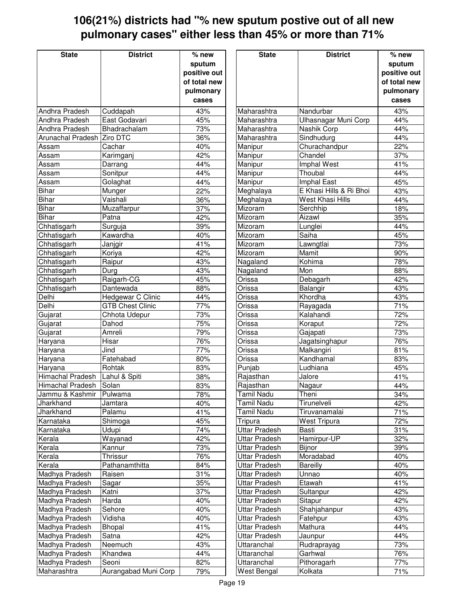## **106(21%) districts had "% new sputum postive out of all new pulmonary cases" either less than 45% or more than 71%**

| <b>State</b>            | <b>District</b>         | $%$ new             | <b>State</b>         | <b>District</b>         | $%$ new      |
|-------------------------|-------------------------|---------------------|----------------------|-------------------------|--------------|
|                         |                         | sputum              |                      |                         | sputum       |
|                         |                         | positive out        |                      |                         | positive out |
|                         |                         |                     |                      |                         |              |
|                         |                         | of total new        |                      |                         | of total new |
|                         |                         | pulmonary           |                      |                         | pulmonary    |
|                         |                         | cases               |                      |                         | cases        |
| Andhra Pradesh          | Cuddapah                | 43%                 | Maharashtra          | Nandurbar               | 43%          |
| Andhra Pradesh          | East Godavari           | 45%                 | Maharashtra          | Ulhasnagar Muni Corp    | 44%          |
| Andhra Pradesh          | Bhadrachalam            | 73%                 | Maharashtra          | Nashik Corp             | 44%          |
| Arunachal Pradesh       | Ziro DTC                | 36%                 | Maharashtra          | Sindhudurg              | 44%          |
| Assam                   | Cachar                  | 40%                 | Manipur              | Churachandpur           | 22%          |
| Assam                   | Karimganj               | 42%                 | Manipur              | Chandel                 | 37%          |
| Assam                   | Darrang                 | 44%                 | Manipur              | Imphal West             | 41%          |
| Assam                   | Sonitpur                | 44%                 | Manipur              | Thoubal                 | 44%          |
| Assam                   | Golaghat                | 44%                 | Manipur              | Imphal East             | 45%          |
| <b>Bihar</b>            | Munger                  | 22%                 | Meghalaya            | E Khasi Hills & Ri Bhoi | 43%          |
| <b>Bihar</b>            | Vaishali                | 36%                 | Meghalaya            | <b>West Khasi Hills</b> | 44%          |
| <b>Bihar</b>            | Muzaffarpur             | 37%                 | Mizoram              | Serchhip                | 18%          |
| <b>Bihar</b>            | Patna                   | 42%                 | Mizoram              | Aizawl                  | 35%          |
| Chhatisgarh             | Surguja                 | 39%                 | Mizoram              | Lunglei                 | 44%          |
| Chhatisgarh             | Kawardha                | 40%                 | Mizoram              | Saiha                   | 45%          |
| Chhatisgarh             | Janjgir                 | 41%                 | Mizoram              | Lawngtlai               | 73%          |
| Chhatisgarh             | Koriya                  | 42%                 | Mizoram              | Mamit                   | 90%          |
| Chhatisgarh             | Raipur                  | 43%                 | Nagaland             | Kohima                  | 78%          |
| Chhatisgarh             | Durg                    | 43%                 | Nagaland             | Mon                     | 88%          |
| Chhatisgarh             | Raigarh-CG              | 45%                 | Orissa               | Debagarh                | 42%          |
| Chhatisgarh             | Dantewada               | 88%                 | Orissa               | Balangir                | 43%          |
| Delhi                   | Hedgewar C Clinic       | 44%                 | Orissa               | Khordha                 | 43%          |
| Delhi                   | <b>GTB Chest Clinic</b> | 77%                 | Orissa               | Rayagada                | 71%          |
| Gujarat                 | Chhota Udepur           | 73%                 | Orissa               | Kalahandi               | 72%          |
| Gujarat                 | Dahod                   | 75%                 | Orissa               | Koraput                 | 72%          |
| Gujarat                 | Amreli                  | 79%                 | Orissa               | Gajapati                | 73%          |
| Haryana                 | Hisar                   | 76%                 | Orissa               | Jagatsinghapur          | 76%          |
| Haryana                 | Jind                    | 77%                 | Orissa               | Malkangiri              | 81%          |
| Haryana                 | Fatehabad               | 80%                 | Orissa               | Kandhamal               | 83%          |
| Haryana                 | Rohtak                  | 83%                 | Punjab               | Ludhiana                | 45%          |
| Himachal Pradesh        | Lahul & Spiti           | 38%                 | Rajasthan            | Jalore                  | 41%          |
| <b>Himachal Pradesh</b> | Solan                   | 83%                 | Rajasthan            | Nagaur                  | 44%          |
| Jammu & Kashmir         | Pulwama                 | 78%                 | <b>Tamil Nadu</b>    | Theni                   | 34%          |
| Jharkhand               | Jamtara                 | 40%                 | <b>Tamil Nadu</b>    | Tirunelveli             | 42%          |
| Jharkhand               | Palamu                  | 41%                 | <b>Tamil Nadu</b>    | Tiruvanamalai           | 71%          |
| Karnataka               | Shimoga                 | 45%                 | Tripura              | <b>West Tripura</b>     | 72%          |
| Karnataka               | Udupi                   | 74%                 | <b>Uttar Pradesh</b> | Basti                   | 31%          |
| Kerala                  | Wayanad                 | 42%                 | <b>Uttar Pradesh</b> | Hamirpur-UP             | 32%          |
| Kerala                  | Kannur                  | 73%                 | <b>Uttar Pradesh</b> | Bijnor                  | 39%          |
| Kerala                  | Thrissur                | 76%                 | <b>Uttar Pradesh</b> | Moradabad               | 40%          |
| Kerala                  | Pathanamthitta          | 84%                 | <b>Uttar Pradesh</b> | <b>Bareilly</b>         | 40%          |
| Madhya Pradesh          | Raisen                  | 31%                 | Uttar Pradesh        | Unnao                   | 40%          |
| Madhya Pradesh          | Sagar                   | 35%                 | <b>Uttar Pradesh</b> | Etawah                  | 41%          |
| Madhya Pradesh          | Katni                   | 37%                 | <b>Uttar Pradesh</b> | Sultanpur               | 42%          |
| Madhya Pradesh          | Harda                   | 40%                 | <b>Uttar Pradesh</b> | Sitapur                 | 42%          |
| Madhya Pradesh          | Sehore                  | 40%                 | <b>Uttar Pradesh</b> | Shahjahanpur            | 43%          |
| Madhya Pradesh          | Vidisha                 | 40%                 | <b>Uttar Pradesh</b> | Fatehpur                | 43%          |
| Madhya Pradesh          | Bhopal                  | $\frac{41\%}{11\%}$ | <b>Uttar Pradesh</b> | Mathura                 | 44%          |
| Madhya Pradesh          | Satna                   | 42%                 | Uttar Pradesh        | Jaunpur                 | 44%          |
| Madhya Pradesh          | Neemuch                 | 43%                 | Uttaranchal          | Rudraprayag             | 73%          |
| Madhya Pradesh          | Khandwa                 | 44%                 | Uttaranchal          | Garhwal                 | 76%          |
| Madhya Pradesh          | Seoni                   | 82%                 | Uttaranchal          | Pithoragarh             | 77%          |
| Maharashtra             | Aurangabad Muni Corp    | 79%                 | West Bengal          | Kolkata                 | 71%          |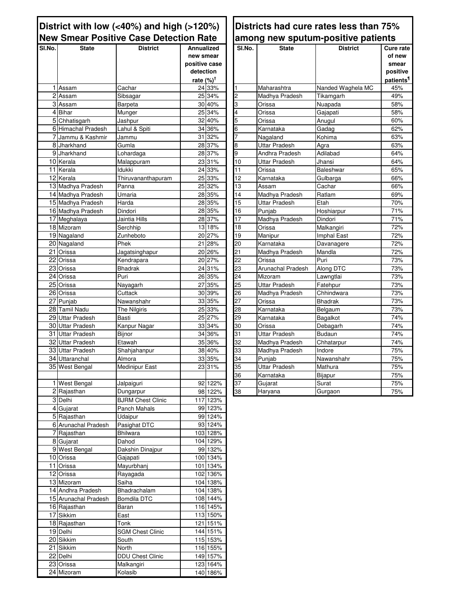### **District with low (<40%) and high (>120%) New Smear Positive Case Detection Rate**

| SI.No. | <b>State</b>           | <b>District</b>          | Annualized           |          | SI.No.          | <b>State</b>         | <b>District</b>   | Cure rate             |
|--------|------------------------|--------------------------|----------------------|----------|-----------------|----------------------|-------------------|-----------------------|
|        |                        |                          | new smear            |          |                 |                      |                   | of new                |
|        |                        |                          | positive case        |          |                 |                      |                   | smear                 |
|        |                        |                          | detection            |          |                 |                      |                   | positive              |
|        |                        |                          | rate $(%)^{\dagger}$ |          |                 |                      |                   | patients <sup>1</sup> |
|        | 1 Assam                | Cachar                   |                      | 24 33%   | $\mathbf{1}$    | Maharashtra          | Nanded Waghela MC | 45%                   |
|        | 2 Assam                | Sibsagar                 |                      | 25 34%   | 2               | Madhya Pradesh       | Tikamgarh         | 49%                   |
|        | $3$ Assam              | Barpeta                  |                      | 30 40%   | 3               | Orissa               | Nuapada           | 58%                   |
|        | 4 Bihar                | Munger                   |                      | 25 34%   | 4               | Orissa               | Gajapati          | 58%                   |
|        | 5 Chhatisgarh          |                          |                      | 32 40%   | 5               | Orissa               | Anugul            | 60%                   |
|        | 6 Himachal Pradesh     | Jashpur<br>Lahul & Spiti |                      | 34 36%   | $\overline{6}$  |                      |                   | 62%                   |
|        |                        |                          |                      | 31 32%   | $\overline{7}$  | Karnataka            | Gadag             | 63%                   |
|        | 7 Jammu & Kashmir      | Jammu                    |                      |          |                 | Nagaland             | Kohima            |                       |
|        | 8 Jharkhand            | Gumla                    |                      | 28 37%   | 8               | <b>Uttar Pradesh</b> | Agra              | 63%                   |
|        | 9 Jharkhand            | Lohardaga                |                      | 28 37%   | 9               | Andhra Pradesh       | Adilabad          | 64%                   |
|        | $\overline{10}$ Kerala | Malappuram               |                      | 23 31%   | 10              | Uttar Pradesh        | Jhansi            | 64%                   |
|        | 11 Kerala              | Idukki                   |                      | 24 33%   | $\overline{11}$ | Orissa               | Baleshwar         | 65%                   |
|        | 12 Kerala              | Thiruvananthapuram       |                      | 25 33%   | $\overline{12}$ | Karnataka            | Gulbarga          | 66%                   |
|        | 13 Madhya Pradesh      | Panna                    |                      | 25 32%   | 13              | Assam                | Cachar            | 66%                   |
|        | 14 Madhya Pradesh      | Umaria                   |                      | 28 35%   | 14              | Madhya Pradesh       | Ratlam            | 69%                   |
|        | 15 Madhya Pradesh      | Harda                    |                      | 28 35%   | 15              | Uttar Pradesh        | Etah              | 70%                   |
|        | 16 Madhya Pradesh      | Dindori                  |                      | 28 35%   | 16              | Punjab               | Hoshiarpur        | 71%                   |
|        | 17 Meghalaya           | Jaintia Hills            |                      | 28 37%   | $\overline{17}$ | Madhya Pradesh       | Dindori           | 71%                   |
|        | 18 Mizoram             | Serchhip                 |                      | 13 18%   | 18              | Orissa               | Malkangiri        | 72%                   |
|        | 19 Nagaland            | Zunheboto                |                      | 20 27%   | 19              | Manipur              | Imphal East       | 72%                   |
|        | 20 Nagaland            | Phek                     |                      | 21 28%   | 20              | Karnataka            | Davanagere        | 72%                   |
|        | 21 Orissa              | Jagatsinghapur           |                      | 20 26%   | 21              | Madhya Pradesh       | Mandla            | 72%                   |
|        | 22 Orissa              | Kendrapara               |                      | 20 27%   | $\overline{22}$ | Orissa               | Puri              | 73%                   |
|        | 23 Orissa              | Bhadrak                  |                      | 24 31%   | $\overline{23}$ | Arunachal Pradesh    | <b>Along DTC</b>  | 73%                   |
|        | 24 Orissa              | Puri                     |                      | 26 35%   | 24              | Mizoram              | Lawngtlai         | 73%                   |
|        | 25 Orissa              |                          |                      | 27 35%   | 25              | Uttar Pradesh        | Fatehpur          | 73%                   |
|        | 26 Orissa              | Nayagarh                 |                      | 30 39%   | 26              |                      |                   |                       |
|        |                        | Cuttack                  |                      |          | $\overline{27}$ | Madhya Pradesh       | Chhindwara        | 73%<br>73%            |
|        | $\overline{27}$ Punjab | Nawanshahr               |                      | 33 35%   |                 | Orissa               | <b>Bhadrak</b>    |                       |
|        | 28 Tamil Nadu          | The Nilgiris             |                      | 25 33%   | 28              | Karnataka            | Belgaum           | 73%                   |
| 29     | <b>Uttar Pradesh</b>   | Basti                    |                      | 25 27%   | 29              | Karnataka            | Bagalkot          | 74%                   |
|        | 30 Uttar Pradesh       | Kanpur Nagar             |                      | 33 34%   | 30              | Orissa               | Debagarh          | 74%                   |
| 31     | <b>Uttar Pradesh</b>   | Bijnor                   |                      | 34 36%   | 31              | <b>Uttar Pradesh</b> | <b>Budaun</b>     | 74%                   |
|        | 32 Uttar Pradesh       | Etawah                   |                      | 35 36%   | $\overline{32}$ | Madhya Pradesh       | Chhatarpur        | 74%                   |
|        | 33 Uttar Pradesh       | Shahjahanpur             |                      | 38 40%   | 33              | Madhya Pradesh       | Indore            | 75%                   |
|        | 34 Uttaranchal         | Almora                   |                      | 33 35%   | 34              | Punjab               | Nawanshahr        | 75%                   |
|        | 35 West Bengal         | Medinipur East           |                      | 23 31%   | 35              | <b>Uttar Pradesh</b> | Mathura           | 75%                   |
|        |                        |                          |                      |          | 36              | Karnataka            | Bijapur           | 75%                   |
|        | 1 West Bengal          | Jalpaiguri               |                      | 92 122%  | 37              | Gujarat              | Surat             | 75%                   |
|        | 2 Rajasthan            | Dungarpur                |                      | 98 122%  | 38              | Haryana              | Gurgaon           | 75%                   |
|        | 3 Delhi                | <b>BJRM Chest Clinic</b> |                      | 117 123% |                 |                      |                   |                       |
|        | 4 Gujarat              | Panch Mahals             |                      | 99 123%  |                 |                      |                   |                       |
|        | 5 Rajasthan            | Udaipur                  |                      | 99 124%  |                 |                      |                   |                       |
|        | 6 Arunachal Pradesh    | Pasighat DTC             |                      | 93 124%  |                 |                      |                   |                       |
|        | 7 Rajasthan            | <b>Bhilwara</b>          |                      | 103 128% |                 |                      |                   |                       |
|        | 8 Gujarat              | Dahod                    |                      | 104 129% |                 |                      |                   |                       |
|        | 9 West Bengal          | Dakshin Dinajpur         |                      | 99 132%  |                 |                      |                   |                       |
|        |                        |                          |                      |          |                 |                      |                   |                       |
|        | 10 Orissa              | Gajapati                 |                      | 100 134% |                 |                      |                   |                       |
|        | 11 Orissa              | Mayurbhanj               |                      | 101 134% |                 |                      |                   |                       |
|        | 12 Orissa              | Rayagada                 |                      | 102 136% |                 |                      |                   |                       |
|        | 13 Mizoram             | Saiha                    |                      | 104 138% |                 |                      |                   |                       |
|        | 14 Andhra Pradesh      | Bhadrachalam             |                      | 104 138% |                 |                      |                   |                       |
|        | 15 Arunachal Pradesh   | <b>Bomdila DTC</b>       |                      | 108 144% |                 |                      |                   |                       |
|        | 16 Rajasthan           | Baran                    |                      | 116 145% |                 |                      |                   |                       |
|        | 17 Sikkim              | East                     |                      | 113 150% |                 |                      |                   |                       |
|        | 18 Rajasthan           | Tonk                     |                      | 121 151% |                 |                      |                   |                       |
|        | 19 Delhi               | <b>SGM Chest Clinic</b>  |                      | 144 151% |                 |                      |                   |                       |
|        | 20 Sikkim              | South                    |                      | 115 153% |                 |                      |                   |                       |
|        | 21 Sikkim              | North                    |                      | 116 155% |                 |                      |                   |                       |
|        | 22 Delhi               | <b>DDU Chest Clinic</b>  |                      | 149 157% |                 |                      |                   |                       |
|        | 23 Orissa              | Malkangiri               |                      | 123 164% |                 |                      |                   |                       |
|        | 24 Mizoram             | Kolasib                  |                      | 140 186% |                 |                      |                   |                       |
|        |                        |                          |                      |          |                 |                      |                   |                       |

### **Districts had cure rates less than 75% among new sputum-positive patients**

| SI.No.                  | <b>State</b>         | <b>District</b>   | Cure rate             |
|-------------------------|----------------------|-------------------|-----------------------|
|                         |                      |                   | of new                |
|                         |                      |                   | smear                 |
|                         |                      |                   | positive              |
|                         |                      |                   | patients <sup>1</sup> |
| 1                       | Maharashtra          | Nanded Waghela MC | 45%                   |
| $\overline{c}$          | Madhya Pradesh       | Tikamgarh         | 49%                   |
| $\overline{3}$          | Orissa               | Nuapada           | 58%                   |
| $\overline{\mathbf{4}}$ | Orissa               | Gajapati          | 58%                   |
| 5                       | Orissa               | Anugul            | 60%                   |
| 6                       | Karnataka            | Gadag             | 62%                   |
| 7                       | Nagaland             | Kohima            | 63%                   |
| 8                       | <b>Uttar Pradesh</b> | Agra              | 63%                   |
| 9                       | Andhra Pradesh       | Adilabad          | 64%                   |
| 10                      | Uttar Pradesh        | Jhansi            | 64%                   |
| 11                      | Orissa               | Baleshwar         | 65%                   |
| 12                      | Karnataka            | Gulbarga          | 66%                   |
| 13                      | Assam                | Cachar            | 66%                   |
| 14                      | Madhya Pradesh       | Ratlam            | 69%                   |
| 15                      | <b>Uttar Pradesh</b> | Etah              | 70%                   |
| 16                      | Punjab               | Hoshiarpur        | 71%                   |
| 17                      | Madhya Pradesh       | Dindori           | 71%                   |
| 18                      | Orissa               | Malkangiri        | 72%                   |
| 19                      | Manipur              | Imphal East       | 72%                   |
| 20                      | Karnataka            | Davanagere        | 72%                   |
| 21                      | Madhya Pradesh       | Mandla            | 72%                   |
| 22                      | Orissa               | Puri              | 73%                   |
| 23                      | Arunachal Pradesh    | Along DTC         | 73%                   |
| 24                      | Mizoram              | Lawngtlai         | 73%                   |
| 25                      | Uttar Pradesh        | Fatehpur          | 73%                   |
| 26                      | Madhya Pradesh       | Chhindwara        | 73%                   |
| 27                      | Orissa               | Bhadrak           | 73%                   |
| 28                      | Karnataka            | Belgaum           | 73%                   |
| 29                      | Karnataka            | Bagalkot          | 74%                   |
| 30                      | Orissa               | Debagarh          | 74%                   |
| 31                      | <b>Uttar Pradesh</b> | <b>Budaun</b>     | 74%                   |
| 32                      | Madhya Pradesh       | Chhatarpur        | 74%                   |
| 33                      | Madhya Pradesh       | Indore            | 75%                   |
| 34                      | Punjab               | Nawanshahr        | 75%                   |
| 35                      | <b>Uttar Pradesh</b> | Mathura           | 75%                   |
| 36                      | Karnataka            | Bijapur           | 75%                   |
| 37                      | Gujarat              | Surat             | 75%                   |
| 38                      | Haryana              | Gurgaon           | 75%                   |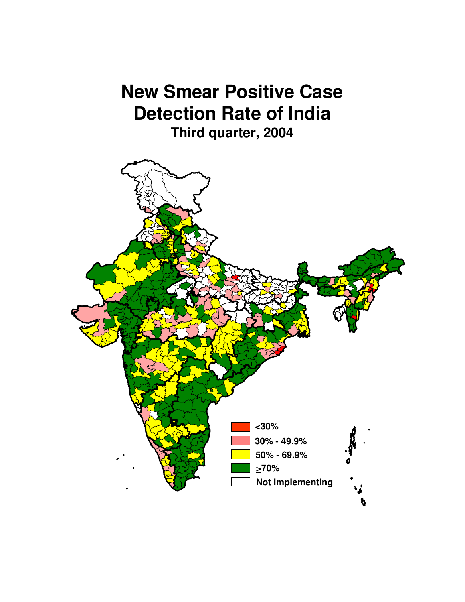# **New Smear Positive Case Detection Rate of India Third quarter, 2004**